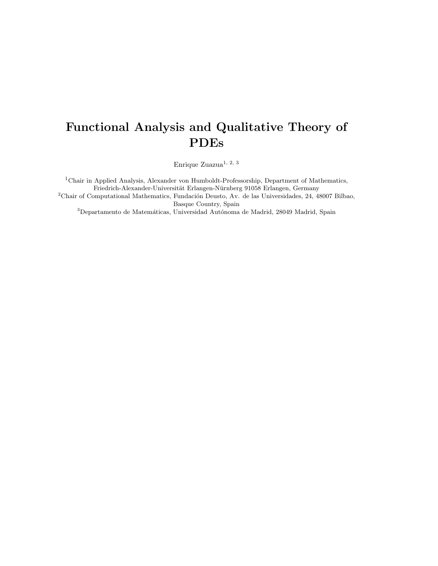# Functional Analysis and Qualitative Theory of PDEs

Enrique Zuazua $^{1,\ 2,\ 3}$ 

<sup>1</sup>Chair in Applied Analysis, Alexander von Humboldt-Professorship, Department of Mathematics, Friedrich-Alexander-Universität Erlangen-Nürnberg 91058 Erlangen, Germany  $2$ Chair of Computational Mathematics, Fundación Deusto, Av. de las Universidades, 24, 48007 Bilbao,

Basque Country, Spain

 $^3$ Departamento de Matemáticas, Universidad Autónoma de Madrid, 28049 Madrid, Spain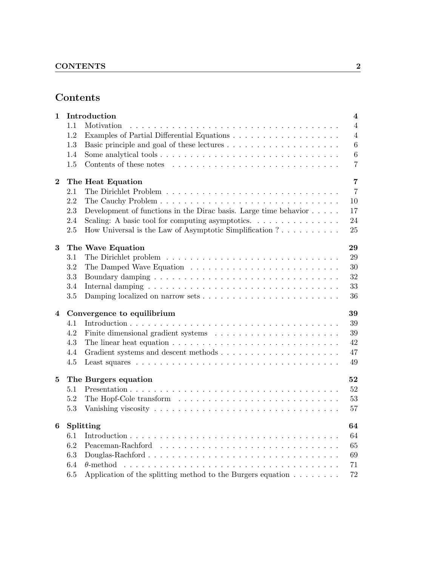# Contents

| 1              |         | Introduction                                                                              | $\overline{\mathbf{4}}$ |
|----------------|---------|-------------------------------------------------------------------------------------------|-------------------------|
|                | 1.1     | Motivation                                                                                | $\overline{4}$          |
|                | 1.2     |                                                                                           | $\overline{4}$          |
|                | 1.3     |                                                                                           | $\sqrt{6}$              |
|                | 1.4     |                                                                                           | $\,6\,$                 |
|                | 1.5     |                                                                                           | $\overline{7}$          |
| $\bf{2}$       |         | The Heat Equation                                                                         | $\overline{7}$          |
|                | 2.1     |                                                                                           | $\overline{7}$          |
|                | 2.2     |                                                                                           | 10                      |
|                | 2.3     | Development of functions in the Dirac basis. Large time behavior $\dots$ .                | 17                      |
|                | 2.4     | Scaling: A basic tool for computing asymptotics.                                          | 24                      |
|                | 2.5     | How Universal is the Law of Asymptotic Simplification ?                                   | 25                      |
| 3              |         | The Wave Equation                                                                         | 29                      |
|                | $3.1\,$ |                                                                                           | 29                      |
|                | 3.2     |                                                                                           | 30                      |
|                | 3.3     |                                                                                           | 32                      |
|                | 3.4     |                                                                                           | 33                      |
|                | 3.5     |                                                                                           | 36                      |
| $\overline{4}$ |         | Convergence to equilibrium                                                                | 39                      |
|                | 4.1     |                                                                                           | 39                      |
|                | 4.2     |                                                                                           | 39                      |
|                | 4.3     | The linear heat equation $\ldots \ldots \ldots \ldots \ldots \ldots \ldots \ldots \ldots$ | 42                      |
|                | 4.4     |                                                                                           | 47                      |
|                | 4.5     |                                                                                           | 49                      |
| 5              |         | The Burgers equation                                                                      | 52                      |
|                | 5.1     |                                                                                           | 52                      |
|                | 5.2     |                                                                                           | 53                      |
|                | 5.3     |                                                                                           | 57                      |
| 6              |         | Splitting                                                                                 | 64                      |
|                | 6.1     |                                                                                           | 64                      |
|                | 6.2     |                                                                                           | 65                      |
|                | 6.3     |                                                                                           | 69                      |
|                | 6.4     | $\theta$ -method                                                                          | 71                      |
|                | 6.5     | Application of the splitting method to the Burgers equation $\ldots \ldots \ldots$        | 72                      |
|                |         |                                                                                           |                         |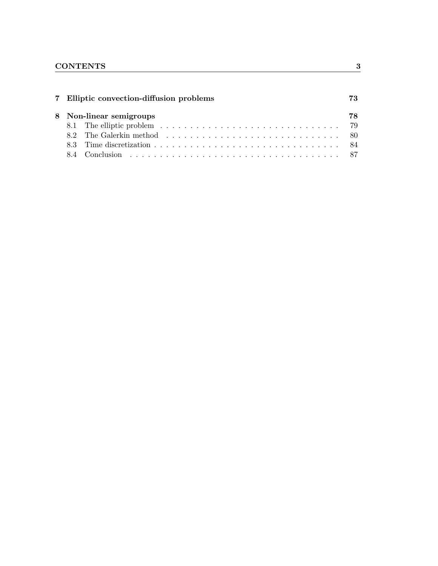|  | 7 Elliptic convection-diffusion problems | 73 |
|--|------------------------------------------|----|
|  | 8 Non-linear semigroups                  | 78 |
|  |                                          |    |
|  |                                          |    |
|  |                                          |    |
|  |                                          |    |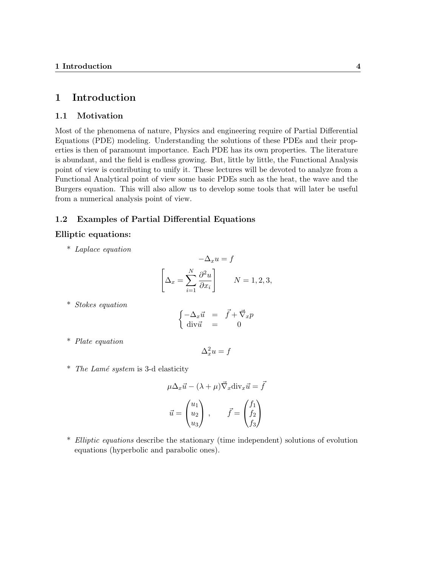## 1 Introduction

### 1.1 Motivation

Most of the phenomena of nature, Physics and engineering require of Partial Differential Equations (PDE) modeling. Understanding the solutions of these PDEs and their properties is then of paramount importance. Each PDE has its own properties. The literature is abundant, and the field is endless growing. But, little by little, the Functional Analysis point of view is contributing to unify it. These lectures will be devoted to analyze from a Functional Analytical point of view some basic PDEs such as the heat, the wave and the Burgers equation. This will also allow us to develop some tools that will later be useful from a numerical analysis point of view.

### 1.2 Examples of Partial Differential Equations

### Elliptic equations:

\* Laplace equation

$$
-\Delta_x u = f
$$

$$
\left[\Delta_x = \sum_{i=1}^N \frac{\partial^2 u}{\partial x_i}\right] \qquad N = 1, 2, 3,
$$

\* Stokes equation

$$
\begin{cases}\n-\Delta_x \vec{u} &= \vec{f} + \vec{\nabla}_x p \\
\text{div}\vec{u} &= 0\n\end{cases}
$$

\* Plate equation

$$
\Delta_x^2 u = f
$$

 $*$  The Lamé system is 3-d elasticity

$$
\mu \Delta_x \vec{u} - (\lambda + \mu) \vec{\nabla}_x \operatorname{div}_x \vec{u} = \vec{f}
$$

$$
\vec{u} = \begin{pmatrix} u_1 \\ u_2 \\ u_3 \end{pmatrix}, \qquad \vec{f} = \begin{pmatrix} f_1 \\ f_2 \\ f_3 \end{pmatrix}
$$

\* Elliptic equations describe the stationary (time independent) solutions of evolution equations (hyperbolic and parabolic ones).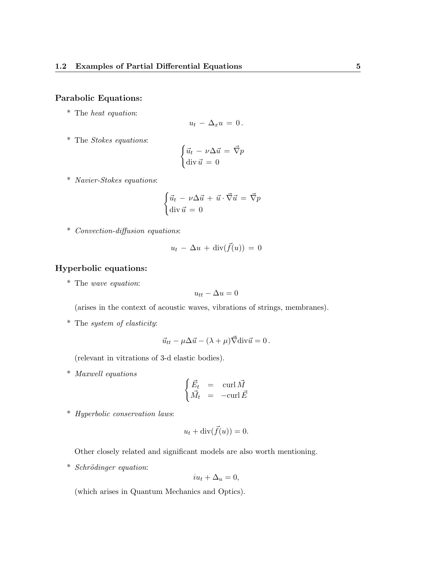### Parabolic Equations:

\* The heat equation:

$$
u_t - \Delta_x u = 0.
$$

\* The Stokes equations:

$$
\begin{cases} \vec{u}_t - \nu \Delta \vec{u} = \vec{\nabla} p \\ \text{div } \vec{u} = 0 \end{cases}
$$

\* Navier-Stokes equations:

$$
\begin{cases} \vec{u}_t - \nu \Delta \vec{u} + \vec{u} \cdot \vec{\nabla} \vec{u} = \vec{\nabla} p \\ \text{div } \vec{u} = 0 \end{cases}
$$

\* Convection-diffusion equations:

$$
u_t - \Delta u + \operatorname{div}(\vec{f}(u)) = 0
$$

### Hyperbolic equations:

\* The wave equation:

$$
u_{tt} - \Delta u = 0
$$

(arises in the context of acoustic waves, vibrations of strings, membranes).

\* The system of elasticity:

$$
\vec{u}_{tt} - \mu \Delta \vec{u} - (\lambda + \mu) \vec{\nabla} \text{div} \vec{u} = 0.
$$

(relevant in vitrations of 3-d elastic bodies).

\* Maxwell equations

$$
\begin{cases} \vec{E_t} &= \quad \text{curl } \vec{M} \\ \vec{M_t} &= \quad -\text{curl } \vec{E} \end{cases}
$$

\* Hyperbolic conservation laws:

$$
u_t + \operatorname{div}(\vec{f}(u)) = 0.
$$

Other closely related and significant models are also worth mentioning.

 $*$  Schrödinger equation:

$$
iu_t + \Delta_u = 0,
$$

(which arises in Quantum Mechanics and Optics).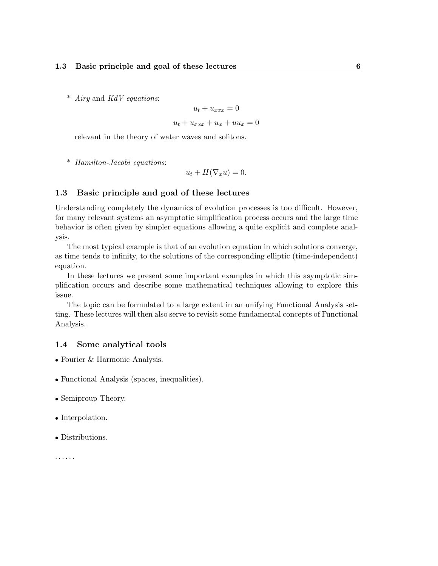\* Airy and KdV equations:

$$
u_t + u_{xxx} = 0
$$

$$
u_t + u_{xxx} + u_x + uu_x = 0
$$

relevant in the theory of water waves and solitons.

\* Hamilton-Jacobi equations:

 $u_t + H(\nabla_x u) = 0.$ 

### 1.3 Basic principle and goal of these lectures

Understanding completely the dynamics of evolution processes is too difficult. However, for many relevant systems an asymptotic simplification process occurs and the large time behavior is often given by simpler equations allowing a quite explicit and complete analysis.

The most typical example is that of an evolution equation in which solutions converge, as time tends to infinity, to the solutions of the corresponding elliptic (time-independent) equation.

In these lectures we present some important examples in which this asymptotic simplification occurs and describe some mathematical techniques allowing to explore this issue.

The topic can be formulated to a large extent in an unifying Functional Analysis setting. These lectures will then also serve to revisit some fundamental concepts of Functional Analysis.

### 1.4 Some analytical tools

- Fourier & Harmonic Analysis.
- Functional Analysis (spaces, inequalities).
- Semiproup Theory.
- Interpolation.
- Distributions.

. . . . . .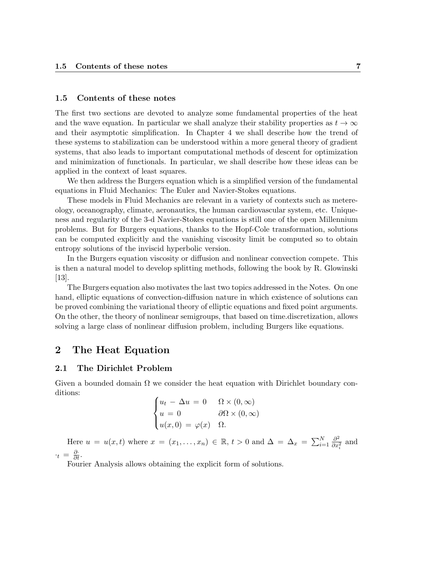#### 1.5 Contents of these notes

The first two sections are devoted to analyze some fundamental properties of the heat and the wave equation. In particular we shall analyze their stability properties as  $t \to \infty$ and their asymptotic simplification. In Chapter 4 we shall describe how the trend of these systems to stabilization can be understood within a more general theory of gradient systems, that also leads to important computational methods of descent for optimization and minimization of functionals. In particular, we shall describe how these ideas can be applied in the context of least squares.

We then address the Burgers equation which is a simplified version of the fundamental equations in Fluid Mechanics: The Euler and Navier-Stokes equations.

These models in Fluid Mechanics are relevant in a variety of contexts such as metereology, oceanography, climate, aeronautics, the human cardiovascular system, etc. Uniqueness and regularity of the 3-d Navier-Stokes equations is still one of the open Millennium problems. But for Burgers equations, thanks to the Hopf-Cole transformation, solutions can be computed explicitly and the vanishing viscosity limit be computed so to obtain entropy solutions of the inviscid hyperbolic version.

In the Burgers equation viscosity or diffusion and nonlinear convection compete. This is then a natural model to develop splitting methods, following the book by R. Glowinski [13].

The Burgers equation also motivates the last two topics addressed in the Notes. On one hand, elliptic equations of convection-diffusion nature in which existence of solutions can be proved combining the variational theory of elliptic equations and fixed point arguments. On the other, the theory of nonlinear semigroups, that based on time.discretization, allows solving a large class of nonlinear diffusion problem, including Burgers like equations.

### 2 The Heat Equation

#### 2.1 The Dirichlet Problem

Given a bounded domain  $\Omega$  we consider the heat equation with Dirichlet boundary conditions:

$$
\begin{cases} u_t - \Delta u = 0 & \Omega \times (0, \infty) \\ u = 0 & \partial \Omega \times (0, \infty) \\ u(x, 0) = \varphi(x) & \Omega. \end{cases}
$$

Here  $u = u(x,t)$  where  $x = (x_1, \ldots, x_n) \in \mathbb{R}, t > 0$  and  $\Delta = \Delta_x = \sum_{i=1}^N \frac{\partial^2}{\partial x_i^2}$  $\frac{\partial^2}{\partial x_i^2}$  and  $\cdot_t = \frac{\partial}{\partial t}.$ 

Fourier Analysis allows obtaining the explicit form of solutions.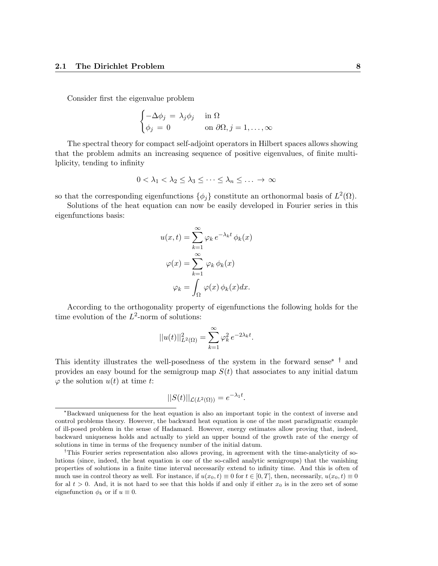Consider first the eigenvalue problem

$$
\begin{cases}\n-\Delta \phi_j = \lambda_j \phi_j & \text{in } \Omega \\
\phi_j = 0 & \text{on } \partial \Omega, j = 1, \dots, \infty\n\end{cases}
$$

The spectral theory for compact self-adjoint operators in Hilbert spaces allows showing that the problem admits an increasing sequence of positive eigenvalues, of finite multilplicity, tending to infinity

$$
0 < \lambda_1 < \lambda_2 \leq \lambda_3 \leq \cdots \leq \lambda_n \leq \ldots \to \infty
$$

so that the corresponding eigenfunctions  $\{\phi_j\}$  constitute an orthonormal basis of  $L^2(\Omega)$ .

Solutions of the heat equation can now be easily developed in Fourier series in this eigenfunctions basis:

$$
u(x,t) = \sum_{k=1}^{\infty} \varphi_k e^{-\lambda_k t} \phi_k(x)
$$

$$
\varphi(x) = \sum_{k=1}^{\infty} \varphi_k \phi_k(x)
$$

$$
\varphi_k = \int_{\Omega} \varphi(x) \phi_k(x) dx.
$$

According to the orthogonality property of eigenfunctions the following holds for the time evolution of the  $L^2$ -norm of solutions:

$$
||u(t)||_{L^{2}(\Omega)}^{2} = \sum_{k=1}^{\infty} \varphi_{k}^{2} e^{-2\lambda_{k}t}.
$$

This identity illustrates the well-posedness of the system in the forward sense<sup>\*</sup>  $\dagger$  and provides an easy bound for the semigroup map  $S(t)$  that associates to any initial datum  $\varphi$  the solution  $u(t)$  at time t:

$$
||S(t)||_{\mathcal{L}(L^2(\Omega))} = e^{-\lambda_1 t}.
$$

<sup>\*</sup>Backward uniqueness for the heat equation is also an important topic in the context of inverse and control problems theory. However, the backward heat equation is one of the most paradigmatic example of ill-posed problem in the sense of Hadamard. However, energy estimates allow proving that, indeed, backward uniqueness holds and actually to yield an upper bound of the growth rate of the energy of solutions in time in terms of the frequency number of the initial datum.

<sup>&</sup>lt;sup>†</sup>This Fourier series representation also allows proving, in agreement with the time-analyticity of solutions (since, indeed, the heat equation is one of the so-called analytic semigroups) that the vanishing properties of solutions in a finite time interval necessarily extend to infinity time. And this is often of much use in control theory as well. For instance, if  $u(x_0, t) \equiv 0$  for  $t \in [0, T]$ , then, necessarily,  $u(x_0, t) \equiv 0$ for al  $t > 0$ . And, it is not hard to see that this holds if and only if either  $x_0$  is in the zero set of some eignefunction  $\phi_k$  or if  $u \equiv 0$ .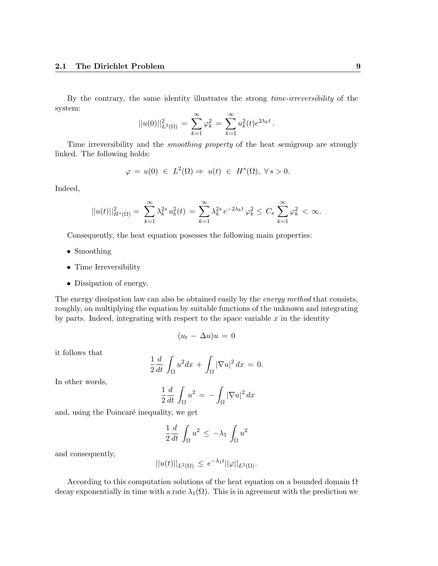By the contrary, the same identity illustrates the strong time-irreversibility of the system:

$$
||u(0)||_{L^{2}(\Omega)}^{2} = \sum_{k=1}^{\infty} \varphi_{k}^{2} = \sum_{k=1}^{\infty} u_{k}^{2}(t)e^{2\lambda_{k}t}.
$$

Time irreversibility and the smoothing property of the heat semigroup are strongly linked. The following holds:

$$
\varphi = u(0) \in L^2(\Omega) \Rightarrow u(t) \in H^s(\Omega), \ \forall s > 0.
$$

Indeed,

$$
||u(t)||_{H^{s}(\Omega)}^{2} = \sum_{k=1}^{\infty} \lambda_{k}^{2s} u_{k}^{2}(t) = \sum_{k=1}^{\infty} \lambda_{k}^{2s} e^{-2\lambda_{k}t} \varphi_{k}^{2} \leq C_{s} \sum_{k=1}^{\infty} \varphi_{k}^{2} < \infty.
$$

Consequently, the heat equation posesses the following main properties:

- Smoothing
- Time Irreversibility
- Dissipation of energy.

The energy dissipation law can also be obtained easily by the *energy method* that consists, roughly, on multiplying the equation by suitable functions of the unknown and integrating by parts. Indeed, integrating with respect to the space variable  $x$  in the identity

$$
(u_t - \Delta u)u = 0
$$

it follows that

$$
\frac{1}{2}\frac{d}{dt}\int_{\Omega}u^2dx + \int_{\Omega}|\nabla u|^2 dx = 0.
$$

In other words,

$$
\frac{1}{2}\frac{d}{dt}\int_{\Omega}u^2 = -\int_{\Omega}|\nabla u|^2 dx
$$

and, using the Poincaré inequality, we get

$$
\frac{1}{2}\frac{d}{dt}\int_{\Omega}u^2 \leq -\lambda_1\int_{\Omega}u^2
$$

and consequently,

$$
||u(t)||_{L^2(\Omega)} \leq e^{-\lambda_1 t} ||\varphi||_{L^2(\Omega)}.
$$

According to this computation solutions of the heat equation on a bounded domain  $\Omega$ decay exponentially in time with a rate  $\lambda_1(\Omega)$ . This is in agreement with the prediction we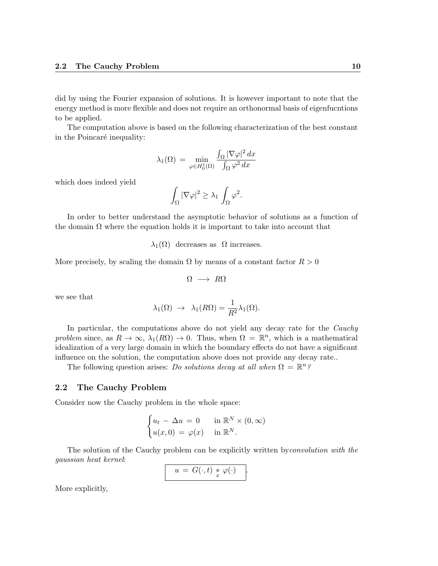did by using the Fourier expansion of solutions. It is however important to note that the energy method is more flexible and does not require an orthonormal basis of eigenfucntions to be applied.

The computation above is based on the following characterization of the best constant in the Poincaré inequality:

$$
\lambda_1(\Omega) = \min_{\varphi \in H_0^1(\Omega)} \frac{\int_{\Omega} |\nabla \varphi|^2 dx}{\int_{\Omega} \varphi^2 dx}
$$

which does indeed yield

$$
\int_{\Omega} |\nabla \varphi|^2 \geq \lambda_1 \int_{\Omega} \varphi^2.
$$

In order to better understand the asymptotic behavior of solutions as a function of the domain  $\Omega$  where the equation holds it is important to take into account that

 $λ_1(Ω)$  decreases as  $Ω$  increases.

More precisely, by scaling the domain  $\Omega$  by means of a constant factor  $R > 0$ 

$$
\Omega \longrightarrow R\Omega
$$

we see that

$$
\lambda_1(\Omega) \rightarrow \lambda_1(R\Omega) = \frac{1}{R^2} \lambda_1(\Omega).
$$

In particular, the computations above do not yield any decay rate for the *Cauchy* problem since, as  $R \to \infty$ ,  $\lambda_1(R\Omega) \to 0$ . Thus, when  $\Omega = \mathbb{R}^n$ , which is a mathematical idealization of a very large domain in which the boundary effects do not have a significant influence on the solution, the computation above does not provide any decay rate..

The following question arises: Do solutions decay at all when  $\Omega = \mathbb{R}^n$ ?

### 2.2 The Cauchy Problem

Consider now the Cauchy problem in the whole space:

$$
\begin{cases} u_t - \Delta u = 0 & \text{in } \mathbb{R}^N \times (0, \infty) \\ u(x, 0) = \varphi(x) & \text{in } \mathbb{R}^N. \end{cases}
$$

The solution of the Cauchy problem can be explicitly written byconvolution with the gaussian heat kernel:

$$
u = G(\cdot,t) * \varphi(\cdot) .
$$

More explicitly,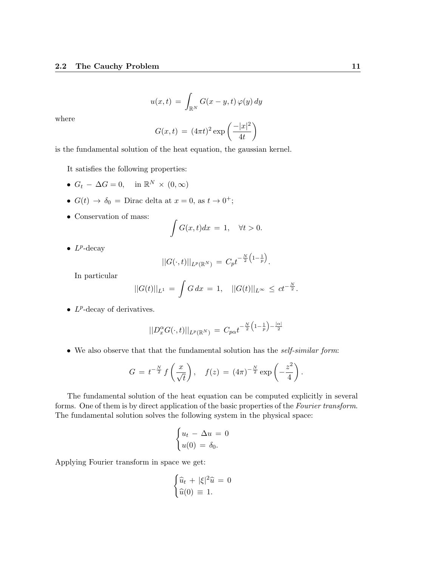$$
u(x,t) = \int_{\mathbb{R}^N} G(x-y,t) \,\varphi(y) \,dy
$$

where

$$
G(x,t) = (4\pi t)^2 \exp\left(\frac{-|x|^2}{4t}\right)
$$

is the fundamental solution of the heat equation, the gaussian kernel.

It satisfies the following properties:

- $G_t \Delta G = 0$ , in  $\mathbb{R}^N \times (0, \infty)$
- $G(t) \rightarrow \delta_0 = \text{Dirac delta at } x = 0, \text{ as } t \rightarrow 0^+;$
- Conservation of mass:

$$
\int G(x,t)dx = 1, \quad \forall t > 0.
$$

•  $L^p$ -decay

$$
||G(\cdot,t)||_{L^{p}(\mathbb{R}^{N})}=C_{p}t^{-\frac{N}{2}\left(1-\frac{1}{p}\right)}.
$$

In particular

$$
||G(t)||_{L^{1}} = \int G dx = 1, \quad ||G(t)||_{L^{\infty}} \leq ct^{-\frac{N}{2}}.
$$

•  $L^p$ -decay of derivatives.

$$
||D_x^{\alpha}G(\cdot,t)||_{L^p(\mathbb{R}^N)} = C_{p\alpha}t^{-\frac{N}{2}(1-\frac{1}{p})-\frac{|\alpha|}{2}}
$$

• We also observe that that the fundamental solution has the *self-similar form*:

$$
G = t^{-\frac{N}{2}} f\left(\frac{x}{\sqrt{t}}\right), \quad f(z) = (4\pi)^{-\frac{N}{2}} \exp\left(-\frac{z^2}{4}\right).
$$

The fundamental solution of the heat equation can be computed explicitly in several forms. One of them is by direct application of the basic properties of the Fourier transform. The fundamental solution solves the following system in the physical space:

$$
\begin{cases} u_t - \Delta u = 0 \\ u(0) = \delta_0. \end{cases}
$$

Applying Fourier transform in space we get:

$$
\begin{cases} \widehat{u}_t + |\xi|^2 \widehat{u} = 0\\ \widehat{u}(0) \equiv 1. \end{cases}
$$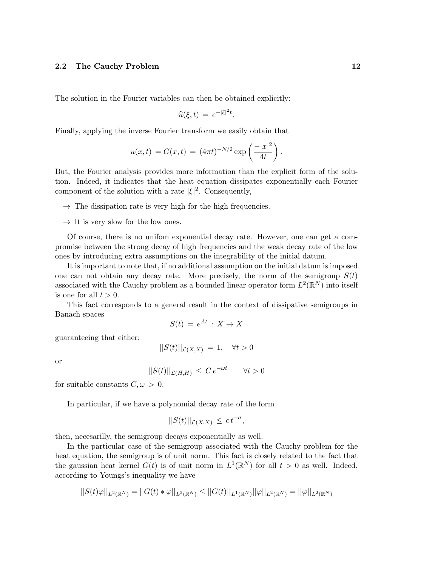The solution in the Fourier variables can then be obtained explicitly:

$$
\widehat{u}(\xi,t) = e^{-|\xi|^2 t}.
$$

Finally, applying the inverse Fourier transform we easily obtain that

$$
u(x,t) = G(x,t) = (4\pi t)^{-N/2} \exp\left(\frac{-|x|^2}{4t}\right).
$$

But, the Fourier analysis provides more information than the explicit form of the solution. Indeed, it indicates that the heat equation dissipates exponentially each Fourier component of the solution with a rate  $|\xi|^2$ . Consequently,

 $\rightarrow$  The dissipation rate is very high for the high frequencies.

 $\rightarrow$  It is very slow for the low ones.

Of course, there is no unifom exponential decay rate. However, one can get a compromise between the strong decay of high frequencies and the weak decay rate of the low ones by introducing extra assumptions on the integrability of the initial datum.

It is important to note that, if no additional assumption on the initial datum is imposed one can not obtain any decay rate. More precisely, the norm of the semigroup  $S(t)$ associated with the Cauchy problem as a bounded linear operator form  $L^2(\mathbb{R}^N)$  into itself is one for all  $t > 0$ .

This fact corresponds to a general result in the context of dissipative semigroups in Banach spaces

$$
S(t) = e^{At} : X \to X
$$

guaranteeing that either:

 $||S(t)||_{\mathcal{L}(X,X)} = 1, \quad \forall t > 0$ 

or

$$
||S(t)||_{\mathcal{L}(H,H)} \leq C e^{-\omega t} \qquad \forall t > 0
$$

for suitable constants  $C, \omega > 0$ .

In particular, if we have a polynomial decay rate of the form

$$
||S(t)||_{\mathcal{L}(X,X)} \leq ct^{-\sigma},
$$

then, necesarilly, the semigroup decays exponentially as well.

In the particular case of the semigroup associated with the Cauchy problem for the heat equation, the semigroup is of unit norm. This fact is closely related to the fact that the gaussian heat kernel  $G(t)$  is of unit norm in  $L^1(\mathbb{R}^N)$  for all  $t > 0$  as well. Indeed, according to Youngs's inequality we have

$$
||S(t)\varphi||_{L^2(\mathbb{R}^N)}=||G(t)\ast \varphi||_{L^2(\mathbb{R}^N)}\leq ||G(t)||_{L^1(\mathbb{R}^N)}||\varphi||_{L^2(\mathbb{R}^N)}=||\varphi||_{L^2(\mathbb{R}^N)}
$$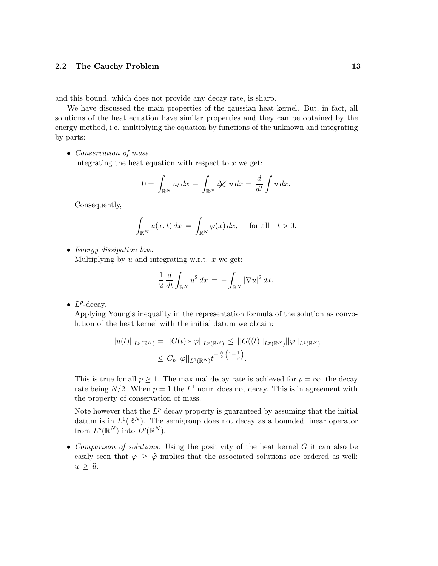and this bound, which does not provide any decay rate, is sharp.

We have discussed the main properties of the gaussian heat kernel. But, in fact, all solutions of the heat equation have similar properties and they can be obtained by the energy method, i.e. multiplying the equation by functions of the unknown and integrating by parts:

• Conservation of mass.

Integrating the heat equation with respect to  $x$  we get:

$$
0 = \int_{\mathbb{R}^N} u_t dx - \int_{\mathbb{R}^N} \Delta_x^{\mathbf{x}} u dx = \frac{d}{dt} \int u dx.
$$

Consequently,

$$
\int_{\mathbb{R}^N} u(x,t) dx = \int_{\mathbb{R}^N} \varphi(x) dx, \quad \text{for all} \quad t > 0.
$$

• Energy dissipation law.

Multiplying by  $u$  and integrating w.r.t.  $x$  we get:

$$
\frac{1}{2} \frac{d}{dt} \int_{\mathbb{R}^N} u^2 dx = - \int_{\mathbb{R}^N} |\nabla u|^2 dx.
$$

•  $L^p$ -decay.

Applying Young's inequality in the representation formula of the solution as convolution of the heat kernel with the initial datum we obtain:

$$
||u(t)||_{L^{p}(\mathbb{R}^{N})} = ||G(t) * \varphi||_{L^{p}(\mathbb{R}^{N})} \leq ||G((t)||_{L^{p}(\mathbb{R}^{N})}||\varphi||_{L^{1}(\mathbb{R}^{N})}
$$
  

$$
\leq C_{p}||\varphi||_{L^{1}(\mathbb{R}^{N})}t^{-\frac{N}{2}(1-\frac{1}{p})}.
$$

This is true for all  $p \geq 1$ . The maximal decay rate is achieved for  $p = \infty$ , the decay rate being  $N/2$ . When  $p = 1$  the  $L^1$  norm does not decay. This is in agreement with the property of conservation of mass.

Note however that the  $L^p$  decay property is guaranteed by assuming that the initial datum is in  $L^1(\mathbb{R}^N)$ . The semigroup does not decay as a bounded linear operator from  $L^p(\mathbb{R}^N)$  into  $L^p(\mathbb{R}^N)$ .

• Comparison of solutions: Using the positivity of the heat kernel  $G$  it can also be easily seen that  $\varphi \geq \hat{\varphi}$  implies that the associated solutions are ordered as well:  $u \geq \hat{u}$ .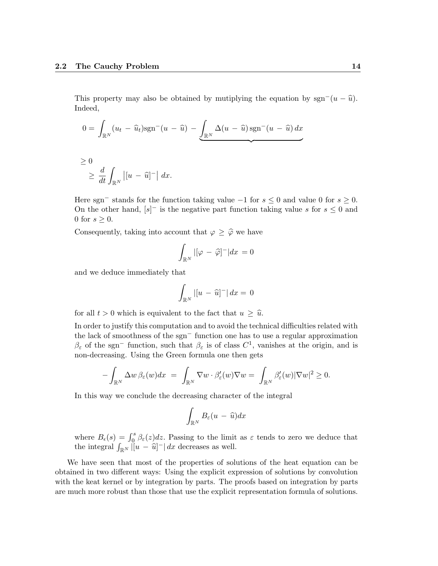This property may also be obtained by mutiplying the equation by sgn<sup>-</sup> $(u - \hat{u})$ . Indeed,

$$
0 = \int_{\mathbb{R}^N} (u_t - \widehat{u}_t) \mathrm{sgn}^-(u - \widehat{u}) - \underbrace{\int_{\mathbb{R}^N} \Delta(u - \widehat{u}) \mathrm{sgn}^-(u - \widehat{u}) dx}_{\text{max}}
$$

$$
\geq 0
$$
  

$$
\geq \frac{d}{dt} \int_{\mathbb{R}^N} |[u - \widehat{u}]^-| dx.
$$

Here sgn<sup>-</sup> stands for the function taking value  $-1$  for  $s \leq 0$  and value 0 for  $s \geq 0$ . On the other hand,  $[s]$ <sup>-</sup> is the negative part function taking value s for  $s \leq 0$  and 0 for  $s \geq 0$ .

Consequently, taking into account that  $\varphi \geq \hat{\varphi}$  we have

$$
\int_{\mathbb{R}^N} |[\varphi - \widehat{\varphi}]^-| dx = 0
$$

and we deduce immediately that

$$
\int_{\mathbb{R}^N} |[u - \widehat{u}]^-| dx = 0
$$

for all  $t > 0$  which is equivalent to the fact that  $u \geq \hat{u}$ .

In order to justify this computation and to avoid the technical difficulties related with the lack of smoothness of the sgn<sup>−</sup> function one has to use a regular approximation  $\beta_{\varepsilon}$  of the sgn<sup>-</sup> function, such that  $\beta_{\varepsilon}$  is of class  $C^1$ , vanishes at the origin, and is non-decreasing. Using the Green formula one then gets

$$
-\int_{\mathbb{R}^N} \Delta w \,\beta_{\varepsilon}(w) dx = \int_{\mathbb{R}^N} \nabla w \cdot \beta'_{\varepsilon}(w) \nabla w = \int_{\mathbb{R}^N} \beta'_{\varepsilon}(w) |\nabla w|^2 \ge 0.
$$

In this way we conclude the decreasing character of the integral

$$
\int_{\mathbb{R}^N} B_{\varepsilon}(u - \widehat{u}) dx
$$

where  $B_{\epsilon}(s) = \int_0^s \beta_{\epsilon}(z) dz$ . Passing to the limit as  $\varepsilon$  tends to zero we deduce that the integral  $\int_{\mathbb{R}^N} |u - \hat{u}|^- | dx$  decreases as well.

We have seen that most of the properties of solutions of the heat equation can be obtained in two different ways: Using the explicit expression of solutions by convolution with the keat kernel or by integration by parts. The proofs based on integration by parts are much more robust than those that use the explicit representation formula of solutions.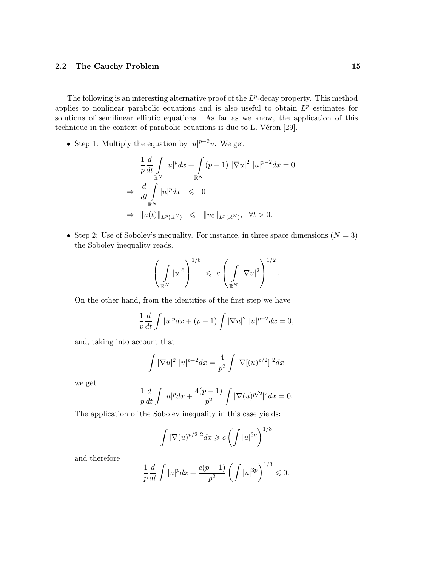The following is an interesting alternative proof of the  $L^p$ -decay property. This method applies to nonlinear parabolic equations and is also useful to obtain  $L^p$  estimates for solutions of semilinear elliptic equations. As far as we know, the application of this technique in the context of parabolic equations is due to L. Véron  $[29]$ .

• Step 1: Multiply the equation by  $|u|^{p-2}u$ . We get

$$
\frac{1}{p} \frac{d}{dt} \int_{\mathbb{R}^N} |u|^p dx + \int_{\mathbb{R}^N} (p-1) |\nabla u|^2 |u|^{p-2} dx = 0
$$
  
\n
$$
\Rightarrow \frac{d}{dt} \int_{\mathbb{R}^N} |u|^p dx \leq 0
$$
  
\n
$$
\Rightarrow \|u(t)\|_{L^p(\mathbb{R}^N)} \leq \|u_0\|_{L^p(\mathbb{R}^N)}, \quad \forall t > 0.
$$

• Step 2: Use of Sobolev's inequality. For instance, in three space dimensions  $(N = 3)$ the Sobolev inequality reads.

$$
\left(\int\limits_{\mathbb{R}^N}|u|^6\right)^{1/6}\ \leqslant\ c\left(\int\limits_{\mathbb{R}^N}|\nabla u|^2\right)^{1/2}.
$$

On the other hand, from the identities of the first step we have

$$
\frac{1}{p}\frac{d}{dt}\int |u|^p dx + (p-1)\int |\nabla u|^2 |u|^{p-2} dx = 0,
$$

and, taking into account that

$$
\int |\nabla u|^2 |u|^{p-2} dx = \frac{4}{p^2} \int |\nabla [(u)^{p/2}]|^2 dx
$$

we get

$$
\frac{1}{p}\frac{d}{dt}\int |u|^p dx + \frac{4(p-1)}{p^2}\int |\nabla(u)^{p/2}|^2 dx = 0.
$$

The application of the Sobolev inequality in this case yields:

$$
\int |\nabla(u)^{p/2}|^2 dx \geqslant c \left( \int |u|^{3p} \right)^{1/3}
$$

and therefore

$$
\frac{1}{p}\frac{d}{dt}\int |u|^p dx + \frac{c(p-1)}{p^2} \left(\int |u|^{3p}\right)^{1/3} \leq 0.
$$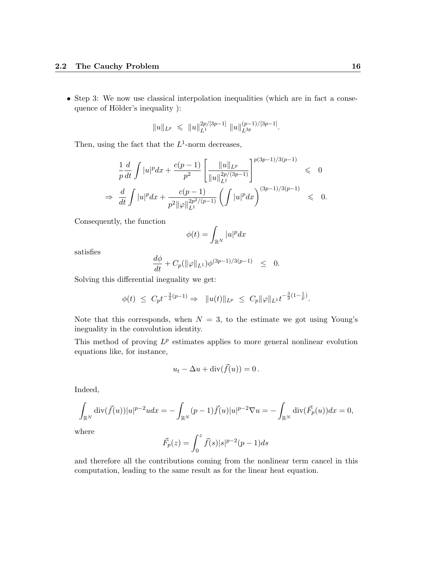• Step 3: We now use classical interpolation inequalities (which are in fact a consequence of Hölder's inequality ):

$$
||u||_{L^p} \le ||u||_{L^1}^{2p/[3p-1]} ||u||_{L^{3p}}^{(p-1)/[3p-1]}.
$$

Then, using the fact that the  $L^1$ -norm decreases,

$$
\frac{1}{p}\frac{d}{dt}\int |u|^p dx + \frac{c(p-1)}{p^2} \left[ \frac{\|u\|_{L^p}}{\|u\|_{L^1}^{2p/(3p-1)}} \right]^{p(3p-1)/3(p-1)} \leq 0
$$
\n
$$
\Rightarrow \frac{d}{dt}\int |u|^p dx + \frac{c(p-1)}{p^2 \|\varphi\|_{L^1}^{2p^2/(p-1)}} \left( \int |u|^p dx \right)^{(3p-1)/3(p-1)} \leq 0.
$$

Consequently, the function

$$
\phi(t) = \int_{\mathbb{R}^N} |u|^p dx
$$

satisfies

$$
\frac{d\phi}{dt} + C_p(\|\varphi\|_{L^1})\phi^{(3p-1)/3(p-1)} \leq 0.
$$

Solving this differential ineguality we get:

$$
\phi(t) \leq C_p t^{-\frac{3}{2}(p-1)} \Rightarrow \|u(t)\|_{L^p} \leq C_p \|\varphi\|_{L^1} t^{-\frac{3}{2}(1-\frac{1}{p})}.
$$

Note that this corresponds, when  $N = 3$ , to the estimate we got using Young's ineguality in the convolution identity.

This method of proving  $L^p$  estimates applies to more general nonlinear evolution equations like, for instance,

$$
u_t - \Delta u + \operatorname{div}(\vec{f}(u)) = 0.
$$

Indeed,

$$
\int_{\mathbb{R}^N} \text{div}(\vec{f}(u)) |u|^{p-2} u dx = -\int_{\mathbb{R}^N} (p-1) \vec{f}(u) |u|^{p-2} \nabla u = -\int_{\mathbb{R}^N} \text{div}(\vec{F}_p(u)) dx = 0,
$$

where

$$
\vec{F}_p(z) = \int_0^z \vec{f}(s)|s|^{p-2}(p-1)ds
$$

and therefore all the contributions coming from the nonlinear term cancel in this computation, leading to the same result as for the linear heat equation.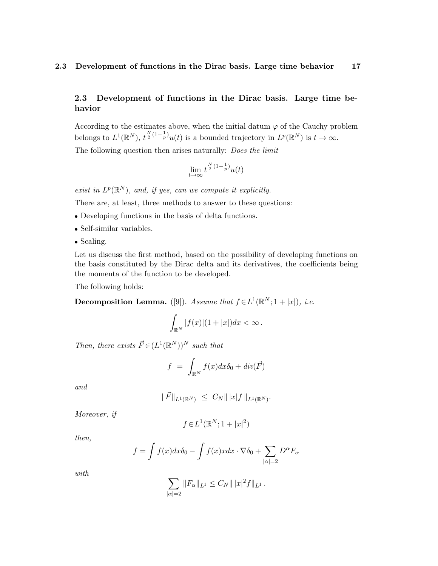### 2.3 Development of functions in the Dirac basis. Large time behavior

According to the estimates above, when the initial datum  $\varphi$  of the Cauchy problem belongs to  $L^1(\mathbb{R}^N)$ ,  $t^{\frac{N}{2}(1-\frac{1}{p})}u(t)$  is a bounded trajectory in  $L^p(\mathbb{R}^N)$  is  $t \to \infty$ .

The following question then arises naturally: *Does the limit* 

$$
\lim_{t \to \infty} t^{\frac{N}{2}(1-\frac{1}{p})} u(t)
$$

exist in  $L^p(\mathbb{R}^N)$ , and, if yes, can we compute it explicitly.

There are, at least, three methods to answer to these questions:

- Developing functions in the basis of delta functions.
- Self-similar variables.
- Scaling.

Let us discuss the first method, based on the possibility of developing functions on the basis constituted by the Dirac delta and its derivatives, the coefficients being the momenta of the function to be developed.

The following holds:

Decomposition Lemma. ([9]). Assume that  $f \in L^1(\mathbb{R}^N; 1 + |x|)$ , i.e.

$$
\int_{\mathbb{R}^N} |f(x)|(1+|x|)dx < \infty.
$$

Then, there exists  $\vec{F} \in (L^1(\mathbb{R}^N))^N$  such that

$$
f = \int_{\mathbb{R}^N} f(x) dx \delta_0 + div(\vec{F})
$$

and

$$
\|\vec{F}\|_{L^1(\mathbb{R}^N)} \ \leq \ C_N \||x|f\|_{L^1(\mathbb{R}^N)}.
$$

Moreover, if

$$
f \in L^1(\mathbb{R}^N; 1+|x|^2)
$$

then,

$$
f = \int f(x)dx\delta_0 - \int f(x)xdx \cdot \nabla \delta_0 + \sum_{|\alpha|=2} D^{\alpha}F_{\alpha}
$$

with

$$
\sum_{|\alpha|=2} ||F_{\alpha}||_{L^{1}} \leq C_{N} ||x|^{2} f||_{L^{1}}.
$$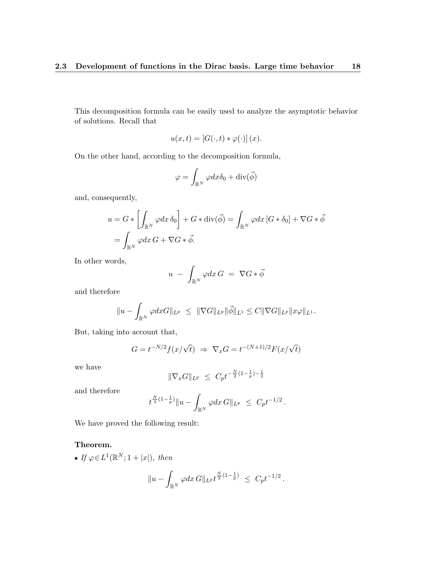This decomposition formula can be easily used to analyze the asymptotic behavior of solutions. Recall that

$$
u(x,t) = [G(\cdot,t) * \varphi(\cdot)](x).
$$

On the other hand, according to the decomposition formula,

$$
\varphi = \int_{\mathbb{R}^N} \varphi dx \delta_0 + \text{div}(\vec{\phi})
$$

and, consequently,

$$
u = G * \left[ \int_{\mathbb{R}^N} \varphi dx \, \delta_0 \right] + G * \text{div}(\vec{\phi}) = \int_{\mathbb{R}^N} \varphi dx \, [G * \delta_0] + \nabla G * \vec{\phi}
$$

$$
= \int_{\mathbb{R}^N} \varphi dx \, G + \nabla G * \vec{\phi}.
$$

In other words,

$$
u - \int_{\mathbb{R}^N} \varphi dx G = \nabla G * \vec{\phi}
$$

and therefore

$$
||u - \int_{\mathbb{R}^N} \varphi dx G||_{L^p} \le ||\nabla G||_{L^p} ||\vec{\phi}||_{L^1} \le C ||\nabla G||_{L^p} ||x\varphi||_{L^1}.
$$

But, taking into account that,

$$
G = t^{-N/2} f(x/\sqrt{t}) \Rightarrow \nabla_x G = t^{-(N+1)/2} F(x/\sqrt{t})
$$

we have

$$
\|\nabla_x G\|_{L^p} \ \leq \ C_p t^{-\frac{N}{2}(1-\frac{1}{p})-\frac{1}{2}}
$$

and therefore

$$
t^{\frac{N}{2}(1-\frac{1}{p})}||u-\int_{\mathbb{R}^N}\varphi dx\,G||_{L^p} \leq C_pt^{-1/2}.
$$

We have proved the following result:

### Theorem.

• If  $\varphi \in L^1(\mathbb{R}^N; 1+|x|)$ , then

$$
||u - \int_{\mathbb{R}^N} \varphi dx \, G||_{L^p} t^{\frac{N}{2}(1-\frac{1}{p})} \leq C_p t^{-1/2} \, .
$$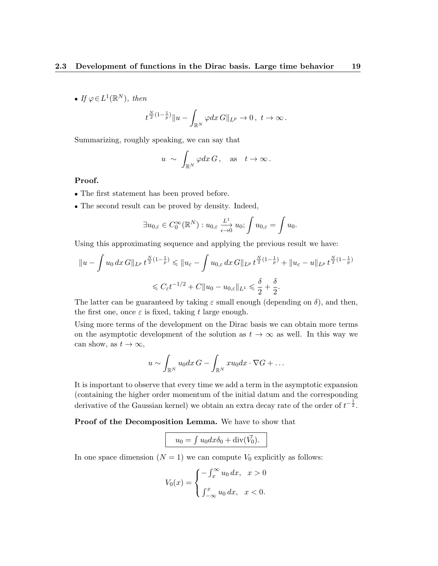• If  $\varphi \in L^1(\mathbb{R}^N)$ , then

$$
t^{\frac{N}{2}(1-\frac{1}{p})}||u-\int_{\mathbb{R}^N}\varphi dx\,G||_{L^p}\to 0\,,\,\,t\to\infty\,.
$$

Summarizing, roughly speaking, we can say that

$$
u \sim \int_{\mathbb{R}^N} \varphi dx \, G
$$
, as  $t \to \infty$ .

### Proof.

- The first statement has been proved before.
- The second result can be proved by density. Indeed,

$$
\exists u_{0,\varepsilon} \in C_0^{\infty}(\mathbb{R}^N) : u_{0,\varepsilon} \xrightarrow[\epsilon \to 0]{L^1} u_0; \int u_{0,\varepsilon} = \int u_0.
$$

Using this approximating sequence and applying the previous result we have:

$$
||u - \int u_0 dx G||_{L^p} t^{\frac{N}{2}(1 - \frac{1}{p})} \le ||u_{\varepsilon} - \int u_{0,\varepsilon} dx G||_{L^p} t^{\frac{N}{2}(1 - \frac{1}{p})} + ||u_{\varepsilon} - u||_{L^p} t^{\frac{N}{2}(1 - \frac{1}{p})}
$$
  

$$
\le C_{\varepsilon} t^{-1/2} + C||u_0 - u_{0,\varepsilon}||_{L^1} \le \frac{\delta}{2} + \frac{\delta}{2}.
$$

The latter can be guaranteed by taking  $\varepsilon$  small enough (depending on  $\delta$ ), and then, the first one, once  $\varepsilon$  is fixed, taking t large enough.

Using more terms of the development on the Dirac basis we can obtain more terms on the asymptotic development of the solution as  $t \to \infty$  as well. In this way we can show, as  $t \to \infty$ ,

$$
u \sim \int_{\mathbb{R}^N} u_0 dx G - \int_{\mathbb{R}^N} x u_0 dx \cdot \nabla G + \dots
$$

It is important to observe that every time we add a term in the asymptotic expansion (containing the higher order momentum of the initial datum and the corresponding derivative of the Gaussian kernel) we obtain an extra decay rate of the order of  $t^{-\frac{1}{2}}$ .

Proof of the Decomposition Lemma. We have to show that

$$
u_0 = \int u_0 dx \delta_0 + \operatorname{div}(\vec{V_0}).
$$

In one space dimension  $(N = 1)$  we can compute  $V_0$  explicitly as follows:

$$
V_0(x) = \begin{cases} -\int_x^\infty u_0 dx, & x > 0 \\ \int_{-\infty}^x u_0 dx, & x < 0. \end{cases}
$$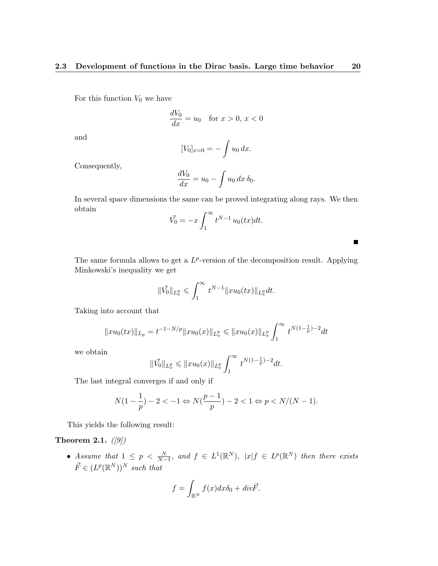For this function  $V_0$  we have

$$
\frac{dV_0}{dx} = u_0 \quad \text{for } x > 0, x < 0
$$

and

$$
[V_0]_{x=0} = -\int u_0 \, dx.
$$

Consequently,

$$
\frac{dV_0}{dx} = u_0 - \int u_0 dx \, \delta_0.
$$

In several space dimensions the same can be proved integrating along rays. We then obtain

$$
\vec{V_0} = -x \int_1^\infty t^{N-1} u_0(tx) dt.
$$

The same formula allows to get a  $L^p$ -version of the decomposition result. Applying Minkowski's inequality we get

$$
\|\vec{V_0}\|_{L^p_x} \leqslant \int_1^\infty t^{N-1} \|xu_0(tx)\|_{L^p_x} dt.
$$

Taking into account that

$$
||xu_0(tx)||_{L_p} = t^{-1-N/p} ||xu_0(x)||_{L_x^p} \le ||xu_0(x)||_{L_x^p} \int_1^\infty t^{N(1-\frac{1}{p})-2} dt
$$

we obtain

$$
\|\vec{V_0}\|_{L^p_x} \leqslant \|xu_0(x)\|_{L^p_x} \int_1^\infty t^{N(1-\frac{1}{p})-2} dt.
$$

The last integral converges if and only if

$$
N(1 - \frac{1}{p}) - 2 < -1 \Leftrightarrow N(\frac{p-1}{p}) - 2 < 1 \Leftrightarrow p < N/(N-1).
$$

This yields the following result:

### Theorem 2.1.  $(|9|)$

• Assume that  $1 \leq p \leq \frac{N}{N-1}$ , and  $f \in L^{1}(\mathbb{R}^{N})$ ,  $|x| f \in L^{p}(\mathbb{R}^{N})$  then there exists  $\vec{F} \in (L^p(\mathbb{R}^N))^N$  such that

$$
f = \int_{\mathbb{R}^N} f(x) dx \delta_0 + div \vec{F}.
$$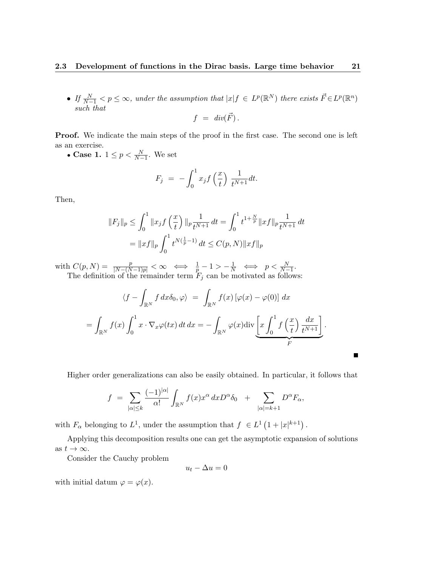• If  $\frac{N}{N-1} < p \leq \infty$ , under the assumption that  $|x| f \in L^p(\mathbb{R}^N)$  there exists  $\vec{F} \in L^p(\mathbb{R}^n)$ such that

$$
f = div(\vec{F}) .
$$

Proof. We indicate the main steps of the proof in the first case. The second one is left as an exercise.

• Case 1.  $1 \leq p < \frac{N}{N-1}$ . We set

$$
F_j = -\int_0^1 x_j f\left(\frac{x}{t}\right) \frac{1}{t^{N+1}} dt.
$$

Then,

$$
||F_j||_p \le \int_0^1 ||x_j f\left(\frac{x}{t}\right)||_p \frac{1}{t^{N+1}} dt = \int_0^1 t^{1+\frac{N}{p}} ||x f||_p \frac{1}{t^{N+1}} dt
$$
  
=  $||x f||_p \int_0^1 t^{N(\frac{1}{p}-1)} dt \le C(p, N) ||x f||_p$ 

with  $C(p, N) = \frac{p}{|N-(N-1)p|} < \infty \iff \frac{1}{p} - 1 > -\frac{1}{N} \iff p < \frac{N}{N-1}$ . The definition of the remainder term  $F_j$  can be motivated as follows:

$$
\langle f - \int_{\mathbb{R}^N} f \, dx \delta_0, \varphi \rangle = \int_{\mathbb{R}^N} f(x) \left[ \varphi(x) - \varphi(0) \right] \, dx
$$
  
= 
$$
\int_{\mathbb{R}^N} f(x) \int_0^1 x \cdot \nabla_x \varphi(tx) \, dt \, dx = - \int_{\mathbb{R}^N} \varphi(x) \operatorname{div} \underbrace{\left[ x \int_0^1 f \left( \frac{x}{t} \right) \frac{dx}{t^{N+1}} \right]}_{F}.
$$

Г

Higher order generalizations can also be easily obtained. In particular, it follows that

$$
f = \sum_{|\alpha| \leq k} \frac{(-1)^{|\alpha|}}{\alpha!} \int_{\mathbb{R}^N} f(x) x^{\alpha} dx D^{\alpha} \delta_0 + \sum_{|\alpha|=k+1} D^{\alpha} F_{\alpha},
$$

with  $F_{\alpha}$  belonging to  $L^1$ , under the assumption that  $f \in L^1(1+|x|^{k+1})$ .

Applying this decomposition results one can get the asymptotic expansion of solutions as  $t \to \infty$ .

Consider the Cauchy problem

$$
u_t - \Delta u = 0
$$

with initial datum  $\varphi = \varphi(x)$ .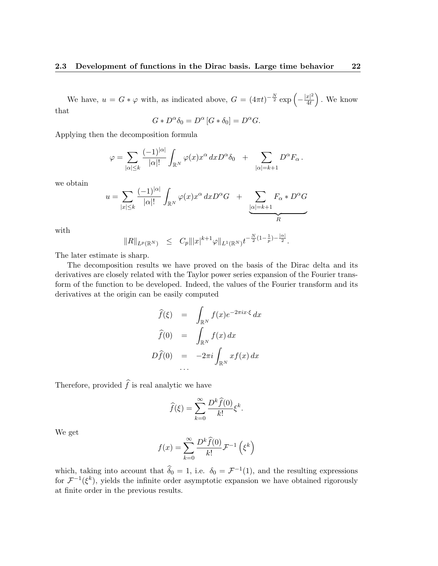We have,  $u = G * \varphi$  with, as indicated above,  $G = (4\pi t)^{-\frac{N}{2}} \exp \left(-\frac{|x|^2}{4t}\right)$  $\frac{|x|^2}{4t}$ . We know that

$$
G * D^{\alpha} \delta_0 = D^{\alpha} [G * \delta_0] = D^{\alpha} G.
$$

Applying then the decomposition formula

$$
\varphi = \sum_{|\alpha| \leq k} \frac{(-1)^{|\alpha|}}{|\alpha|!} \int_{\mathbb{R}^N} \varphi(x) x^{\alpha} dx D^{\alpha} \delta_0 + \sum_{|\alpha| = k+1} D^{\alpha} F_{\alpha}.
$$

we obtain

$$
u = \sum_{|x| \le k} \frac{(-1)^{|\alpha|}}{|\alpha|!} \int_{\mathbb{R}^N} \varphi(x) x^{\alpha} dx D^{\alpha} G + \underbrace{\sum_{|\alpha|=k+1} F_{\alpha} * D^{\alpha} G}_{R}
$$

with

$$
||R||_{L^p(\mathbb{R}^N)} \leq C_p |||x|^{k+1} \varphi||_{L^1(\mathbb{R}^N)} t^{-\frac{N}{2}(1-\frac{1}{p})-\frac{|\alpha|}{2}}.
$$

The later estimate is sharp.

The decomposition results we have proved on the basis of the Dirac delta and its derivatives are closely related with the Taylor power series expansion of the Fourier transform of the function to be developed. Indeed, the values of the Fourier transform and its derivatives at the origin can be easily computed

$$
\widehat{f}(\xi) = \int_{\mathbb{R}^N} f(x)e^{-2\pi ix\cdot\xi} dx
$$

$$
\widehat{f}(0) = \int_{\mathbb{R}^N} f(x) dx
$$

$$
D\widehat{f}(0) = -2\pi i \int_{\mathbb{R}^N} x f(x) dx
$$
...

Therefore, provided  $\widehat{f}$  is real analytic we have

$$
\widehat{f}(\xi) = \sum_{k=0}^{\infty} \frac{D^k \widehat{f}(0)}{k!} \xi^k.
$$

We get

$$
f(x) = \sum_{k=0}^{\infty} \frac{D^k \hat{f}(0)}{k!} \mathcal{F}^{-1}\left(\xi^k\right)
$$

which, taking into account that  $\hat{\delta}_0 = 1$ , i.e.  $\delta_0 = \mathcal{F}^{-1}(1)$ , and the resulting expressions for  $\mathcal{F}^{-1}(\xi^k)$ , yields the infinite order asymptotic expansion we have obtained rigorously at finite order in the previous results.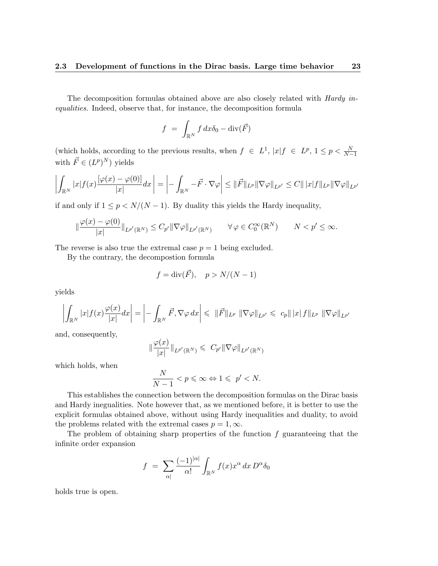The decomposition formulas obtained above are also closely related with Hardy inequalities. Indeed, observe that, for instance, the decomposition formula

$$
f = \int_{\mathbb{R}^N} f \, dx \delta_0 - \text{div}(\vec{F})
$$

(which holds, according to the previous results, when  $f \in L^1$ ,  $|x|f \in L^p$ ,  $1 \le p < \frac{N}{N-1}$ with  $\vec{F} \in (L^p)^N$  yields

$$
\left| \int_{\mathbb{R}^N} |x| f(x) \frac{\left[ \varphi(x) - \varphi(0) \right]}{|x|} dx \right| = \left| - \int_{\mathbb{R}^N} -\vec{F} \cdot \nabla \varphi \right| \leq \|\vec{F}\|_{L^p} \|\nabla \varphi\|_{L^{p'}} \leq C \|\, |x| f \|_{L^p} \|\nabla \varphi\|_{L^{p'}}
$$

if and only if  $1 \leq p \leq N/(N-1)$ . By duality this yields the Hardy inequality,

$$
\|\frac{\varphi(x)-\varphi(0)}{|x|}\|_{L^{p'}(\mathbb{R}^N)} \leq C_{p'}\|\nabla\varphi\|_{L^{p'}(\mathbb{R}^N)} \qquad \forall \varphi \in C_0^{\infty}(\mathbb{R}^N) \qquad N < p' \leq \infty.
$$

The reverse is also true the extremal case  $p = 1$  being excluded.

By the contrary, the decompostion formula

$$
f = \operatorname{div}(\vec{F}), \quad p > N/(N-1)
$$

yields

$$
\left| \int_{\mathbb{R}^N} |x| f(x) \frac{\varphi(x)}{|x|} dx \right| = \left| - \int_{\mathbb{R}^N} \vec{F}, \nabla \varphi dx \right| \leqslant ||\vec{F}||_{L^p} ||\nabla \varphi||_{L^{p'}} \leqslant c_p ||x| f ||_{L^p} ||\nabla \varphi||_{L^{p'}}
$$

and, consequently,

$$
\|\frac{\varphi(x)}{|x|}\|_{L^{p'}(\mathbb{R}^N)} \leqslant C_{p'}\|\nabla\varphi\|_{L^{p'}(\mathbb{R}^N)}
$$

which holds, when

$$
\frac{N}{N-1} < p \leqslant \infty \Leftrightarrow 1 \leqslant p' < N.
$$

This establishes the connection between the decomposition formulas on the Dirac basis and Hardy inegualities. Note however that, as we mentioned before, it is better to use the explicit formulas obtained above, without using Hardy inequalities and duality, to avoid the problems related with the extremal cases  $p = 1, \infty$ .

The problem of obtaining sharp properties of the function  $f$  guaranteeing that the infinite order expansion

$$
f = \sum_{|\alpha|} \frac{(-1)^{|\alpha|}}{\alpha!} \int_{\mathbb{R}^N} f(x) x^{\alpha} dx D^{\alpha} \delta_0
$$

holds true is open.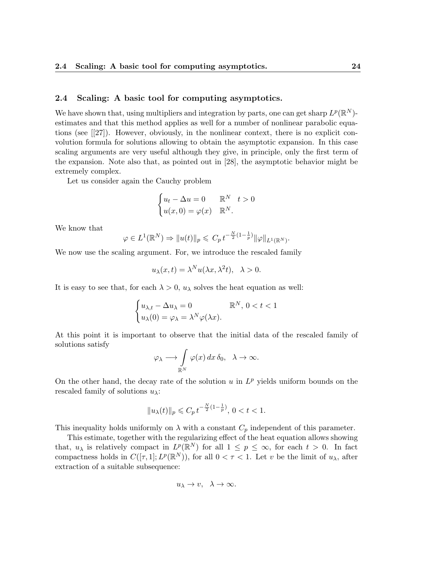#### 2.4 Scaling: A basic tool for computing asymptotics.

We have shown that, using multipliers and integration by parts, one can get sharp  $L^p(\mathbb{R}^N)$ estimates and that this method applies as well for a number of nonlinear parabolic equations (see [[27]). However, obviously, in the nonlinear context, there is no explicit convolution formula for solutions allowing to obtain the asymptotic expansion. In this case scaling arguments are very useful although they give, in principle, only the first term of the expansion. Note also that, as pointed out in [28], the asymptotic behavior might be extremely complex.

Let us consider again the Cauchy problem

$$
\begin{cases} u_t - \Delta u = 0 & \mathbb{R}^N \quad t > 0 \\ u(x, 0) = \varphi(x) & \mathbb{R}^N. \end{cases}
$$

We know that

$$
\varphi \in L^1(\mathbb{R}^N) \Rightarrow \|u(t)\|_p \leqslant C_p t^{-\frac{N}{2}(1-\frac{1}{p})} \|\varphi\|_{L^1(\mathbb{R}^N)}.
$$

We now use the scaling argument. For, we introduce the rescaled family

$$
u_{\lambda}(x,t) = \lambda^N u(\lambda x, \lambda^2 t), \quad \lambda > 0.
$$

It is easy to see that, for each  $\lambda > 0$ ,  $u_{\lambda}$  solves the heat equation as well:

$$
\begin{cases} u_{\lambda,t} - \Delta u_{\lambda} = 0 & \mathbb{R}^N, \ 0 < t < 1 \\ u_{\lambda}(0) = \varphi_{\lambda} = \lambda^N \varphi(\lambda x). \end{cases}
$$

At this point it is important to observe that the initial data of the rescaled family of solutions satisfy

$$
\varphi_{\lambda} \longrightarrow \int\limits_{\mathbb{R}^N} \varphi(x) \, dx \, \delta_0, \quad \lambda \to \infty.
$$

On the other hand, the decay rate of the solution  $u$  in  $L^p$  yields uniform bounds on the rescaled family of solutions  $u_{\lambda}$ :

$$
||u_{\lambda}(t)||_{p} \leqslant C_{p} t^{-\frac{N}{2}(1-\frac{1}{p})}, 0 < t < 1.
$$

This inequality holds uniformly on  $\lambda$  with a constant  $C_p$  independent of this parameter.

This estimate, together with the regularizing effect of the heat equation allows showing that,  $u_{\lambda}$  is relatively compact in  $L^p(\mathbb{R}^N)$  for all  $1 \leq p \leq \infty$ , for each  $t > 0$ . In fact compactness holds in  $C([\tau, 1]; L^p(\mathbb{R}^N))$ , for all  $0 < \tau < 1$ . Let v be the limit of  $u_\lambda$ , after extraction of a suitable subsequence:

$$
u_\lambda \to v, \ \lambda \to \infty.
$$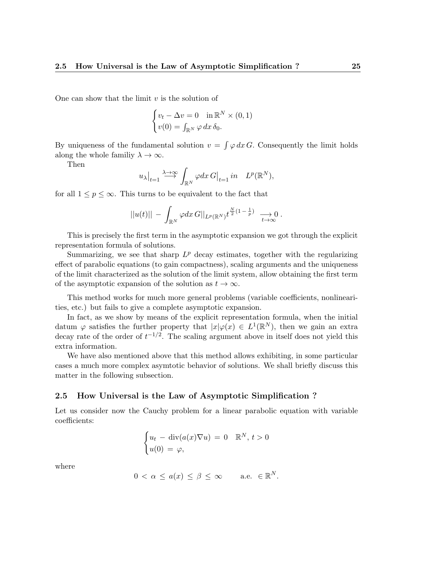One can show that the limit  $v$  is the solution of

$$
\begin{cases} v_t - \Delta v = 0 & \text{in } \mathbb{R}^N \times (0, 1) \\ v(0) = \int_{\mathbb{R}^N} \varphi \, dx \, \delta_0. \end{cases}
$$

By uniqueness of the fundamental solution  $v = \int \varphi \, dx \, G$ . Consequently the limit holds along the whole familiy  $\lambda \to \infty$ .

Then

$$
u_{\lambda}|_{t=1} \stackrel{\lambda \to \infty}{\longrightarrow} \int_{\mathbb{R}^N} \varphi dx \, G|_{t=1} \, in \quad L^p(\mathbb{R}^N),
$$

for all  $1 \leq p \leq \infty$ . This turns to be equivalent to the fact that

$$
||u(t)|| - \int_{\mathbb{R}^N} \varphi dx \, G||_{L^p(\mathbb{R}^N)} t^{\frac{N}{2}(1-\frac{1}{p})} \longrightarrow 0.
$$

This is precisely the first term in the asymptotic expansion we got through the explicit representation formula of solutions.

Summarizing, we see that sharp  $L^p$  decay estimates, together with the regularizing effect of parabolic equations (to gain compactness), scaling arguments and the uniqueness of the limit characterized as the solution of the limit system, allow obtaining the first term of the asymptotic expansion of the solution as  $t \to \infty$ .

This method works for much more general problems (variable coefficients, nonlinearities, etc.) but fails to give a complete asymptotic expansion.

In fact, as we show by means of the explicit representation formula, when the initial datum  $\varphi$  satisfies the further property that  $|x|\varphi(x) \in L^1(\mathbb{R}^N)$ , then we gain an extra decay rate of the order of  $t^{-1/2}$ . The scaling argument above in itself does not yield this extra information.

We have also mentioned above that this method allows exhibiting, in some particular cases a much more complex asymtotic behavior of solutions. We shall briefly discuss this matter in the following subsection.

#### 2.5 How Universal is the Law of Asymptotic Simplification ?

Let us consider now the Cauchy problem for a linear parabolic equation with variable coefficients:

$$
\begin{cases} u_t - \operatorname{div}(a(x)\nabla u) = 0 & \mathbb{R}^N, t > 0 \\ u(0) = \varphi, \end{cases}
$$

where

$$
0 < \alpha \le a(x) \le \beta \le \infty \quad \text{a.e. } \in \mathbb{R}^N.
$$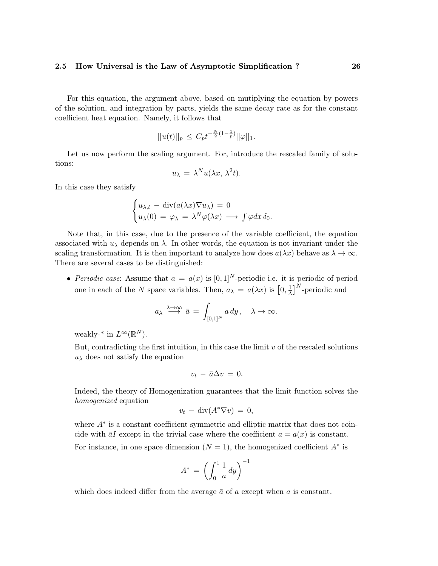For this equation, the argument above, based on mutiplying the equation by powers of the solution, and integration by parts, yields the same decay rate as for the constant coefficient heat equation. Namely, it follows that

$$
||u(t)||_p \leq C_p t^{-\frac{N}{2}(1-\frac{1}{p})} ||\varphi||_1.
$$

Let us now perform the scaling argument. For, introduce the rescaled family of solutions:

$$
u_{\lambda} = \lambda^N u(\lambda x, \lambda^2 t).
$$

In this case they satisfy

$$
\begin{cases} u_{\lambda,t} - \operatorname{div}(a(\lambda x) \nabla u_{\lambda}) = 0 \\ u_{\lambda}(0) = \varphi_{\lambda} = \lambda^N \varphi(\lambda x) \longrightarrow \int \varphi dx \, \delta_0. \end{cases}
$$

Note that, in this case, due to the presence of the variable coefficient, the equation associated with  $u_{\lambda}$  depends on  $\lambda$ . In other words, the equation is not invariant under the scaling transformation. It is then important to analyze how does  $a(\lambda x)$  behave as  $\lambda \to \infty$ . There are several cases to be distinguished:

• Periodic case: Assume that  $a = a(x)$  is  $[0,1]^N$ -periodic i.e. it is periodic of period one in each of the N space variables. Then,  $a_{\lambda} = a(\lambda x)$  is  $[0, \frac{1}{\lambda}]$  $\frac{1}{\lambda}$ ]<sup>N</sup>-periodic and

$$
a_{\lambda} \stackrel{\lambda \to \infty}{\longrightarrow} \bar{a} = \int_{[0,1]^N} a \, dy \, , \quad \lambda \to \infty.
$$

weakly-<sup>\*</sup> in  $L^{\infty}(\mathbb{R}^N)$ .

But, contradicting the first intuition, in this case the limit  $v$  of the rescaled solutions  $u_{\lambda}$  does not satisfy the equation

$$
v_t - \bar{a}\Delta v = 0.
$$

Indeed, the theory of Homogenization guarantees that the limit function solves the homogenized equation

$$
v_t - \operatorname{div}(A^*\nabla v) = 0,
$$

where  $A^*$  is a constant coefficient symmetric and elliptic matrix that does not coincide with  $\bar{a}I$  except in the trivial case where the coefficient  $a = a(x)$  is constant. For instance, in one space dimension  $(N = 1)$ , the homogenized coefficient  $A^*$  is

$$
A^* = \left(\int_0^1 \frac{1}{a} \, dy\right)^{-1}
$$

which does indeed differ from the average  $\bar{a}$  of a except when a is constant.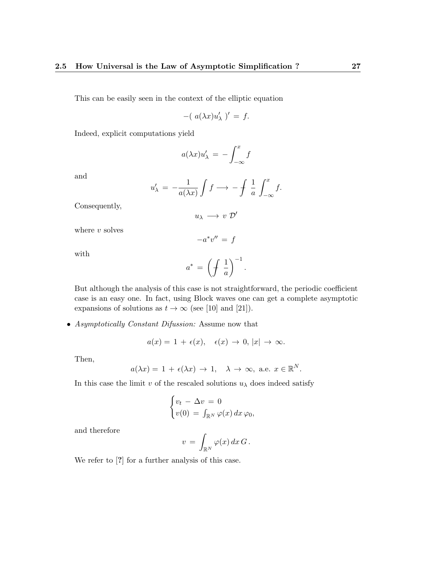This can be easily seen in the context of the elliptic equation

$$
-(a(\lambda x)u'_{\lambda})' = f.
$$

Indeed, explicit computations yield

$$
a(\lambda x)u'_{\lambda} = -\int_{-\infty}^{x} f
$$

and

$$
u'_{\lambda} = -\frac{1}{a(\lambda x)} \int f \longrightarrow -\int \frac{1}{a} \int_{-\infty}^{x} f.
$$

Consequently,

$$
u_\lambda\, \longrightarrow\, v\, \, \mathcal{D}'
$$

 $-a^*v'' = f$ 

where  $v$  solves

with

$$
a^* \,=\, \left(\displaystyle\int \,\frac{1}{a}\right)^{-1}.
$$

But although the analysis of this case is not straightforward, the periodic coefficient case is an easy one. In fact, using Block waves one can get a complete asymptotic expansions of solutions as  $t \to \infty$  (see [10] and [21]).

• Asymptotically Constant Difussion: Assume now that

$$
a(x) = 1 + \epsilon(x), \quad \epsilon(x) \to 0, |x| \to \infty.
$$

Then,

$$
a(\lambda x) = 1 + \epsilon(\lambda x) \to 1, \quad \lambda \to \infty, \text{ a.e. } x \in \mathbb{R}^N.
$$

In this case the limit v of the rescaled solutions  $u_{\lambda}$  does indeed satisfy

$$
\begin{cases} v_t - \Delta v = 0 \\ v(0) = \int_{\mathbb{R}^N} \varphi(x) \, dx \, \varphi_0, \end{cases}
$$

and therefore

$$
v\,=\,\int_{\mathbb{R}^N}\varphi(x)\,dx\,G\,.
$$

We refer to  $[?]$  for a further analysis of this case.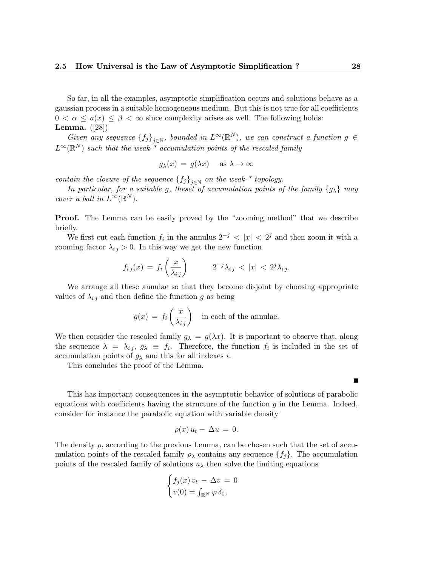So far, in all the examples, asymptotic simplification occurs and solutions behave as a gaussian process in a suitable homogeneous medium. But this is not true for all coefficients  $0 < \alpha \leq a(x) \leq \beta < \infty$  since complexity arises as well. The following holds: Lemma. ([28])

Given any sequence  ${f_j}_{j\in\mathbb{N}}$ , bounded in  $L^{\infty}(\mathbb{R}^N)$ , we can construct a function  $g \in$  $L^{\infty}(\mathbb{R}^N)$  such that the weak-\* accumulation points of the rescaled family

$$
g_{\lambda}(x) = g(\lambda x) \quad \text{ as } \lambda \to \infty
$$

contain the closure of the sequence  ${f_j}_{j\in\mathbb{N}}$  on the weak-\* topology.

In particular, for a suitable g, theset of accumulation points of the family  $\{g_{\lambda}\}\$  may cover a ball in  $L^{\infty}(\mathbb{R}^N)$ .

Proof. The Lemma can be easily proved by the "zooming method" that we describe briefly.

We first cut each function  $f_i$  in the annulus  $2^{-j}$  <  $|x|$  <  $2^{j}$  and then zoom it with a zooming factor  $\lambda_{ij} > 0$ . In this way we get the new function

$$
f_{ij}(x) = f_i\left(\frac{x}{\lambda_{ij}}\right) \qquad 2^{-j}\lambda_{ij} < |x| < 2^j\lambda_{ij}.
$$

We arrange all these annulae so that they become disjoint by choosing appropriate values of  $\lambda_{ij}$  and then define the function g as being

$$
g(x) = f_i\left(\frac{x}{\lambda_{ij}}\right)
$$
 in each of the annulae.

We then consider the rescaled family  $g_{\lambda} = g(\lambda x)$ . It is important to observe that, along the sequence  $\lambda = \lambda_{ij}, g_{\lambda} \equiv f_i$ . Therefore, the function  $f_i$  is included in the set of accumulation points of  $g_{\lambda}$  and this for all indexes i.

This concludes the proof of the Lemma.

This has important consequences in the asymptotic behavior of solutions of parabolic equations with coefficients having the structure of the function  $q$  in the Lemma. Indeed, consider for instance the parabolic equation with variable density

$$
\rho(x) u_t - \Delta u = 0.
$$

The density  $\rho$ , according to the previous Lemma, can be chosen such that the set of accumulation points of the rescaled family  $\rho_{\lambda}$  contains any sequence  $\{f_j\}$ . The accumulation points of the rescaled family of solutions  $u_{\lambda}$  then solve the limiting equations

$$
\begin{cases} f_j(x) v_t - \Delta v = 0 \\ v(0) = \int_{\mathbb{R}^N} \varphi \, \delta_0, \end{cases}
$$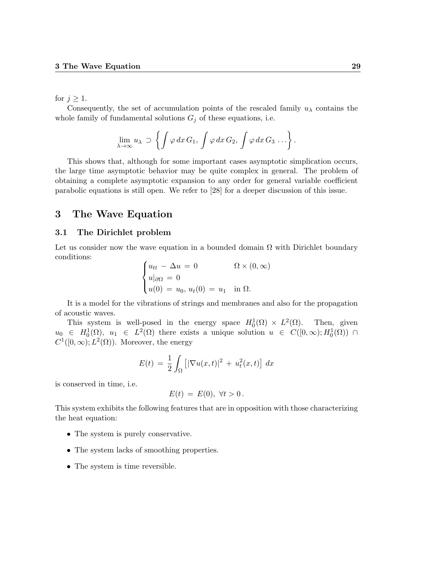for  $j \geq 1$ .

Consequently, the set of accumulation points of the rescaled family  $u_\lambda$  contains the whole family of fundamental solutions  $G_j$  of these equations, i.e.

$$
\lim_{\lambda \to \infty} u_{\lambda} \supset \left\{ \int \varphi \, dx \, G_1, \, \int \varphi \, dx \, G_2, \, \int \varphi \, dx \, G_3 \, \ldots \right\}.
$$

This shows that, although for some important cases asymptotic simplication occurs, the large time asymptotic behavior may be quite complex in general. The problem of obtaining a complete asymptotic expansion to any order for general variable coefficient parabolic equations is still open. We refer to [28] for a deeper discussion of this issue.

### 3 The Wave Equation

#### 3.1 The Dirichlet problem

Let us consider now the wave equation in a bounded domain  $\Omega$  with Dirichlet boundary conditions:

$$
\begin{cases} u_{tt} - \Delta u = 0 & \Omega \times (0, \infty) \\ u|_{\partial \Omega} = 0 \\ u(0) = u_0, u_t(0) = u_1 \text{ in } \Omega. \end{cases}
$$

It is a model for the vibrations of strings and membranes and also for the propagation of acoustic waves.

This system is well-posed in the energy space  $H_0^1(\Omega) \times L^2(\Omega)$ . Then, given  $u_0 \in H_0^1(\Omega)$ ,  $u_1 \in L^2(\Omega)$  there exists a unique solution  $u \in C([0,\infty);H_0^1(\Omega))$   $\cap$  $C^1([0,\infty); L^2(\Omega))$ . Moreover, the energy

$$
E(t) = \frac{1}{2} \int_{\Omega} \left[ |\nabla u(x, t)|^2 + u_t^2(x, t) \right] dx
$$

is conserved in time, i.e.

$$
E(t) = E(0), \forall t > 0.
$$

This system exhibits the following features that are in opposition with those characterizing the heat equation:

- The system is purely conservative.
- The system lacks of smoothing properties.
- The system is time reversible.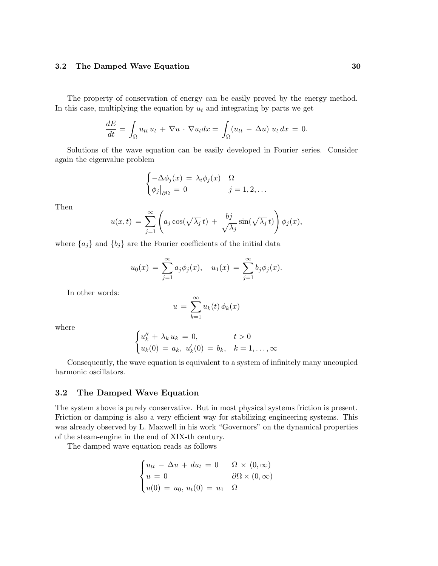The property of conservation of energy can be easily proved by the energy method. In this case, multiplying the equation by  $u_t$  and integrating by parts we get

$$
\frac{dE}{dt} = \int_{\Omega} u_{tt} u_t + \nabla u \cdot \nabla u_t dx = \int_{\Omega} (u_{tt} - \Delta u) u_t dx = 0.
$$

Solutions of the wave equation can be easily developed in Fourier series. Consider again the eigenvalue problem

$$
\begin{cases}\n-\Delta \phi_j(x) = \lambda_i \phi_j(x) & \Omega \\
\phi_j\big|_{\partial\Omega} = 0 & j = 1, 2, \dots\n\end{cases}
$$

Then

$$
u(x,t) = \sum_{j=1}^{\infty} \left( a_j \cos(\sqrt{\lambda_j} t) + \frac{bj}{\sqrt{\lambda_j}} \sin(\sqrt{\lambda_j} t) \right) \phi_j(x),
$$

where  ${a_j}$  and  ${b_j}$  are the Fourier coefficients of the initial data

$$
u_0(x) = \sum_{j=1}^{\infty} a_j \phi_j(x), \quad u_1(x) = \sum_{j=1}^{\infty} b_j \phi_j(x).
$$

In other words:

$$
u = \sum_{k=1}^{\infty} u_k(t) \phi_k(x)
$$

where

$$
\begin{cases} u''_k + \lambda_k u_k = 0, & t > 0\\ u_k(0) = a_k, u'_k(0) = b_k, & k = 1, ..., \infty \end{cases}
$$

Consequently, the wave equation is equivalent to a system of infinitely many uncoupled harmonic oscillators.

### 3.2 The Damped Wave Equation

The system above is purely conservative. But in most physical systems friction is present. Friction or damping is also a very efficient way for stabilizing engineering systems. This was already observed by L. Maxwell in his work "Governors" on the dynamical properties of the steam-engine in the end of XIX-th century.

The damped wave equation reads as follows

$$
\begin{cases}\nu_{tt} - \Delta u + du_t = 0 & \Omega \times (0, \infty) \\
u = 0 & \partial \Omega \times (0, \infty) \\
u(0) = u_0, u_t(0) = u_1 & \Omega\n\end{cases}
$$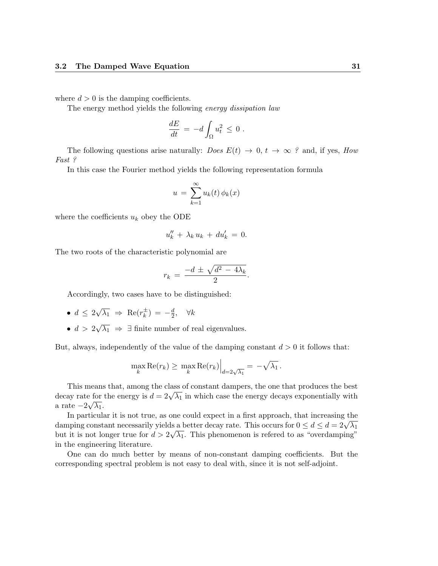where  $d > 0$  is the damping coefficients.

The energy method yields the following energy dissipation law

$$
\frac{dE}{dt} = -d \int_{\Omega} u_t^2 \leq 0.
$$

The following questions arise naturally: *Does*  $E(t) \rightarrow 0, t \rightarrow \infty$  ? and, if yes, *How* Fast ?

In this case the Fourier method yields the following representation formula

$$
u = \sum_{k=1}^{\infty} u_k(t) \phi_k(x)
$$

where the coefficients  $u_k$  obey the ODE

$$
u_k'' + \lambda_k u_k + du'_k = 0.
$$

The two roots of the characteristic polynomial are

$$
r_k = \frac{-d \pm \sqrt{d^2 - 4\lambda_k}}{2}.
$$

Accordingly, two cases have to be distinguished:

- $\bullet\,d\,\leq\,2$ √  $\overline{\lambda_1}$   $\Rightarrow$  Re( $r_k^{\pm}$  $(\frac{1}{k}) = -\frac{d}{2}$  $\frac{d}{2}$ ,  $\forall k$
- $\bullet$   $d > 2$ √  $\overline{\lambda_1} \Rightarrow \exists$  finite number of real eigenvalues.

But, always, independently of the value of the damping constant  $d > 0$  it follows that:

$$
\max_{k} \text{Re}(r_k) \geq \max_{k} \text{Re}(r_k) \Big|_{d=2\sqrt{\lambda_1}} = -\sqrt{\lambda_1}.
$$

This means that, among the class of constant dampers, the one that produces the best This means that, among the class of constant dampers, the one that produces the best<br>decay rate for the energy is  $d = 2\sqrt{\lambda_1}$  in which case the energy decays exponentially with a rate  $-2\sqrt{\lambda_1}$ .

In particular it is not true, as one could expect in a first approach, that increasing the In particular it is not true, as one could expect in a first approach, that increasing the damping constant necessarily yields a better decay rate. This occurs for  $0 \le d \le d = 2\sqrt{\lambda_1}$ but it is not longer true for  $d > 2\sqrt{\lambda_1}$ . This phenomenon is referred to as "overdamping" in the engineering literature.

One can do much better by means of non-constant damping coefficients. But the corresponding spectral problem is not easy to deal with, since it is not self-adjoint.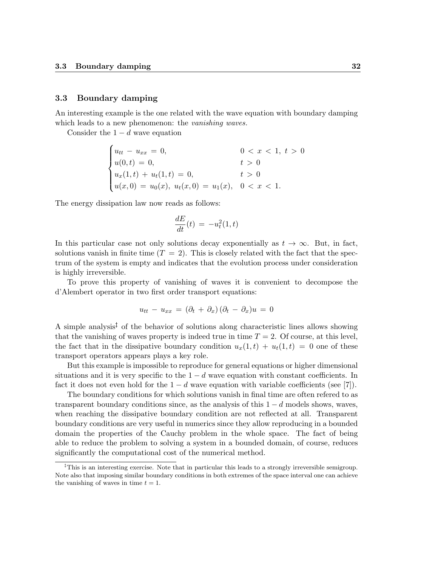#### 3.3 Boundary damping

An interesting example is the one related with the wave equation with boundary damping which leads to a new phenomenon: the *vanishing waves*.

Consider the  $1 - d$  wave equation

$$
\begin{cases}\nu_{tt} - u_{xx} = 0, & 0 < x < 1, t > 0 \\
u(0, t) = 0, & t > 0 \\
u_x(1, t) + u_t(1, t) = 0, & t > 0 \\
u(x, 0) = u_0(x), u_t(x, 0) = u_1(x), & 0 < x < 1.\n\end{cases}
$$

The energy dissipation law now reads as follows:

$$
\frac{dE}{dt}(t) = -u_t^2(1,t)
$$

In this particular case not only solutions decay exponentially as  $t \to \infty$ . But, in fact, solutions vanish in finite time  $(T = 2)$ . This is closely related with the fact that the spectrum of the system is empty and indicates that the evolution process under consideration is highly irreversible.

To prove this property of vanishing of waves it is convenient to decompose the d'Alembert operator in two first order transport equations:

$$
u_{tt} - u_{xx} = (\partial_t + \partial_x)(\partial_t - \partial_x)u = 0
$$

A simple analysis<sup> $\ddagger$ </sup> of the behavior of solutions along characteristic lines allows showing that the vanishing of waves property is indeed true in time  $T = 2$ . Of course, at this level, the fact that in the dissipative boundary condition  $u_x(1,t) + u_t(1,t) = 0$  one of these transport operators appears plays a key role.

But this example is impossible to reproduce for general equations or higher dimensional situations and it is very specific to the  $1 - d$  wave equation with constant coefficients. In fact it does not even hold for the  $1 - d$  wave equation with variable coefficients (see [7]).

The boundary conditions for which solutions vanish in final time are often refered to as transparent boundary conditions since, as the analysis of this  $1 - d$  models shows, waves, when reaching the dissipative boundary condition are not reflected at all. Transparent boundary conditions are very useful in numerics since they allow reproducing in a bounded domain the properties of the Cauchy problem in the whole space. The fact of being able to reduce the problem to solving a system in a bounded domain, of course, reduces significantly the computational cost of the numerical method.

<sup>&</sup>lt;sup> $\ddagger$ </sup>This is an interesting exercise. Note that in particular this leads to a strongly irreversible semigroup. Note also that imposing similar boundary conditions in both extremes of the space interval one can achieve the vanishing of waves in time  $t = 1$ .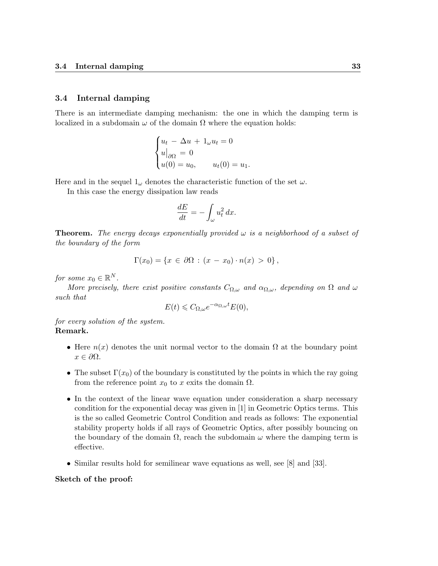#### 3.4 Internal damping

There is an intermediate damping mechanism: the one in which the damping term is localized in a subdomain  $\omega$  of the domain  $\Omega$  where the equation holds:

$$
\begin{cases} u_t - \Delta u + 1_{\omega} u_t = 0 \\ u|_{\partial \Omega} = 0 \\ u(0) = u_0, \qquad u_t(0) = u_1. \end{cases}
$$

Here and in the sequel  $1_{\omega}$  denotes the characteristic function of the set  $\omega$ .

In this case the energy dissipation law reads

$$
\frac{dE}{dt} = -\int_{\omega} u_t^2 dx.
$$

**Theorem.** The energy decays exponentially provided  $\omega$  is a neighborhood of a subset of the boundary of the form

$$
\Gamma(x_0) = \{ x \in \partial \Omega : (x - x_0) \cdot n(x) > 0 \},
$$

for some  $x_0 \in \mathbb{R}^N$ .

More precisely, there exist positive constants  $C_{\Omega,\omega}$  and  $\alpha_{\Omega,\omega}$ , depending on  $\Omega$  and  $\omega$ such that

$$
E(t) \leqslant C_{\Omega,\omega} e^{-\alpha_{\Omega,\omega}t} E(0),
$$

for every solution of the system. Remark.

- Here  $n(x)$  denotes the unit normal vector to the domain  $\Omega$  at the boundary point  $x \in \partial \Omega$ .
- The subset  $\Gamma(x_0)$  of the boundary is constituted by the points in which the ray going from the reference point  $x_0$  to x exits the domain  $\Omega$ .
- In the context of the linear wave equation under consideration a sharp necessary condition for the exponential decay was given in [1] in Geometric Optics terms. This is the so called Geometric Control Condition and reads as follows: The exponential stability property holds if all rays of Geometric Optics, after possibly bouncing on the boundary of the domain  $\Omega$ , reach the subdomain  $\omega$  where the damping term is effective.
- Similar results hold for semilinear wave equations as well, see [8] and [33].

#### Sketch of the proof: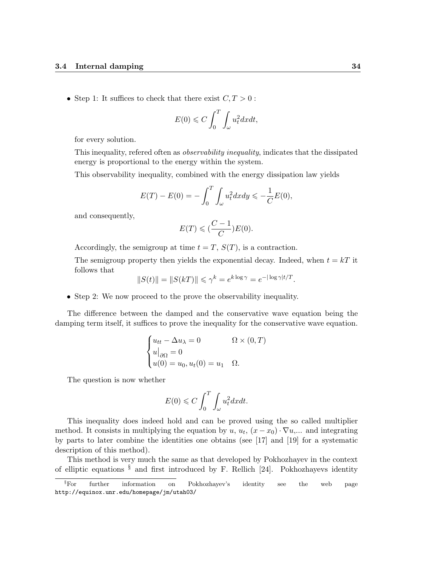• Step 1: It suffices to check that there exist  $C, T > 0$ :

$$
E(0) \leqslant C \int_0^T \int_{\omega} u_t^2 dx dt,
$$

for every solution.

This inequality, refered often as observability inequality, indicates that the dissipated energy is proportional to the energy within the system.

This observability inequality, combined with the energy dissipation law yields

$$
E(T) - E(0) = -\int_0^T \int_{\omega} u_t^2 dx dy \le -\frac{1}{C} E(0),
$$

and consequently,

$$
E(T) \leqslant (\frac{C-1}{C})E(0).
$$

Accordingly, the semigroup at time  $t = T$ ,  $S(T)$ , is a contraction.

The semigroup property then yields the exponential decay. Indeed, when  $t = kT$  it follows that

$$
||S(t)|| = ||S(kT)|| \le \gamma^k = e^{k \log \gamma} = e^{-|\log \gamma|t/T}.
$$

• Step 2: We now proceed to the prove the observability inequality.

The difference between the damped and the conservative wave equation being the damping term itself, it suffices to prove the inequality for the conservative wave equation.

$$
\begin{cases} u_{tt} - \Delta u_{\lambda} = 0 & \Omega \times (0, T) \\ u|_{\partial \Omega} = 0 \\ u(0) = u_0, u_t(0) = u_1 & \Omega. \end{cases}
$$

The question is now whether

$$
E(0) \leqslant C \int_0^T \int_{\omega} u_t^2 dx dt.
$$

This inequality does indeed hold and can be proved using the so called multiplier method. It consists in multiplying the equation by  $u, u_t, (x-x_0) \cdot \nabla u, \dots$  and integrating by parts to later combine the identities one obtains (see [17] and [19] for a systematic description of this method).

This method is very much the same as that developed by Pokhozhayev in the context of elliptic equations  $\frac{8}{3}$  and first introduced by F. Rellich [24]. Pokhozhayevs identity

<sup>§</sup>For further information on Pokhozhayev's identity see the web page http://equinox.unr.edu/homepage/jm/utah03/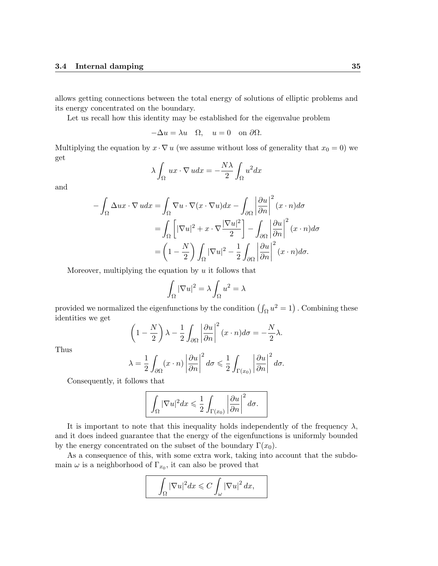allows getting connections between the total energy of solutions of elliptic problems and its energy concentrated on the boundary.

Let us recall how this identity may be established for the eigenvalue problem

$$
-\Delta u = \lambda u \quad \Omega, \quad u = 0 \quad \text{on } \partial \Omega.
$$

Multiplying the equation by  $x \cdot \nabla u$  (we assume without loss of generality that  $x_0 = 0$ ) we get

$$
\lambda \int_{\Omega} ux \cdot \nabla u dx = -\frac{N\lambda}{2} \int_{\Omega} u^2 dx
$$

and

$$
-\int_{\Omega} \Delta ux \cdot \nabla u dx = \int_{\Omega} \nabla u \cdot \nabla (x \cdot \nabla u) dx - \int_{\partial \Omega} \left| \frac{\partial u}{\partial n} \right|^2 (x \cdot n) d\sigma
$$

$$
= \int_{\Omega} \left[ |\nabla u|^2 + x \cdot \nabla \frac{|\nabla u|^2}{2} \right] - \int_{\partial \Omega} \left| \frac{\partial u}{\partial n} \right|^2 (x \cdot n) d\sigma
$$

$$
= \left( 1 - \frac{N}{2} \right) \int_{\Omega} |\nabla u|^2 - \frac{1}{2} \int_{\partial \Omega} \left| \frac{\partial u}{\partial n} \right|^2 (x \cdot n) d\sigma.
$$

Moreover, multiplying the equation by  $u$  it follows that

$$
\int_{\Omega} |\nabla u|^2 = \lambda \int_{\Omega} u^2 = \lambda
$$

provided we normalized the eigenfunctions by the condition  $(\int_{\Omega} u^2 = 1)$ . Combining these identities we get

$$
\left(1 - \frac{N}{2}\right)\lambda - \frac{1}{2}\int_{\partial\Omega} \left|\frac{\partial u}{\partial n}\right|^2 (x \cdot n) d\sigma = -\frac{N}{2}\lambda.
$$

Thus

$$
\lambda = \frac{1}{2} \int_{\partial \Omega} (x \cdot n) \left| \frac{\partial u}{\partial n} \right|^2 d\sigma \leq \frac{1}{2} \int_{\Gamma(x_0)} \left| \frac{\partial u}{\partial n} \right|^2 d\sigma.
$$

Consequently, it follows that

$$
\int_{\Omega} |\nabla u|^2 dx \leq \frac{1}{2} \int_{\Gamma(x_0)} \left| \frac{\partial u}{\partial n} \right|^2 d\sigma.
$$

It is important to note that this inequality holds independently of the frequency  $\lambda$ , and it does indeed guarantee that the energy of the eigenfunctions is uniformly bounded by the energy concentrated on the subset of the boundary  $\Gamma(x_0)$ .

As a consequence of this, with some extra work, taking into account that the subdomain  $\omega$  is a neighborhood of  $\Gamma_{x_0}$ , it can also be proved that

$$
\int_{\Omega} |\nabla u|^2 dx \leqslant C \int_{\omega} |\nabla u|^2 dx,
$$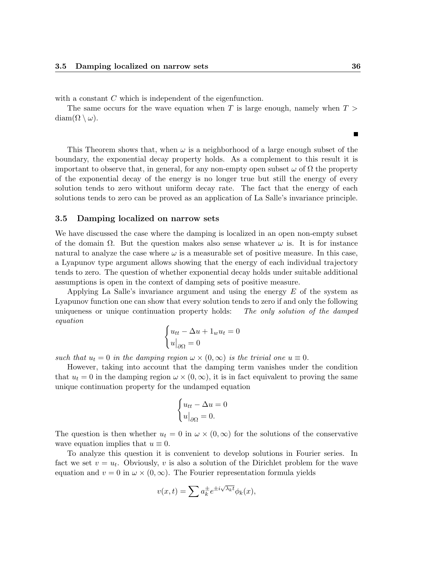with a constant  $C$  which is independent of the eigenfunction.

The same occurs for the wave equation when T is large enough, namely when  $T >$  $diam(\Omega \setminus \omega)$ .

This Theorem shows that, when  $\omega$  is a neighborhood of a large enough subset of the boundary, the exponential decay property holds. As a complement to this result it is important to observe that, in general, for any non-empty open subset  $\omega$  of  $\Omega$  the property of the exponential decay of the energy is no longer true but still the energy of every solution tends to zero without uniform decay rate. The fact that the energy of each solutions tends to zero can be proved as an application of La Salle's invariance principle.

#### 3.5 Damping localized on narrow sets

We have discussed the case where the damping is localized in an open non-empty subset of the domain  $\Omega$ . But the question makes also sense whatever  $\omega$  is. It is for instance natural to analyze the case where  $\omega$  is a measurable set of positive measure. In this case, a Lyapunov type argument allows showing that the energy of each individual trajectory tends to zero. The question of whether exponential decay holds under suitable additional assumptions is open in the context of damping sets of positive measure.

Applying La Salle's invariance argument and using the energy  $E$  of the system as Lyapunov function one can show that every solution tends to zero if and only the following uniqueness or unique continuation property holds: The only solution of the damped equation

$$
\begin{cases} u_{tt} - \Delta u + 1_w u_t = 0 \\ u|_{\partial \Omega} = 0 \end{cases}
$$

such that  $u_t = 0$  in the damping region  $\omega \times (0, \infty)$  is the trivial one  $u \equiv 0$ .

However, taking into account that the damping term vanishes under the condition that  $u_t = 0$  in the damping region  $\omega \times (0, \infty)$ , it is in fact equivalent to proving the same unique continuation property for the undamped equation

$$
\begin{cases} u_{tt} - \Delta u = 0 \\ u|_{\partial \Omega} = 0. \end{cases}
$$

The question is then whether  $u_t = 0$  in  $\omega \times (0, \infty)$  for the solutions of the conservative wave equation implies that  $u \equiv 0$ .

To analyze this question it is convenient to develop solutions in Fourier series. In fact we set  $v = u_t$ . Obviously, v is also a solution of the Dirichlet problem for the wave equation and  $v = 0$  in  $\omega \times (0, \infty)$ . The Fourier representation formula yields

$$
v(x,t) = \sum a_k^{\pm} e^{\pm i\sqrt{\lambda_k t}} \phi_k(x),
$$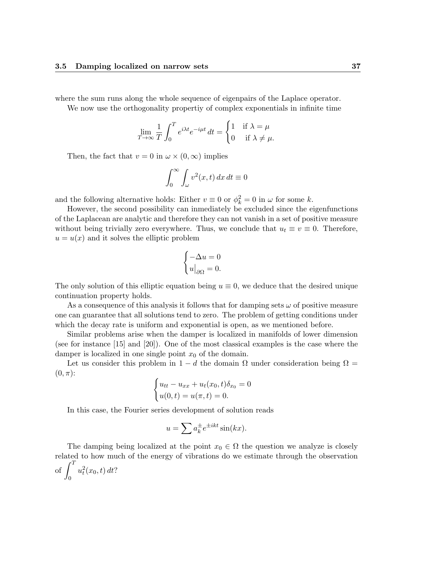where the sum runs along the whole sequence of eigenpairs of the Laplace operator.

We now use the orthogonality propertiy of complex exponentials in infinite time

$$
\lim_{T \to \infty} \frac{1}{T} \int_0^T e^{i\lambda t} e^{-i\mu t} dt = \begin{cases} 1 & \text{if } \lambda = \mu \\ 0 & \text{if } \lambda \neq \mu. \end{cases}
$$

Then, the fact that  $v = 0$  in  $\omega \times (0, \infty)$  implies

$$
\int_0^\infty \int_\omega v^2(x,t) \, dx \, dt \equiv 0
$$

and the following alternative holds: Either  $v \equiv 0$  or  $\phi_k^2 = 0$  in  $\omega$  for some k.

However, the second possibility can inmediately be excluded since the eigenfunctions of the Laplacean are analytic and therefore they can not vanish in a set of positive measure without being trivially zero everywhere. Thus, we conclude that  $u_t \equiv v \equiv 0$ . Therefore,  $u = u(x)$  and it solves the elliptic problem

$$
\begin{cases}\n-\Delta u = 0 \\
u|_{\partial \Omega} = 0.\n\end{cases}
$$

The only solution of this elliptic equation being  $u \equiv 0$ , we deduce that the desired unique continuation property holds.

As a consequence of this analysis it follows that for damping sets  $\omega$  of positive measure one can guarantee that all solutions tend to zero. The problem of getting conditions under which the decay rate is uniform and exponential is open, as we mentioned before.

Similar problems arise when the damper is localized in manifolds of lower dimension (see for instance [15] and [20]). One of the most classical examples is the case where the damper is localized in one single point  $x_0$  of the domain.

Let us consider this problem in  $1 - d$  the domain  $\Omega$  under consideration being  $\Omega =$  $(0, \pi)$ :

$$
\begin{cases} u_{tt} - u_{xx} + u_t(x_0, t)\delta_{x_0} = 0 \\ u(0, t) = u(\pi, t) = 0. \end{cases}
$$

In this case, the Fourier series development of solution reads

$$
u = \sum a_k^{\pm} e^{\pm ikt} \sin(kx).
$$

The damping being localized at the point  $x_0 \in \Omega$  the question we analyze is closely related to how much of the energy of vibrations do we estimate through the observation of  $\int_0^T$ 0  $u_t^2(x_0, t) dt$ ?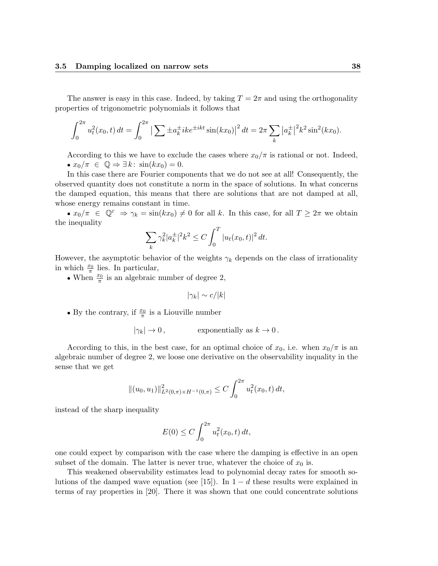The answer is easy in this case. Indeed, by taking  $T = 2\pi$  and using the orthogonality properties of trigonometric polynomials it follows that

$$
\int_0^{2\pi} u_t^2(x_0, t) dt = \int_0^{2\pi} \left| \sum \pm a_k^{\pm} i k e^{\pm ikt} \sin(kx_0) \right|^2 dt = 2\pi \sum_k |a_k^{\pm}|^2 k^2 \sin^2(kx_0).
$$

According to this we have to exclude the cases where  $x_0/\pi$  is rational or not. Indeed, •  $x_0/\pi \in \mathbb{Q} \Rightarrow \exists k : \sin(kx_0) = 0.$ 

In this case there are Fourier components that we do not see at all! Consequently, the observed quantity does not constitute a norm in the space of solutions. In what concerns the damped equation, this means that there are solutions that are not damped at all, whose energy remains constant in time.

•  $x_0/\pi \in \mathbb{Q}^c \Rightarrow \gamma_k = \sin(kx_0) \neq 0$  for all k. In this case, for all  $T \geq 2\pi$  we obtain the inequality

$$
\sum_{k} \gamma_k^2 |a_k^{\pm}|^2 k^2 \le C \int_0^T |u_t(x_0, t)|^2 dt.
$$

However, the asymptotic behavior of the weights  $\gamma_k$  depends on the class of irrationality in which  $\frac{x_0}{\pi}$  lies. In particular,

• When  $\frac{x_0}{\pi}$  is an algebraic number of degree 2,

$$
|\gamma_k|\sim c/|k|
$$

• By the contrary, if  $\frac{x_0}{\pi}$  is a Liouville number

$$
|\gamma_k| \to 0
$$
, exponentially as  $k \to 0$ .

According to this, in the best case, for an optimal choice of  $x_0$ , i.e. when  $x_0/\pi$  is an algebraic number of degree 2, we loose one derivative on the observability inquality in the sense that we get

$$
||(u_0, u_1)||_{L^2(0,\pi)\times H^{-1}(0,\pi)}^2 \leq C \int_0^{2\pi} u_t^2(x_0, t) dt,
$$

instead of the sharp inequality

$$
E(0) \le C \int_0^{2\pi} u_t^2(x_0, t) dt,
$$

one could expect by comparison with the case where the damping is effective in an open subset of the domain. The latter is never true, whatever the choice of  $x_0$  is.

This weakened observability estimates lead to polynomial decay rates for smooth solutions of the damped wave equation (see [15]). In  $1 - d$  these results were explained in terms of ray properties in [20]. There it was shown that one could concentrate solutions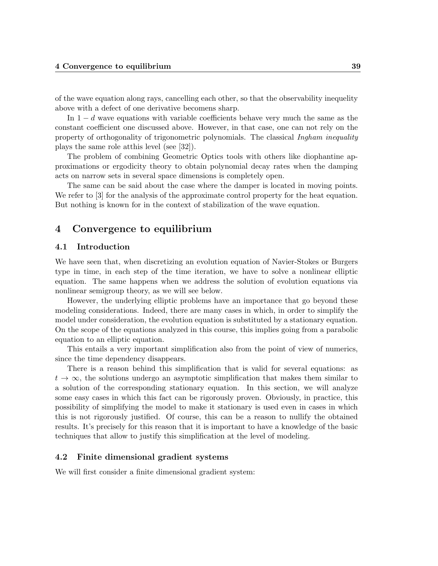of the wave equation along rays, cancelling each other, so that the observability inequelity above with a defect of one derivative becomens sharp.

In  $1 - d$  wave equations with variable coefficients behave very much the same as the constant coefficient one discussed above. However, in that case, one can not rely on the property of orthogonality of trigonometric polynomials. The classical Ingham inequality plays the same role atthis level (see [32]).

The problem of combining Geometric Optics tools with others like diophantine approximations or ergodicity theory to obtain polynomial decay rates when the damping acts on narrow sets in several space dimensions is completely open.

The same can be said about the case where the damper is located in moving points. We refer to [3] for the analysis of the approximate control property for the heat equation. But nothing is known for in the context of stabilization of the wave equation.

# 4 Convergence to equilibrium

## 4.1 Introduction

We have seen that, when discretizing an evolution equation of Navier-Stokes or Burgers type in time, in each step of the time iteration, we have to solve a nonlinear elliptic equation. The same happens when we address the solution of evolution equations via nonlinear semigroup theory, as we will see below.

However, the underlying elliptic problems have an importance that go beyond these modeling considerations. Indeed, there are many cases in which, in order to simplify the model under consideration, the evolution equation is substituted by a stationary equation. On the scope of the equations analyzed in this course, this implies going from a parabolic equation to an elliptic equation.

This entails a very important simplification also from the point of view of numerics, since the time dependency disappears.

There is a reason behind this simplification that is valid for several equations: as  $t \to \infty$ , the solutions undergo an asymptotic simplification that makes them similar to a solution of the corresponding stationary equation. In this section, we will analyze some easy cases in which this fact can be rigorously proven. Obviously, in practice, this possibility of simplifying the model to make it stationary is used even in cases in which this is not rigorously justified. Of course, this can be a reason to nullify the obtained results. It's precisely for this reason that it is important to have a knowledge of the basic techniques that allow to justify this simplification at the level of modeling.

### 4.2 Finite dimensional gradient systems

We will first consider a finite dimensional gradient system: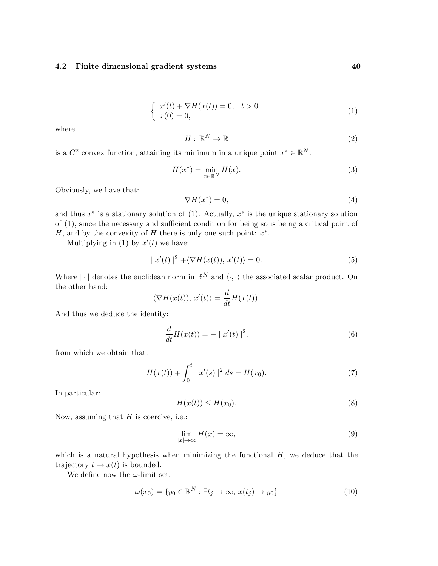$$
\begin{cases}\nx'(t) + \nabla H(x(t)) = 0, \quad t > 0 \\
x(0) = 0,\n\end{cases}
$$
\n(1)

where

$$
H: \mathbb{R}^N \to \mathbb{R} \tag{2}
$$

is a  $C^2$  convex function, attaining its minimum in a unique point  $x^* \in \mathbb{R}^N$ :

$$
H(x^*) = \min_{x \in \mathbb{R}^N} H(x). \tag{3}
$$

Obviously, we have that:

$$
\nabla H(x^*) = 0,\t\t(4)
$$

and thus  $x^*$  is a stationary solution of (1). Actually,  $x^*$  is the unique stationary solution of (1), since the necessary and sufficient condition for being so is being a critical point of H, and by the convexity of H there is only one such point:  $x^*$ .

Multiplying in (1) by  $x'(t)$  we have:

$$
|x'(t)|^2 + \langle \nabla H(x(t)), x'(t) \rangle = 0.
$$
\n(5)

Where  $|\cdot|$  denotes the euclidean norm in  $\mathbb{R}^N$  and  $\langle \cdot, \cdot \rangle$  the associated scalar product. On the other hand:

$$
\langle \nabla H(x(t)), x'(t) \rangle = \frac{d}{dt} H(x(t)).
$$

And thus we deduce the identity:

$$
\frac{d}{dt}H(x(t)) = - |x'(t)|^2,
$$
\n(6)

from which we obtain that:

$$
H(x(t)) + \int_0^t |x'(s)|^2 ds = H(x_0).
$$
 (7)

In particular:

$$
H(x(t)) \le H(x_0). \tag{8}
$$

Now, assuming that  $H$  is coercive, i.e.:

$$
\lim_{|x| \to \infty} H(x) = \infty,\tag{9}
$$

which is a natural hypothesis when minimizing the functional  $H$ , we deduce that the trajectory  $t \to x(t)$  is bounded.

We define now the  $\omega$ -limit set:

$$
\omega(x_0) = \{ y_0 \in \mathbb{R}^N : \exists t_j \to \infty, x(t_j) \to y_0 \}
$$
\n
$$
(10)
$$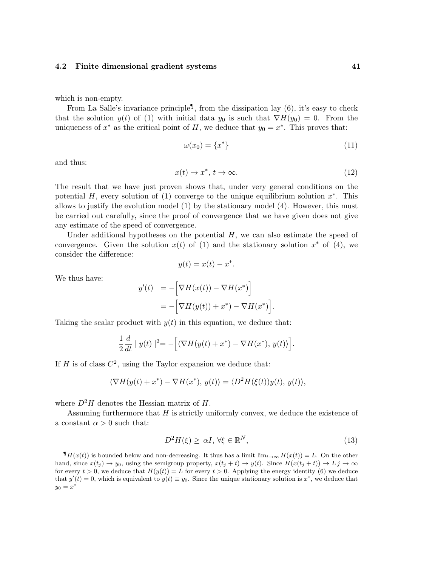which is non-empty.

From La Salle's invariance principle<sup>1</sup>, from the dissipation lay (6), it's easy to check that the solution  $y(t)$  of (1) with initial data  $y_0$  is such that  $\nabla H(y_0) = 0$ . From the uniqueness of  $x^*$  as the critical point of H, we deduce that  $y_0 = x^*$ . This proves that:

$$
\omega(x_0) = \{x^*\}\tag{11}
$$

and thus:

$$
x(t) \to x^*, \ t \to \infty. \tag{12}
$$

The result that we have just proven shows that, under very general conditions on the potential H, every solution of (1) converge to the unique equilibrium solution  $x^*$ . This allows to justify the evolution model (1) by the stationary model (4). However, this must be carried out carefully, since the proof of convergence that we have given does not give any estimate of the speed of convergence.

Under additional hypotheses on the potential  $H$ , we can also estimate the speed of convergence. Given the solution  $x(t)$  of (1) and the stationary solution  $x^*$  of (4), we consider the difference:

$$
y(t) = x(t) - x^*.
$$

We thus have:

$$
y'(t) = -\Big[\nabla H(x(t)) - \nabla H(x^*)\Big] \\
= -\Big[\nabla H(y(t)) + x^*) - \nabla H(x^*)\Big].
$$

Taking the scalar product with  $y(t)$  in this equation, we deduce that:

$$
\frac{1}{2}\frac{d}{dt} \mid y(t) \mid^{2} = -\Big[\langle \nabla H(y(t) + x^*) - \nabla H(x^*), y(t) \rangle\Big].
$$

If H is of class  $C^2$ , using the Taylor expansion we deduce that:

$$
\langle \nabla H(y(t) + x^*) - \nabla H(x^*), y(t) \rangle = \langle D^2 H(\xi(t))y(t), y(t) \rangle,
$$

where  $D^2H$  denotes the Hessian matrix of H.

Assuming furthermore that  $H$  is strictly uniformly convex, we deduce the existence of a constant  $\alpha > 0$  such that:

$$
D^2H(\xi) \ge \alpha I, \forall \xi \in \mathbb{R}^N,\tag{13}
$$

 $\P H(x(t))$  is bounded below and non-decreasing. It thus has a limit  $\lim_{t\to\infty} H(x(t)) = L$ . On the other hand, since  $x(t_i) \rightarrow y_0$ , using the semigroup property,  $x(t_i + t) \rightarrow y(t)$ . Since  $H(x(t_i + t)) \rightarrow L_j \rightarrow \infty$ for every  $t > 0$ , we deduce that  $H(y(t)) = L$  for every  $t > 0$ . Applying the energy identity (6) we deduce that  $y'(t) = 0$ , which is equivalent to  $y(t) \equiv y_0$ . Since the unique stationary solution is  $x^*$ , we deduce that  $y_0=x^*$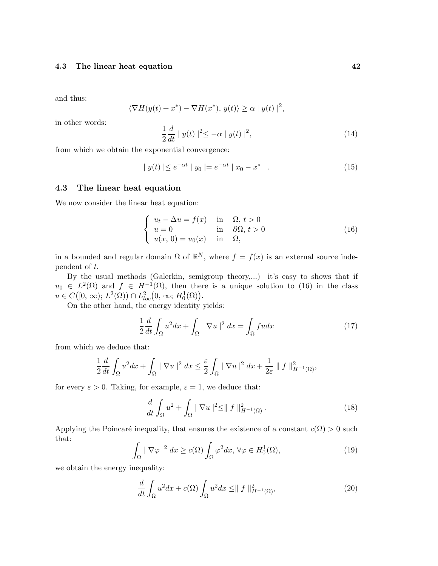and thus:

$$
\langle \nabla H(y(t) + x^*) - \nabla H(x^*), y(t) \rangle \ge \alpha |y(t)|^2,
$$

in other words:

$$
\frac{1}{2}\frac{d}{dt} |y(t)|^2 \leq -\alpha |y(t)|^2,
$$
\n(14)

from which we obtain the exponential convergence:

$$
|y(t)| \le e^{-\alpha t} |y_0| = e^{-\alpha t} |x_0 - x^*|.
$$
 (15)

# 4.3 The linear heat equation

We now consider the linear heat equation:

$$
\begin{cases}\n u_t - \Delta u = f(x) & \text{in } \Omega, t > 0 \\
 u = 0 & \text{in } \partial\Omega, t > 0 \\
 u(x, 0) = u_0(x) & \text{in } \Omega,\n\end{cases}
$$
\n(16)

in a bounded and regular domain  $\Omega$  of  $\mathbb{R}^N$ , where  $f = f(x)$  is an external source independent of t.

By the usual methods (Galerkin, semigroup theory,...) it's easy to shows that if  $u_0 \in L^2(\Omega)$  and  $f \in H^{-1}(\Omega)$ , then there is a unique solution to (16) in the class  $u \in C([0, \infty); L^2(\Omega)) \cap L^2_{loc}(0, \infty; H_0^1(\Omega)).$ 

On the other hand, the energy identity yields:

$$
\frac{1}{2}\frac{d}{dt}\int_{\Omega}u^2dx + \int_{\Omega}|\nabla u|^2 dx = \int_{\Omega} f u dx \tag{17}
$$

from which we deduce that:

$$
\frac{1}{2}\frac{d}{dt}\int_{\Omega}u^2dx+\int_{\Omega}|\nabla u|^2\,dx\leq \frac{\varepsilon}{2}\int_{\Omega}|\nabla u|^2\,dx+\frac{1}{2\varepsilon}\parallel f\parallel^2_{H^{-1}(\Omega)},
$$

for every  $\varepsilon > 0$ . Taking, for example,  $\varepsilon = 1$ , we deduce that:

$$
\frac{d}{dt}\int_{\Omega}u^2 + \int_{\Omega}|\nabla u|^2 \leq ||f||^2_{H^{-1}(\Omega)}.
$$
\n(18)

Applying the Poincaré inequality, that ensures the existence of a constant  $c(\Omega) > 0$  such that:

$$
\int_{\Omega} |\nabla \varphi|^{2} dx \ge c(\Omega) \int_{\Omega} \varphi^{2} dx, \forall \varphi \in H_{0}^{1}(\Omega), \tag{19}
$$

we obtain the energy inequality:

$$
\frac{d}{dt} \int_{\Omega} u^2 dx + c(\Omega) \int_{\Omega} u^2 dx \le ||f||_{H^{-1}(\Omega)}^2,
$$
\n(20)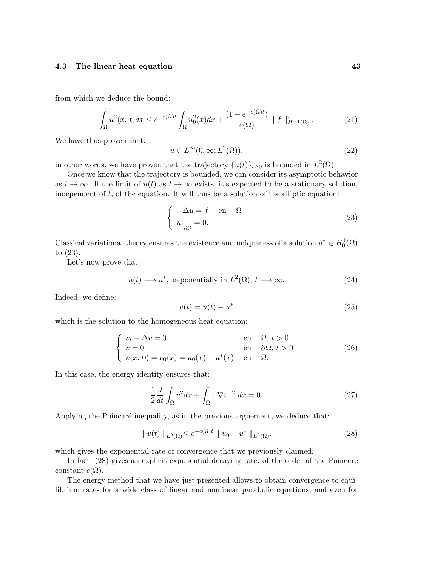from which we deduce the bound:

$$
\int_{\Omega} u^2(x,t)dx \le e^{-c(\Omega)t} \int_{\Omega} u_0^2(x)dx + \frac{(1 - e^{-c(\Omega)t})}{c(\Omega)} \parallel f \parallel_{H^{-1}(\Omega)}^2.
$$
 (21)

We have thus proven that:

$$
u \in L^{\infty}(0,\infty; L^{2}(\Omega)), \tag{22}
$$

in other words, we have proven that the trajectory  $\{u(t)\}_{t\geq 0}$  is bounded in  $L^2(\Omega)$ .

Once we know that the trajectory is bounded, we can consider its asymptotic behavior as  $t \to \infty$ . If the limit of  $u(t)$  as  $t \to \infty$  exists, it's expected to be a stationary solution, independent of  $t$ , of the equation. It will thus be a solution of the elliptic equation:

$$
\begin{cases}\n-\Delta u = f & \text{en} \quad \Omega \\
u\Big|_{\partial\Omega} = 0.\n\end{cases}
$$
\n(23)

Classical variational theory ensures the existence and uniqueness of a solution  $u^* \in H_0^1(\Omega)$ to (23).

Let's now prove that:

$$
u(t) \longrightarrow u^*
$$
, exponentially in  $L^2(\Omega)$ ,  $t \longrightarrow \infty$ . (24)

Indeed, we define:

$$
v(t) = u(t) - u^*
$$
\n<sup>(25)</sup>

which is the solution to the homogeneous heat equation:

$$
\begin{cases}\nv_t - \Delta v = 0 & \text{en} \quad \Omega, \ t > 0 \\
v = 0 & \text{en} \quad \partial\Omega, \ t > 0 \\
v(x, 0) = v_0(x) = u_0(x) - u^*(x) & \text{en} \quad \Omega.\n\end{cases}
$$
\n(26)

In this case, the energy identity ensures that:

$$
\frac{1}{2}\frac{d}{dt}\int_{\Omega}v^2dx + \int_{\Omega}|\nabla v|^2 dx = 0.
$$
\n(27)

Applying the Poincaré inequality, as in the previous arguement, we deduce that:

$$
\| v(t) \|_{L^2(\Omega)} \le e^{-c(\Omega)t} \| u_0 - u^* \|_{L^2(\Omega)},
$$
\n(28)

which gives the exponential rate of convergence that we previously claimed.

In fact,  $(28)$  gives an explicit exponential decaying rate, of the order of the Poincaré constant  $c(\Omega)$ .

The energy method that we have just presented allows to obtain convergence to equilibrium rates for a wide class of linear and nonlinear parabolic equations, and even for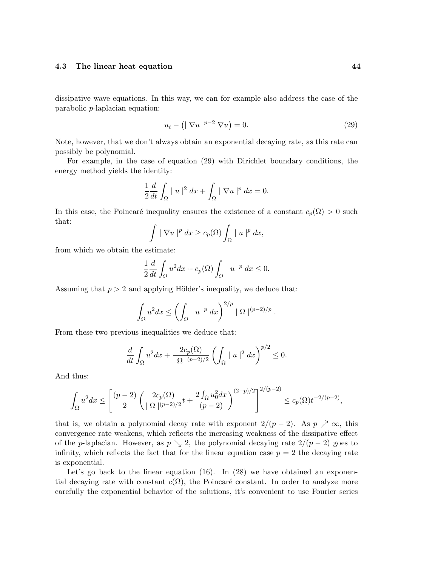dissipative wave equations. In this way, we can for example also address the case of the parabolic p-laplacian equation:

$$
u_t - (|\nabla u|^{p-2} \nabla u) = 0.
$$
\n(29)

Note, however, that we don't always obtain an exponential decaying rate, as this rate can possibly be polynomial.

For example, in the case of equation (29) with Dirichlet boundary conditions, the energy method yields the identity:

$$
\frac{1}{2}\frac{d}{dt}\int_{\Omega} |u|^2 dx + \int_{\Omega} |\nabla u|^p dx = 0.
$$

In this case, the Poincaré inequality ensures the existence of a constant  $c_p(\Omega) > 0$  such that:

$$
\int |\nabla u|^p dx \geq c_p(\Omega) \int_{\Omega} |u|^p dx,
$$

from which we obtain the estimate:

$$
\frac{1}{2}\frac{d}{dt}\int_{\Omega}u^2dx + c_p(\Omega)\int_{\Omega} |u|^p dx \le 0.
$$

Assuming that  $p > 2$  and applying Hölder's inequality, we deduce that:

$$
\int_{\Omega} u^2 dx \le \left( \int_{\Omega} |u|^p dx \right)^{2/p} |\Omega|^{(p-2)/p}.
$$

From these two previous inequalities we deduce that:

$$
\frac{d}{dt} \int_{\Omega} u^2 dx + \frac{2c_p(\Omega)}{|\Omega|^{(p-2)/2}} \left( \int_{\Omega} |u|^2 dx \right)^{p/2} \le 0.
$$

And thus:

$$
\int_{\Omega} u^2 dx \le \left[ \frac{(p-2)}{2} \left( \frac{2c_p(\Omega)}{|\Omega|^{(p-2)/2}} t + \frac{2\int_{\Omega} u_0^2 dx}{(p-2)} \right)^{(2-p)/2} \right]^{2/(p-2)} \le c_p(\Omega) t^{-2/(p-2)},
$$

that is, we obtain a polynomial decay rate with exponent  $2/(p-2)$ . As  $p \nearrow \infty$ , this convergence rate weakens, which reflects the increasing weakness of the dissipative effect of the p-laplacian. However, as  $p \searrow 2$ , the polynomial decaying rate  $2/(p-2)$  goes to infinity, which reflects the fact that for the linear equation case  $p = 2$  the decaying rate is exponential.

Let's go back to the linear equation (16). In (28) we have obtained an exponential decaying rate with constant  $c(\Omega)$ , the Poincaré constant. In order to analyze more carefully the exponential behavior of the solutions, it's convenient to use Fourier series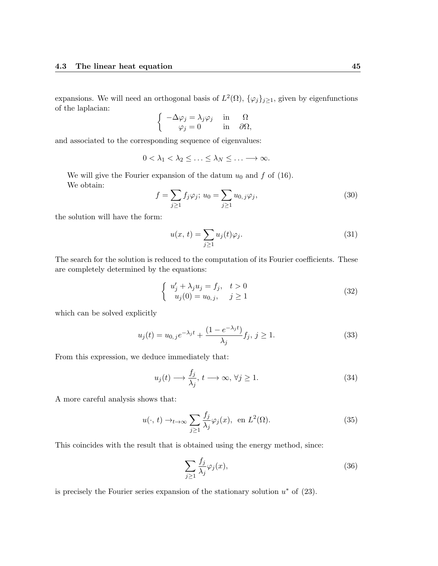expansions. We will need an orthogonal basis of  $L^2(\Omega)$ ,  $\{\varphi_j\}_{j\geq1}$ , given by eigenfunctions of the laplacian:

$$
\begin{cases}\n-\Delta \varphi_j = \lambda_j \varphi_j & \text{in} \quad \Omega \\
\varphi_j = 0 & \text{in} \quad \partial \Omega,\n\end{cases}
$$

and associated to the corresponding sequence of eigenvalues:

$$
0<\lambda_1<\lambda_2\leq\ldots\leq\lambda_N\leq\ldots\longrightarrow\infty.
$$

We will give the Fourier expansion of the datum  $u_0$  and f of (16). We obtain:

$$
f = \sum_{j \ge 1} f_j \varphi_j; \ u_0 = \sum_{j \ge 1} u_{0,j} \varphi_j,
$$
 (30)

the solution will have the form:

$$
u(x, t) = \sum_{j \ge 1} u_j(t)\varphi_j.
$$
\n(31)

The search for the solution is reduced to the computation of its Fourier coefficients. These are completely determined by the equations:

$$
\begin{cases}\n u'_j + \lambda_j u_j = f_j, & t > 0 \\
 u_j(0) = u_{0,j}, & j \ge 1\n\end{cases}
$$
\n(32)

which can be solved explicitly

$$
u_j(t) = u_{0,j}e^{-\lambda_j t} + \frac{(1 - e^{-\lambda_j t})}{\lambda_j} f_j, \, j \ge 1.
$$
 (33)

From this expression, we deduce immediately that:

$$
u_j(t) \longrightarrow \frac{f_j}{\lambda_j}, \ t \longrightarrow \infty, \ \forall j \ge 1. \tag{34}
$$

A more careful analysis shows that:

$$
u(\cdot, t) \to_{t \to \infty} \sum_{j \ge 1} \frac{f_j}{\lambda_j} \varphi_j(x), \text{ en } L^2(\Omega). \tag{35}
$$

This coincides with the result that is obtained using the energy method, since:

$$
\sum_{j\geq 1} \frac{f_j}{\lambda_j} \varphi_j(x),\tag{36}
$$

is precisely the Fourier series expansion of the stationary solution  $u^*$  of  $(23)$ .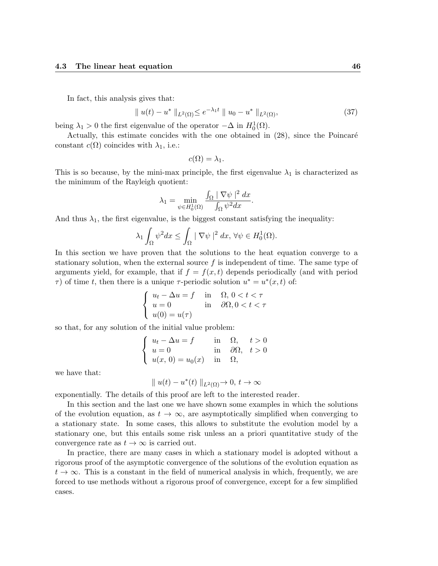In fact, this analysis gives that:

$$
\|u(t) - u^* \|_{L^2(\Omega)} \le e^{-\lambda_1 t} \|u_0 - u^* \|_{L^2(\Omega)},
$$
\n(37)

being  $\lambda_1 > 0$  the first eigenvalue of the operator  $-\Delta$  in  $H_0^1(\Omega)$ .

Actually, this estimate concides with the one obtained in  $(28)$ , since the Poincaré constant  $c(\Omega)$  coincides with  $\lambda_1$ , i.e.:

$$
c(\Omega)=\lambda_1.
$$

This is so because, by the mini-max principle, the first eigenvalue  $\lambda_1$  is characterized as the minimum of the Rayleigh quotient:

$$
\lambda_1 = \min_{\psi \in H_0^1(\Omega)} \frac{\int_{\Omega} |\nabla \psi|^2 dx}{\int_{\Omega} \psi^2 dx}.
$$

And thus  $\lambda_1$ , the first eigenvalue, is the biggest constant satisfying the inequality:

$$
\lambda_1 \int_{\Omega} \psi^2 dx \le \int_{\Omega} |\nabla \psi|^2 dx, \,\forall \psi \in H_0^1(\Omega).
$$

In this section we have proven that the solutions to the heat equation converge to a stationary solution, when the external source  $f$  is independent of time. The same type of arguments yield, for example, that if  $f = f(x, t)$  depends periodically (and with period  $\tau$ ) of time t, then there is a unique  $\tau$ -periodic solution  $u^* = u^*(x,t)$  of:

$$
\begin{cases}\n u_t - \Delta u = f & \text{in} \quad \Omega, \ 0 < t < \tau \\
 u = 0 & \text{in} \quad \partial\Omega, \ 0 < t < \tau \\
 u(0) = u(\tau)\n\end{cases}
$$

so that, for any solution of the initial value problem:

$$
\begin{cases}\n u_t - \Delta u = f & \text{in } \Omega, \quad t > 0 \\
 u = 0 & \text{in } \partial\Omega, \quad t > 0 \\
 u(x, 0) = u_0(x) & \text{in } \Omega,\n\end{cases}
$$

we have that:

$$
\|u(t) - u^*(t)\|_{L^2(\Omega)} \to 0, t \to \infty
$$

exponentially. The details of this proof are left to the interested reader.

In this section and the last one we have shown some examples in which the solutions of the evolution equation, as  $t \to \infty$ , are asymptotically simplified when converging to a stationary state. In some cases, this allows to substitute the evolution model by a stationary one, but this entails some risk unless an a priori quantitative study of the convergence rate as  $t \to \infty$  is carried out.

In practice, there are many cases in which a stationary model is adopted without a rigorous proof of the asymptotic convergence of the solutions of the evolution equation as  $t \to \infty$ . This is a constant in the field of numerical analysis in which, frequently, we are forced to use methods without a rigorous proof of convergence, except for a few simplified cases.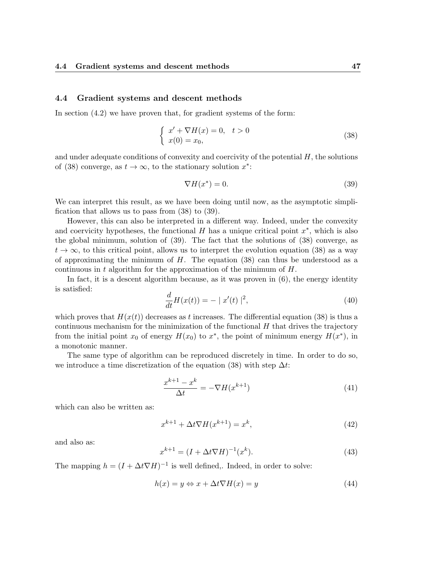#### 4.4 Gradient systems and descent methods

In section (4.2) we have proven that, for gradient systems of the form:

$$
\begin{cases}\nx' + \nabla H(x) = 0, \quad t > 0 \\
x(0) = x_0,\n\end{cases} \tag{38}
$$

and under adequate conditions of convexity and coercivity of the potential  $H$ , the solutions of (38) converge, as  $t \to \infty$ , to the stationary solution  $x^*$ :

$$
\nabla H(x^*) = 0.\t(39)
$$

We can interpret this result, as we have been doing until now, as the asymptotic simplification that allows us to pass from (38) to (39).

However, this can also be interpreted in a different way. Indeed, under the convexity and coervicity hypotheses, the functional  $H$  has a unique critical point  $x^*$ , which is also the global minimum, solution of (39). The fact that the solutions of (38) converge, as  $t \to \infty$ , to this critical point, allows us to interpret the evolution equation (38) as a way of approximating the minimum of  $H$ . The equation (38) can thus be understood as a continuous in t algorithm for the approximation of the minimum of  $H$ .

In fact, it is a descent algorithm because, as it was proven in  $(6)$ , the energy identity is satisfied:

$$
\frac{d}{dt}H(x(t)) = - |x'(t)|^2,
$$
\n(40)

which proves that  $H(x(t))$  decreases as t increases. The differential equation (38) is thus a continuous mechanism for the minimization of the functional  $H$  that drives the trajectory from the initial point  $x_0$  of energy  $H(x_0)$  to  $x^*$ , the point of minimum energy  $H(x^*)$ , in a monotonic manner.

The same type of algorithm can be reproduced discretely in time. In order to do so, we introduce a time discretization of the equation (38) with step  $\Delta t$ :

$$
\frac{x^{k+1} - x^k}{\Delta t} = -\nabla H(x^{k+1})\tag{41}
$$

which can also be written as:

$$
x^{k+1} + \Delta t \nabla H(x^{k+1}) = x^k,
$$
\n<sup>(42)</sup>

and also as:

$$
x^{k+1} = (I + \Delta t \nabla H)^{-1}(x^k).
$$
\n(43)

The mapping  $h = (I + \Delta t \nabla H)^{-1}$  is well defined,. Indeed, in order to solve:

$$
h(x) = y \Leftrightarrow x + \Delta t \nabla H(x) = y \tag{44}
$$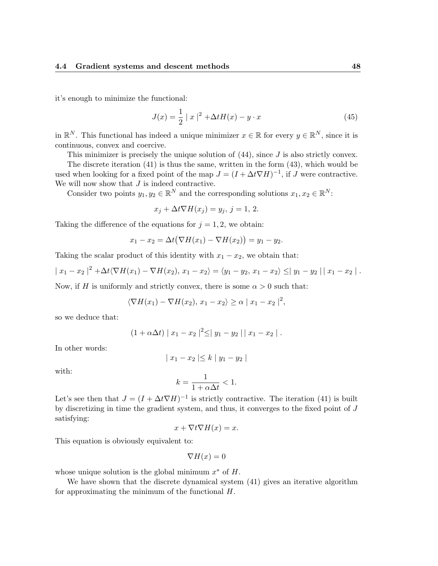it's enough to minimize the functional:

$$
J(x) = \frac{1}{2} |x|^2 + \Delta t H(x) - y \cdot x \tag{45}
$$

in  $\mathbb{R}^N$ . This functional has indeed a unique minimizer  $x \in \mathbb{R}$  for every  $y \in \mathbb{R}^N$ , since it is continuous, convex and coercive.

This minimizer is precisely the unique solution of  $(44)$ , since J is also strictly convex.

The discrete iteration (41) is thus the same, written in the form (43), which would be used when looking for a fixed point of the map  $J = (I + \Delta t \nabla H)^{-1}$ , if J were contractive. We will now show that  $J$  is indeed contractive.

Consider two points  $y_1, y_2 \in \mathbb{R}^N$  and the corresponding solutions  $x_1, x_2 \in \mathbb{R}^N$ :

$$
x_j + \Delta t \nabla H(x_j) = y_j, \, j = 1, \, 2.
$$

Taking the difference of the equations for  $j = 1, 2$ , we obtain:

$$
x_1 - x_2 = \Delta t (\nabla H(x_1) - \nabla H(x_2)) = y_1 - y_2.
$$

Taking the scalar product of this identity with  $x_1 - x_2$ , we obtain that:

$$
|x_1 - x_2|^2 + \Delta t \langle \nabla H(x_1) - \nabla H(x_2), x_1 - x_2 \rangle = \langle y_1 - y_2, x_1 - x_2 \rangle \leq |y_1 - y_2||x_1 - x_2|.
$$

Now, if H is uniformly and strictly convex, there is some  $\alpha > 0$  such that:

$$
\langle \nabla H(x_1) - \nabla H(x_2), x_1 - x_2 \rangle \ge \alpha |x_1 - x_2|^2,
$$

so we deduce that:

$$
(1+\alpha \Delta t) | x_1-x_2 |^2 \le | y_1-y_2 | | x_1-x_2 |.
$$

In other words:

$$
|x_1 - x_2| \le k |y_1 - y_2|
$$

with:

$$
k = \frac{1}{1 + \alpha \Delta t} < 1.
$$

Let's see then that  $J = (I + \Delta t \nabla H)^{-1}$  is strictly contractive. The iteration (41) is built by discretizing in time the gradient system, and thus, it converges to the fixed point of J satisfying:

$$
x + \nabla t \nabla H(x) = x.
$$

This equation is obviously equivalent to:

$$
\nabla H(x) = 0
$$

whose unique solution is the global minimum  $x^*$  of  $H$ .

We have shown that the discrete dynamical system (41) gives an iterative algorithm for approximating the minimum of the functional H.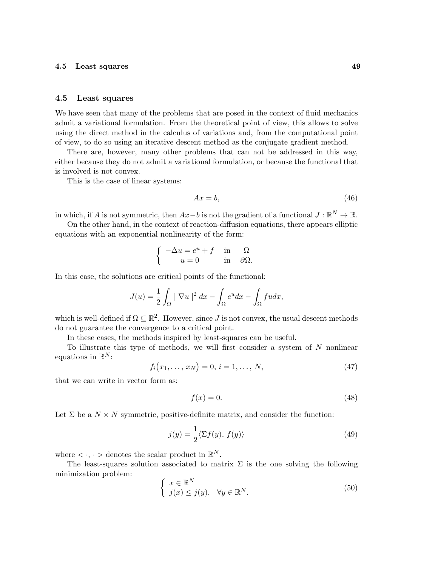#### 4.5 Least squares

We have seen that many of the problems that are posed in the context of fluid mechanics admit a variational formulation. From the theoretical point of view, this allows to solve using the direct method in the calculus of variations and, from the computational point of view, to do so using an iterative descent method as the conjugate gradient method.

There are, however, many other problems that can not be addressed in this way, either because they do not admit a variational formulation, or because the functional that is involved is not convex.

This is the case of linear systems:

$$
Ax = b,\tag{46}
$$

in which, if A is not symmetric, then  $Ax - b$  is not the gradient of a functional  $J : \mathbb{R}^N \to \mathbb{R}$ .

On the other hand, in the context of reaction-diffusion equations, there appears elliptic equations with an exponential nonlinearity of the form:

$$
\begin{cases}\n-\Delta u = e^u + f & \text{in} \quad \Omega \\
u = 0 & \text{in} \quad \partial\Omega.\n\end{cases}
$$

In this case, the solutions are critical points of the functional:

$$
J(u) = \frac{1}{2} \int_{\Omega} |\nabla u|^2 dx - \int_{\Omega} e^u dx - \int_{\Omega} f u dx,
$$

which is well-defined if  $\Omega \subseteq \mathbb{R}^2$ . However, since J is not convex, the usual descent methods do not guarantee the convergence to a critical point.

In these cases, the methods inspired by least-squares can be useful.

To illustrate this type of methods, we will first consider a system of  $N$  nonlinear equations in  $\mathbb{R}^N$ :

$$
f_i(x_1, \ldots, x_N) = 0, \, i = 1, \ldots, N,\tag{47}
$$

that we can write in vector form as:

$$
f(x) = 0.\t\t(48)
$$

Let  $\Sigma$  be a  $N \times N$  symmetric, positive-definite matrix, and consider the function:

$$
j(y) = \frac{1}{2} \langle \Sigma f(y), f(y) \rangle \tag{49}
$$

where  $\langle \cdot, \cdot \rangle$  denotes the scalar product in  $\mathbb{R}^N$ .

The least-squares solution associated to matrix  $\Sigma$  is the one solving the following minimization problem:

$$
\begin{cases}\nx \in \mathbb{R}^N \\
j(x) \le j(y), \quad \forall y \in \mathbb{R}^N.\n\end{cases} \tag{50}
$$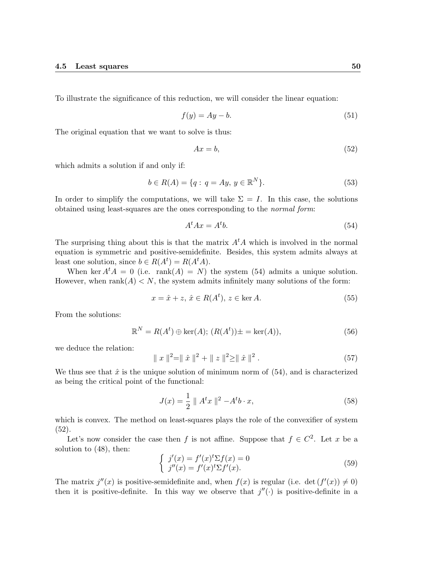To illustrate the significance of this reduction, we will consider the linear equation:

$$
f(y) = Ay - b.\tag{51}
$$

The original equation that we want to solve is thus:

$$
Ax = b,\tag{52}
$$

which admits a solution if and only if:

$$
b \in R(A) = \{q : q = Ay, y \in \mathbb{R}^N\}.
$$
\n(53)

In order to simplify the computations, we will take  $\Sigma = I$ . In this case, the solutions obtained using least-squares are the ones corresponding to the normal form:

$$
A^t A x = A^t b. \tag{54}
$$

The surprising thing about this is that the matrix  $A<sup>t</sup>A$  which is involved in the normal equation is symmetric and positive-semidefinite. Besides, this system admits always at least one solution, since  $b \in R(A^t) = R(A^t A)$ .

When ker  $A^t A = 0$  (i.e. rank $(A) = N$ ) the system (54) admits a unique solution. However, when  $\text{rank}(A) < N$ , the system admits infinitely many solutions of the form:

$$
x = \hat{x} + z, \, \hat{x} \in R(A^t), \, z \in \ker A. \tag{55}
$$

From the solutions:

$$
\mathbb{R}^N = R(A^t) \oplus \ker(A); \ (R(A^t)) \pm = \ker(A)), \tag{56}
$$

we deduce the relation:

$$
\|x\|^2 = \|\hat{x}\|^2 + \|z\|^2 \ge \|\hat{x}\|^2.
$$
 (57)

We thus see that  $\hat{x}$  is the unique solution of minimum norm of (54), and is characterized as being the critical point of the functional:

$$
J(x) = \frac{1}{2} \| A^t x \|^{2} - A^t b \cdot x,
$$
\n(58)

which is convex. The method on least-squares plays the role of the convexifier of system (52).

Let's now consider the case then f is not affine. Suppose that  $f \in C^2$ . Let x be a solution to (48), then:

$$
\begin{cases}\n j'(x) = f'(x)^t \Sigma f(x) = 0 \\
 j''(x) = f'(x)^t \Sigma f'(x).\n\end{cases}
$$
\n(59)

The matrix  $j''(x)$  is positive-semidefinite and, when  $f(x)$  is regular (i.e. det  $(f'(x)) \neq 0$ ) then it is positive-definite. In this way we observe that  $j''(.)$  is positive-definite in a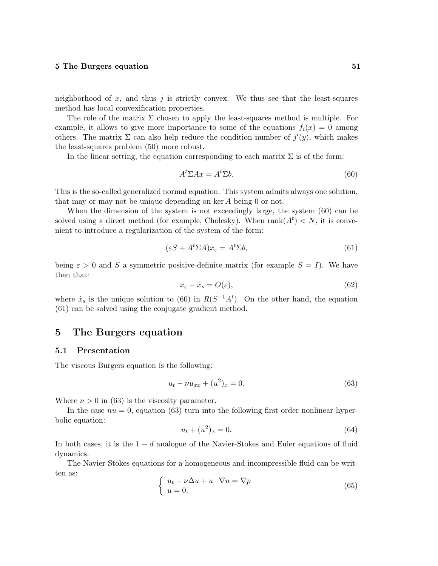neighborhood of  $x$ , and thus  $j$  is strictly convex. We thus see that the least-squares method has local convexification properties.

The role of the matrix  $\Sigma$  chosen to apply the least-squares method is multiple. For example, it allows to give more importance to some of the equations  $f_i(x) = 0$  among others. The matrix  $\Sigma$  can also help reduce the condition number of  $j'(y)$ , which makes the least-squares problem (50) more robust.

In the linear setting, the equation corresponding to each matrix  $\Sigma$  is of the form:

$$
At \Sigma Ax = At \Sigma b. \tag{60}
$$

This is the so-called generalized normal equation. This system admits always one solution, that may or may not be unique depending on ker A being 0 or not.

When the dimension of the system is not exceedingly large, the system  $(60)$  can be solved using a direct method (for example, Cholesky). When  $rank(A^t) < N$ , it is convenient to introduce a regularization of the system of the form:

$$
(\varepsilon S + A^t \Sigma A)x_{\varepsilon} = A^t \Sigma b,\tag{61}
$$

being  $\varepsilon > 0$  and S a symmetric positive-definite matrix (for example  $S = I$ ). We have then that:

$$
x_{\varepsilon} - \hat{x}_s = O(\varepsilon),\tag{62}
$$

where  $\hat{x}_s$  is the unique solution to (60) in  $R(S^{-1}A^t)$ . On the other hand, the equation (61) can be solved using the conjugate gradient method.

# 5 The Burgers equation

#### 5.1 Presentation

The viscous Burgers equation is the following:

$$
u_t - \nu u_{xx} + (u^2)_x = 0.
$$
\n(63)

Where  $\nu > 0$  in (63) is the viscosity parameter.

In the case  $nu = 0$ , equation (63) turn into the following first order nonlinear hyperbolic equation:

$$
u_t + (u^2)_x = 0.\t\t(64)
$$

In both cases, it is the  $1 - d$  analogue of the Navier-Stokes and Euler equations of fluid dynamics.

The Navier-Stokes equations for a homogeneous and incompressible fluid can be written as:

$$
\begin{cases}\n u_t - \nu \Delta u + u \cdot \nabla u = \nabla p \\
 u = 0.\n\end{cases}
$$
\n(65)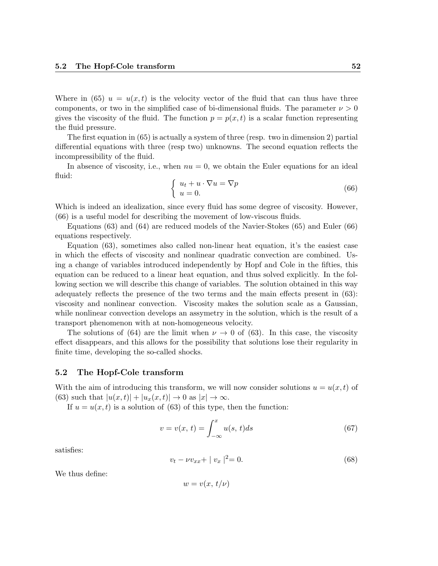Where in (65)  $u = u(x, t)$  is the velocity vector of the fluid that can thus have three components, or two in the simplified case of bi-dimensional fluids. The parameter  $\nu > 0$ gives the viscosity of the fluid. The function  $p = p(x, t)$  is a scalar function representing the fluid pressure.

The first equation in (65) is actually a system of three (resp. two in dimension 2) partial differential equations with three (resp two) unknowns. The second equation reflects the incompressibility of the fluid.

In absence of viscosity, i.e., when  $nu = 0$ , we obtain the Euler equations for an ideal fluid:

$$
\begin{cases}\n u_t + u \cdot \nabla u = \nabla p \\
 u = 0.\n\end{cases}
$$
\n(66)

Which is indeed an idealization, since every fluid has some degree of viscosity. However, (66) is a useful model for describing the movement of low-viscous fluids.

Equations (63) and (64) are reduced models of the Navier-Stokes (65) and Euler (66) equations respectively.

Equation (63), sometimes also called non-linear heat equation, it's the easiest case in which the effects of viscosity and nonlinear quadratic convection are combined. Using a change of variables introduced independently by Hopf and Cole in the fifties, this equation can be reduced to a linear heat equation, and thus solved explicitly. In the following section we will describe this change of variables. The solution obtained in this way adequately reflects the presence of the two terms and the main effects present in (63): viscosity and nonlinear convection. Viscosity makes the solution scale as a Gaussian, while nonlinear convection develops an assymetry in the solution, which is the result of a transport phenomenon with at non-homogeneous velocity.

The solutions of (64) are the limit when  $\nu \to 0$  of (63). In this case, the viscosity effect disappears, and this allows for the possibility that solutions lose their regularity in finite time, developing the so-called shocks.

#### 5.2 The Hopf-Cole transform

With the aim of introducing this transform, we will now consider solutions  $u = u(x, t)$  of (63) such that  $|u(x,t)| + |u_x(x,t)| \rightarrow 0$  as  $|x| \rightarrow \infty$ .

If  $u = u(x, t)$  is a solution of (63) of this type, then the function:

$$
v = v(x, t) = \int_{-\infty}^{x} u(s, t)ds
$$
\n(67)

satisfies:

$$
v_t - \nu v_{xx} + |v_x|^2 = 0. \tag{68}
$$

We thus define:

$$
w=v(x,t/\nu)
$$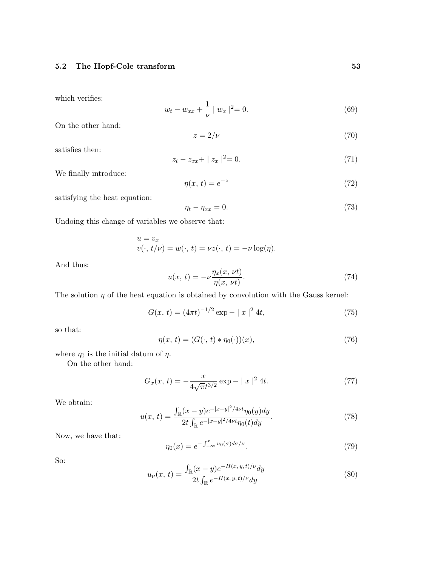which verifies:

$$
w_t - w_{xx} + \frac{1}{\nu} \mid w_x \mid^2 = 0. \tag{69}
$$

On the other hand:

$$
z = 2/\nu \tag{70}
$$

satisfies then:

$$
z_t - z_{xx} + |z_x|^2 = 0.
$$
 (71)

We finally introduce:

$$
\eta(x,t) = e^{-z} \tag{72}
$$

satisfying the heat equation:

$$
\eta_t - \eta_{xx} = 0. \tag{73}
$$

Undoing this change of variables we observe that:

$$
u = v_x
$$
  

$$
v(\cdot, t/\nu) = w(\cdot, t) = \nu z(\cdot, t) = -\nu \log(\eta).
$$

And thus:

$$
u(x, t) = -\nu \frac{\eta_x(x, \nu t)}{\eta(x, \nu t)}.
$$
\n(74)

The solution  $\eta$  of the heat equation is obtained by convolution with the Gauss kernel:

$$
G(x, t) = (4\pi t)^{-1/2} \exp(-\|x\|^2 4t, \tag{75}
$$

so that:

$$
\eta(x, t) = (G(\cdot, t) * \eta_0(\cdot))(x),\tag{76}
$$

where  $\eta_0$  is the initial datum of  $\eta$ .

On the other hand:

$$
G_x(x, t) = -\frac{x}{4\sqrt{\pi}t^{3/2}} \exp(-\|x\|^2 4t).
$$
 (77)

We obtain:

$$
u(x,\,t) = \frac{\int_{\mathbb{R}} (x-y)e^{-|x-y|^2/4\nu t}\eta_0(y)dy}{2t\int_{\mathbb{R}} e^{-|x-y|^2/4\nu t}\eta_0(t)dy}.\tag{78}
$$

Now, we have that:

$$
\eta_0(x) = e^{-\int_{-\infty}^x u_0(\sigma)d\sigma/\nu}.\tag{79}
$$

So:

$$
u_{\nu}(x,t) = \frac{\int_{\mathbb{R}} (x-y)e^{-H(x,y,t)/\nu} dy}{2t \int_{\mathbb{R}} e^{-H(x,y,t)/\nu} dy}
$$
(80)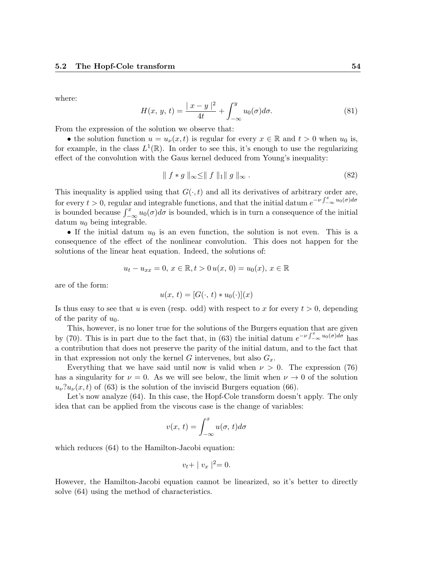where:

$$
H(x, y, t) = \frac{|x - y|^2}{4t} + \int_{-\infty}^{y} u_0(\sigma) d\sigma.
$$
 (81)

From the expression of the solution we observe that:

• the solution function  $u = u_{\nu}(x, t)$  is regular for every  $x \in \mathbb{R}$  and  $t > 0$  when  $u_0$  is, for example, in the class  $L^1(\mathbb{R})$ . In order to see this, it's enough to use the regularizing effect of the convolution with the Gaus kernel deduced from Young's inequality:

$$
\parallel f * g \parallel_{\infty} \leq \parallel f \parallel_1 \parallel g \parallel_{\infty} . \tag{82}
$$

This inequality is applied using that  $G(\cdot, t)$  and all its derivatives of arbitrary order are, for every  $t > 0$ , regular and integrable functions, and that the initial datum  $e^{-\nu \int_{-\infty}^{x} u_0(\sigma) d\sigma}$ is bounded because  $\int_{-\infty}^{x} u_0(\sigma) d\sigma$  is bounded, which is in turn a consequence of the initial datum  $u_0$  being integrable.

• If the initial datum  $u_0$  is an even function, the solution is not even. This is a consequence of the effect of the nonlinear convolution. This does not happen for the solutions of the linear heat equation. Indeed, the solutions of:

$$
u_t - u_{xx} = 0, \, x \in \mathbb{R}, t > 0 \, u(x, 0) = u_0(x), \, x \in \mathbb{R}
$$

are of the form:

$$
u(x, t) = [G(\cdot, t) * u_0(\cdot)](x)
$$

Is thus easy to see that u is even (resp. odd) with respect to x for every  $t > 0$ , depending of the parity of  $u_0$ .

This, however, is no loner true for the solutions of the Burgers equation that are given by (70). This is in part due to the fact that, in (63) the initial datum  $e^{-\nu \int_{-\infty}^{x} u_0(\sigma) d\sigma}$  has a contribution that does not preserve the parity of the initial datum, and to the fact that in that expression not only the kernel G intervenes, but also  $G_x$ .

Everything that we have said until now is valid when  $\nu > 0$ . The expression (76) has a singularity for  $\nu = 0$ . As we will see below, the limit when  $\nu \to 0$  of the solution  $u_{\nu}$ ? $u_{\nu}(x, t)$  of (63) is the solution of the inviscid Burgers equation (66).

Let's now analyze  $(64)$ . In this case, the Hopf-Cole transform doesn't apply. The only idea that can be applied from the viscous case is the change of variables:

$$
v(x, t) = \int_{-\infty}^{x} u(\sigma, t) d\sigma
$$

which reduces  $(64)$  to the Hamilton-Jacobi equation:

$$
v_t + |v_x|^2 = 0.
$$

However, the Hamilton-Jacobi equation cannot be linearized, so it's better to directly solve (64) using the method of characteristics.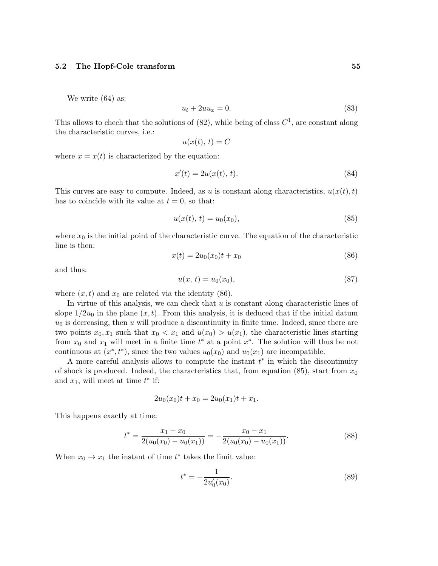We write (64) as:

$$
u_t + 2uu_x = 0.\t\t(83)
$$

This allows to chech that the solutions of  $(82)$ , while being of class  $C<sup>1</sup>$ , are constant along the characteristic curves, i.e.:

$$
u(x(t),\,t) = C
$$

where  $x = x(t)$  is characterized by the equation:

$$
x'(t) = 2u(x(t), t).
$$
 (84)

This curves are easy to compute. Indeed, as u is constant along characteristics,  $u(x(t), t)$ has to coincide with its value at  $t = 0$ , so that:

$$
u(x(t),\,t) = u_0(x_0),\tag{85}
$$

where  $x_0$  is the initial point of the characteristic curve. The equation of the characteristic line is then:

$$
x(t) = 2u_0(x_0)t + x_0
$$
\n(86)

and thus:

$$
u(x, t) = u_0(x_0), \t\t(87)
$$

where  $(x, t)$  and  $x_0$  are related via the identity (86).

In virtue of this analysis, we can check that  $u$  is constant along characteristic lines of slope  $1/2u_0$  in the plane  $(x, t)$ . From this analysis, it is deduced that if the initial datum  $u_0$  is decreasing, then u will produce a discontinuity in finite time. Indeed, since there are two points  $x_0, x_1$  such that  $x_0 < x_1$  and  $u(x_0) > u(x_1)$ , the characteristic lines starting from  $x_0$  and  $x_1$  will meet in a finite time  $t^*$  at a point  $x^*$ . The solution will thus be not continuous at  $(x^*, t^*)$ , since the two values  $u_0(x_0)$  and  $u_0(x_1)$  are incompatible.

A more careful analysis allows to compute the instant  $t^*$  in which the discontinuity of shock is produced. Indeed, the characteristics that, from equation (85), start from  $x_0$ and  $x_1$ , will meet at time  $t^*$  if:

$$
2u_0(x_0)t + x_0 = 2u_0(x_1)t + x_1.
$$

This happens exactly at time:

$$
t^* = \frac{x_1 - x_0}{2(u_0(x_0) - u_0(x_1))} = -\frac{x_0 - x_1}{2(u_0(x_0) - u_0(x_1))}.
$$
\n(88)

When  $x_0 \to x_1$  the instant of time  $t^*$  takes the limit value:

$$
t^* = -\frac{1}{2u'_0(x_0)}.\t(89)
$$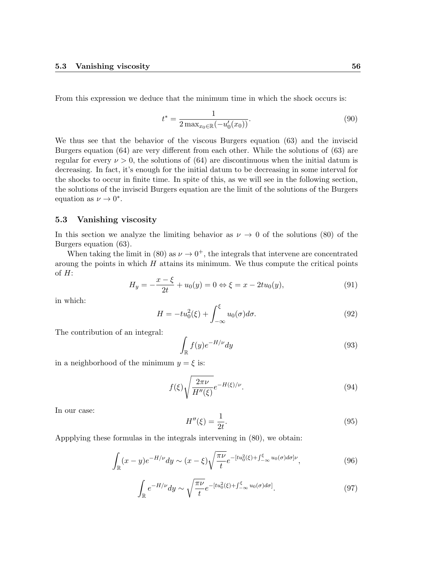From this expression we deduce that the minimum time in which the shock occurs is:

$$
t^* = \frac{1}{2 \max_{x_0 \in \mathbb{R}} (-u'_0(x_0))}.
$$
\n(90)

We thus see that the behavior of the viscous Burgers equation (63) and the inviscid Burgers equation (64) are very different from each other. While the solutions of (63) are regular for every  $\nu > 0$ , the solutions of (64) are discontinuous when the initial datum is decreasing. In fact, it's enough for the initial datum to be decreasing in some interval for the shocks to occur in finite time. In spite of this, as we will see in the following section, the solutions of the inviscid Burgers equation are the limit of the solutions of the Burgers equation as  $\nu \to 0^*$ .

## 5.3 Vanishing viscosity

In this section we analyze the limiting behavior as  $\nu \to 0$  of the solutions (80) of the Burgers equation (63).

When taking the limit in (80) as  $\nu \rightarrow 0^+$ , the integrals that intervene are concentrated aroung the points in which  $H$  attains its minimum. We thus compute the critical points of  $H$ :

$$
H_y = -\frac{x - \xi}{2t} + u_0(y) = 0 \Leftrightarrow \xi = x - 2tu_0(y), \tag{91}
$$

in which:

$$
H = -tu_0^2(\xi) + \int_{-\infty}^{\xi} u_0(\sigma)d\sigma.
$$
\n(92)

The contribution of an integral:

$$
\int_{\mathbb{R}} f(y)e^{-H/\nu} dy \tag{93}
$$

in a neighborhood of the minimum  $y = \xi$  is:

$$
f(\xi)\sqrt{\frac{2\pi\nu}{H''(\xi)}}e^{-H(\xi)/\nu}.\tag{94}
$$

In our case:

$$
H''(\xi) = \frac{1}{2t}.\tag{95}
$$

Appplying these formulas in the integrals intervening in (80), we obtain:

$$
\int_{\mathbb{R}} (x - y)e^{-H/\nu} dy \sim (x - \xi) \sqrt{\frac{\pi \nu}{t}} e^{-\left[tu_0^2(\xi) + \int_{-\infty}^{\xi} u_0(\sigma) d\sigma\right] \nu},\tag{96}
$$

$$
\int_{\mathbb{R}} e^{-H/\nu} dy \sim \sqrt{\frac{\pi \nu}{t}} e^{-\left[tu_0^2(\xi) + \int_{-\infty}^{\xi} u_0(\sigma) d\sigma\right]}.
$$
\n(97)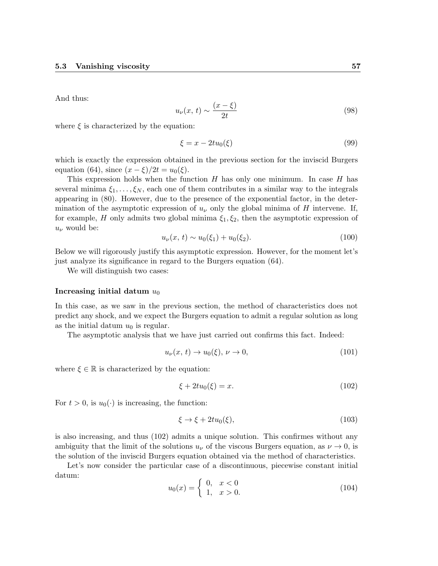And thus:

$$
u_{\nu}(x,\,t) \sim \frac{(x-\xi)}{2t} \tag{98}
$$

where  $\xi$  is characterized by the equation:

$$
\xi = x - 2tu_0(\xi) \tag{99}
$$

which is exactly the expression obtained in the previous section for the inviscid Burgers equation (64), since  $(x - \xi)/2t = u_0(\xi)$ .

This expression holds when the function  $H$  has only one minimum. In case  $H$  has several minima  $\xi_1, \ldots, \xi_N$ , each one of them contributes in a similar way to the integrals appearing in (80). However, due to the presence of the exponential factor, in the determination of the asymptotic expression of  $u_{\nu}$  only the global minima of H intervene. If, for example, H only admits two global minima  $\xi_1, \xi_2$ , then the asymptotic expression of  $u_{\nu}$  would be:

$$
u_{\nu}(x, t) \sim u_0(\xi_1) + u_0(\xi_2). \tag{100}
$$

Below we will rigorously justify this asymptotic expression. However, for the moment let's just analyze its significance in regard to the Burgers equation (64).

We will distinguish two cases:

#### Increasing initial datum  $u_0$

In this case, as we saw in the previous section, the method of characteristics does not predict any shock, and we expect the Burgers equation to admit a regular solution as long as the initial datum  $u_0$  is regular.

The asymptotic analysis that we have just carried out confirms this fact. Indeed:

$$
u_{\nu}(x,t) \to u_0(\xi), \nu \to 0,\tag{101}
$$

where  $\xi \in \mathbb{R}$  is characterized by the equation:

$$
\xi + 2tu_0(\xi) = x.\tag{102}
$$

For  $t > 0$ , is  $u_0(\cdot)$  is increasing, the function:

$$
\xi \to \xi + 2tu_0(\xi),\tag{103}
$$

is also increasing, and thus (102) admits a unique solution. This confirmes without any ambiguity that the limit of the solutions  $u_{\nu}$  of the viscous Burgers equation, as  $\nu \to 0$ , is the solution of the inviscid Burgers equation obtained via the method of characteristics.

Let's now consider the particular case of a discontinuous, piecewise constant initial datum:

$$
u_0(x) = \begin{cases} 0, & x < 0 \\ 1, & x > 0. \end{cases}
$$
 (104)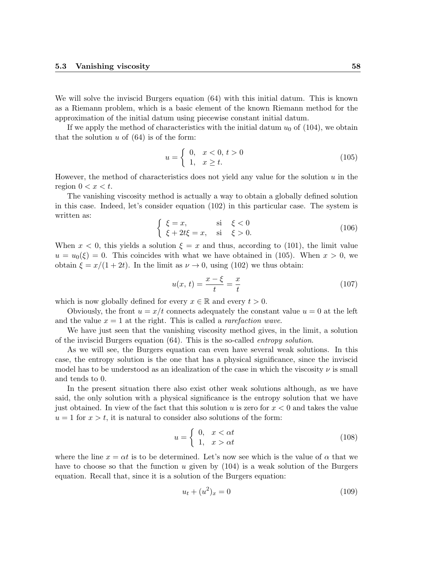We will solve the inviscid Burgers equation (64) with this initial datum. This is known as a Riemann problem, which is a basic element of the known Riemann method for the approximation of the initial datum using piecewise constant initial datum.

If we apply the method of characteristics with the initial datum  $u_0$  of (104), we obtain that the solution  $u$  of (64) is of the form:

$$
u = \begin{cases} 0, & x < 0, t > 0 \\ 1, & x \ge t. \end{cases}
$$
 (105)

However, the method of characteristics does not yield any value for the solution  $u$  in the region  $0 < x < t$ .

The vanishing viscosity method is actually a way to obtain a globally defined solution in this case. Indeed, let's consider equation (102) in this particular case. The system is written as:

$$
\begin{cases} \xi = x, & \text{si } \xi < 0\\ \xi + 2t\xi = x, & \text{si } \xi > 0. \end{cases}
$$
\n(106)

When  $x < 0$ , this yields a solution  $\xi = x$  and thus, according to (101), the limit value  $u = u_0(\xi) = 0$ . This coincides with what we have obtained in (105). When  $x > 0$ , we obtain  $\xi = x/(1+2t)$ . In the limit as  $\nu \to 0$ , using (102) we thus obtain:

$$
u(x, t) = \frac{x - \xi}{t} = \frac{x}{t}
$$
 (107)

which is now globally defined for every  $x \in \mathbb{R}$  and every  $t > 0$ .

Obviously, the front  $u = x/t$  connects adequately the constant value  $u = 0$  at the left and the value  $x = 1$  at the right. This is called a *rarefaction wave*.

We have just seen that the vanishing viscosity method gives, in the limit, a solution of the inviscid Burgers equation (64). This is the so-called entropy solution.

As we will see, the Burgers equation can even have several weak solutions. In this case, the entropy solution is the one that has a physical significance, since the inviscid model has to be understood as an idealization of the case in which the viscosity  $\nu$  is small and tends to 0.

In the present situation there also exist other weak solutions although, as we have said, the only solution with a physical significance is the entropy solution that we have just obtained. In view of the fact that this solution u is zero for  $x < 0$  and takes the value  $u = 1$  for  $x > t$ , it is natural to consider also solutions of the form:

$$
u = \begin{cases} 0, & x < \alpha t \\ 1, & x > \alpha t \end{cases} \tag{108}
$$

where the line  $x = \alpha t$  is to be determined. Let's now see which is the value of  $\alpha$  that we have to choose so that the function  $u$  given by  $(104)$  is a weak solution of the Burgers equation. Recall that, since it is a solution of the Burgers equation:

$$
u_t + (u^2)_x = 0 \tag{109}
$$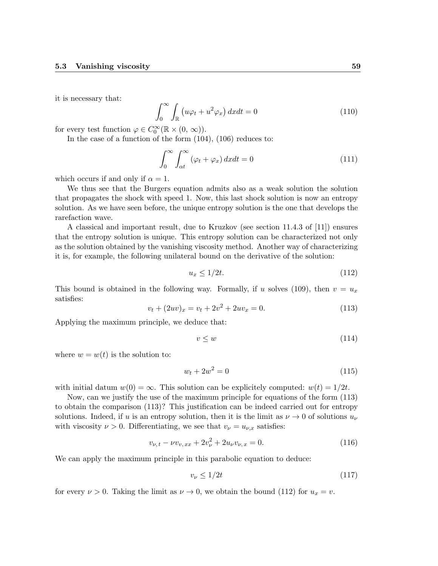it is necessary that:

$$
\int_0^\infty \int_{\mathbb{R}} \left( u\varphi_t + u^2 \varphi_x \right) dx dt = 0 \tag{110}
$$

for every test function  $\varphi \in C_0^{\infty}(\mathbb{R} \times (0, \infty)).$ 

In the case of a function of the form (104), (106) reduces to:

$$
\int_0^\infty \int_{\alpha t}^\infty (\varphi_t + \varphi_x) \, dx dt = 0 \tag{111}
$$

which occurs if and only if  $\alpha = 1$ .

We thus see that the Burgers equation admits also as a weak solution the solution that propagates the shock with speed 1. Now, this last shock solution is now an entropy solution. As we have seen before, the unique entropy solution is the one that develops the rarefaction wave.

A classical and important result, due to Kruzkov (see section 11.4.3 of [11]) ensures that the entropy solution is unique. This entropy solution can be characterized not only as the solution obtained by the vanishing viscosity method. Another way of characterizing it is, for example, the following unilateral bound on the derivative of the solution:

$$
u_x \le 1/2t. \tag{112}
$$

This bound is obtained in the following way. Formally, if u solves (109), then  $v = u_x$ satisfies:

$$
v_t + (2uv)_x = v_t + 2v^2 + 2uv_x = 0.
$$
\n(113)

Applying the maximum principle, we deduce that:

$$
v \le w \tag{114}
$$

where  $w = w(t)$  is the solution to:

$$
w_t + 2w^2 = 0 \tag{115}
$$

with initial datum  $w(0) = \infty$ . This solution can be explicitely computed:  $w(t) = 1/2t$ .

Now, can we justify the use of the maximum principle for equations of the form (113) to obtain the comparison (113)? This justification can be indeed carried out for entropy solutions. Indeed, if u is an entropy solution, then it is the limit as  $\nu \rightarrow 0$  of solutions  $u_{\nu}$ with viscosity  $\nu > 0$ . Differentiating, we see that  $v_{\nu} = u_{\nu,x}$  satisfies:

$$
v_{\nu,t} - \nu v_{v,xx} + 2v_{\nu}^2 + 2u_{\nu}v_{\nu,x} = 0.
$$
\n(116)

We can apply the maximum principle in this parabolic equation to deduce:

$$
v_{\nu} \le 1/2t \tag{117}
$$

for every  $\nu > 0$ . Taking the limit as  $\nu \to 0$ , we obtain the bound (112) for  $u_x = v$ .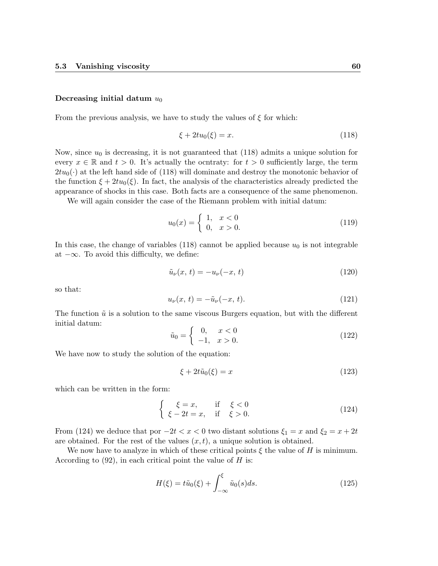## Decreasing initial datum  $u_0$

From the previous analysis, we have to study the values of  $\xi$  for which:

$$
\xi + 2tu_0(\xi) = x.
$$
\n(118)

Now, since  $u_0$  is decreasing, it is not guaranteed that (118) admits a unique solution for every  $x \in \mathbb{R}$  and  $t > 0$ . It's actually the ocntraty: for  $t > 0$  sufficiently large, the term  $2tu_0(\cdot)$  at the left hand side of (118) will dominate and destroy the monotonic behavior of the function  $\xi + 2tu_0(\xi)$ . In fact, the analysis of the characteristics already predicted the appearance of shocks in this case. Both facts are a consequence of the same phenomenon.

We will again consider the case of the Riemann problem with initial datum:

$$
u_0(x) = \begin{cases} 1, & x < 0 \\ 0, & x > 0. \end{cases}
$$
 (119)

In this case, the change of variables (118) cannot be applied because  $u_0$  is not integrable at  $-\infty$ . To avoid this difficulty, we define:

$$
\tilde{u}_{\nu}(x,t) = -u_{\nu}(-x,t) \tag{120}
$$

so that:

$$
u_{\nu}(x,\,t) = -\tilde{u}_{\nu}(-x,\,t). \tag{121}
$$

The function  $\tilde{u}$  is a solution to the same viscous Burgers equation, but with the different initial datum:

$$
\tilde{u}_0 = \begin{cases}\n0, & x < 0 \\
-1, & x > 0.\n\end{cases}
$$
\n(122)

We have now to study the solution of the equation:

$$
\xi + 2t\tilde{u}_0(\xi) = x \tag{123}
$$

which can be written in the form:

$$
\begin{cases}\n\xi = x, & \text{if } \xi < 0 \\
\xi - 2t = x, & \text{if } \xi > 0.\n\end{cases}
$$
\n(124)

From (124) we deduce that por  $-2t < x < 0$  two distant solutions  $\xi_1 = x$  and  $\xi_2 = x + 2t$ are obtained. For the rest of the values  $(x, t)$ , a unique solution is obtained.

We now have to analyze in which of these critical points  $\xi$  the value of H is minimum. According to  $(92)$ , in each critical point the value of H is:

$$
H(\xi) = t\tilde{u}_0(\xi) + \int_{-\infty}^{\xi} \tilde{u}_0(s)ds.
$$
 (125)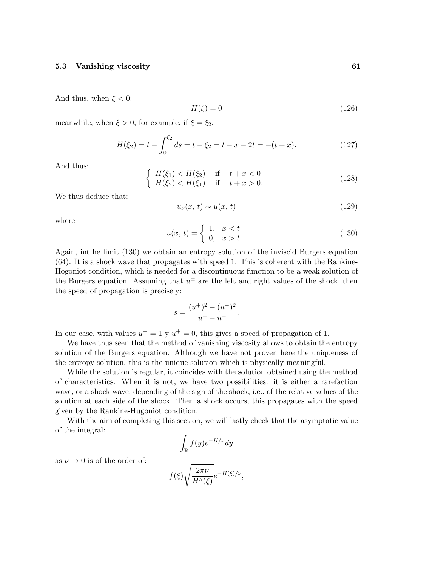And thus, when  $\xi < 0$ :

$$
H(\xi) = 0\tag{126}
$$

meanwhile, when  $\xi > 0$ , for example, if  $\xi = \xi_2$ ,

$$
H(\xi_2) = t - \int_0^{\xi_2} ds = t - \xi_2 = t - x - 2t = -(t + x). \tag{127}
$$

And thus:

$$
\begin{cases}\nH(\xi_1) < H(\xi_2) & \text{if } t + x < 0 \\
H(\xi_2) < H(\xi_1) & \text{if } t + x > 0.\n\end{cases}\n\tag{128}
$$

We thus deduce that:

as  $\nu \rightarrow 0$  is of the order of:

$$
u_{\nu}(x,t) \sim u(x,t) \tag{129}
$$

where

$$
u(x, t) = \begin{cases} 1, & x < t \\ 0, & x > t. \end{cases}
$$
 (130)

Again, int he limit (130) we obtain an entropy solution of the inviscid Burgers equation (64). It is a shock wave that propagates with speed 1. This is coherent with the Rankine-Hogoniot condition, which is needed for a discontinuous function to be a weak solution of the Burgers equation. Assuming that  $u^{\pm}$  are the left and right values of the shock, then the speed of propagation is precisely:

$$
s = \frac{(u^+)^2 - (u^-)^2}{u^+ - u^-}.
$$

In our case, with values  $u^- = 1$  y  $u^+ = 0$ , this gives a speed of propagation of 1.

We have thus seen that the method of vanishing viscosity allows to obtain the entropy solution of the Burgers equation. Although we have not proven here the uniqueness of the entropy solution, this is the unique solution which is physically meaningful.

While the solution is regular, it coincides with the solution obtained using the method of characteristics. When it is not, we have two possibilities: it is either a rarefaction wave, or a shock wave, depending of the sign of the shock, i.e., of the relative values of the solution at each side of the shock. Then a shock occurs, this propagates with the speed given by the Rankine-Hugoniot condition.

With the aim of completing this section, we will lastly check that the asymptotic value of the integral:

$$
\int_{\mathbb{R}} f(y)e^{-H/\nu} dy
$$

$$
f(\xi)\sqrt{\frac{2\pi\nu}{H''(\xi)}}e^{-H(\xi)/\nu},
$$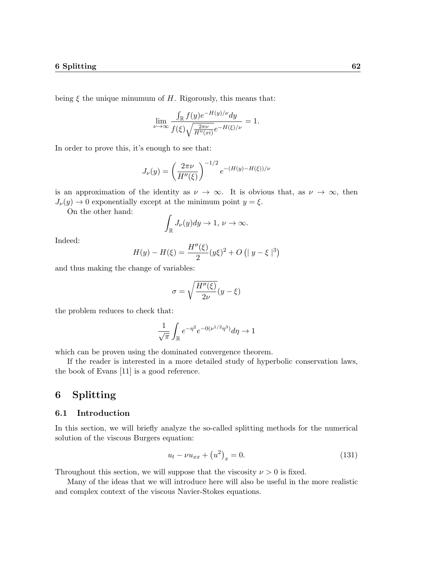being  $\xi$  the unique minumum of H. Rigorously, this means that:

$$
\lim_{\nu \to \infty} \frac{\int_{\mathbb{R}} f(y) e^{-H(y)/\nu} dy}{f(\xi) \sqrt{\frac{2\pi \nu}{H''(xi)}} e^{-H(\xi)/\nu}} = 1.
$$

In order to prove this, it's enough to see that:

$$
J_{\nu}(y) = \left(\frac{2\pi\nu}{H''(\xi)}\right)^{-1/2} e^{-(H(y)-H(\xi))/\nu}
$$

is an approximation of the identity as  $\nu \to \infty$ . It is obvious that, as  $\nu \to \infty$ , then  $J_{\nu}(y) \rightarrow 0$  exponentially except at the minimum point  $y = \xi$ .

On the other hand:

$$
\int_{\mathbb{R}} J_{\nu}(y) dy \to 1, \nu \to \infty.
$$

Indeed:

$$
H(y) - H(\xi) = \frac{H''(\xi)}{2} (y\xi)^2 + O(|y - \xi|^3)
$$

and thus making the change of variables:

$$
\sigma=\sqrt{\frac{H''(\xi)}{2\nu}}(y-\xi)
$$

the problem reduces to check that:

$$
\frac{1}{\sqrt{\pi}}\int_{\mathbb{R}}e^{-\eta^2}e^{-0(\nu^{1/2}\eta^3)}d\eta \to 1
$$

which can be proven using the dominated convergence theorem.

If the reader is interested in a more detailed study of hyperbolic conservation laws, the book of Evans [11] is a good reference.

# 6 Splitting

## 6.1 Introduction

In this section, we will briefly analyze the so-called splitting methods for the numerical solution of the viscous Burgers equation:

$$
u_t - \nu u_{xx} + (u^2)_x = 0.
$$
 (131)

Throughout this section, we will suppose that the viscosity  $\nu > 0$  is fixed.

Many of the ideas that we will introduce here will also be useful in the more realistic and complex context of the viscous Navier-Stokes equations.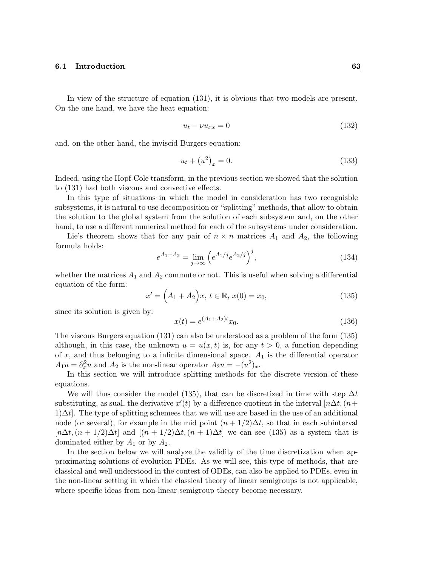In view of the structure of equation (131), it is obvious that two models are present. On the one hand, we have the heat equation:

$$
u_t - \nu u_{xx} = 0 \tag{132}
$$

and, on the other hand, the inviscid Burgers equation:

$$
u_t + (u^2)_x = 0.
$$
 (133)

Indeed, using the Hopf-Cole transform, in the previous section we showed that the solution to (131) had both viscous and convective effects.

In this type of situations in which the model in consideration has two recognisble subsystems, it is natural to use decomposition or "splitting" methods, that allow to obtain the solution to the global system from the solution of each subsystem and, on the other hand, to use a different numerical method for each of the subsystems under consideration.

Lie's theorem shows that for any pair of  $n \times n$  matrices  $A_1$  and  $A_2$ , the following formula holds:

$$
e^{A_1 + A_2} = \lim_{j \to \infty} \left( e^{A_1/j} e^{A_2/j} \right)^j, \tag{134}
$$

whether the matrices  $A_1$  and  $A_2$  commute or not. This is useful when solving a differential equation of the form:

$$
x' = (A_1 + A_2)x, t \in \mathbb{R}, x(0) = x_0,
$$
\n(135)

since its solution is given by:

$$
x(t) = e^{(A_1 + A_2)t} x_0.
$$
\n(136)

The viscous Burgers equation (131) can also be understood as a problem of the form (135) although, in this case, the unknown  $u = u(x, t)$  is, for any  $t > 0$ , a function depending of x, and thus belonging to a infinite dimensional space.  $A_1$  is the differential operator  $A_1u = \partial_x^2 u$  and  $A_2$  is the non-linear operator  $A_2u = -(u^2)_x$ .

In this section we will introduce splitting methods for the discrete version of these equations.

We will thus consider the model (135), that can be discretized in time with step  $\Delta t$ substituting, as sual, the derivative  $x'(t)$  by a difference quotient in the interval  $[n\Delta t, (n+\alpha)]$  $1)\Delta t$ . The type of splitting schemees that we will use are based in the use of an additional node (or several), for example in the mid point  $(n+1/2)\Delta t$ , so that in each subinterval  $[n\Delta t, (n+1/2)\Delta t]$  and  $[(n+1/2)\Delta t, (n+1)\Delta t]$  we can see (135) as a system that is dominated either by  $A_1$  or by  $A_2$ .

In the section below we will analyze the validity of the time discretization when approximating solutions of evolution PDEs. As we will see, this type of methods, that are classical and well understood in the contest of ODEs, can also be applied to PDEs, even in the non-linear setting in which the classical theory of linear semigroups is not applicable, where specific ideas from non-linear semigroup theory become necessary.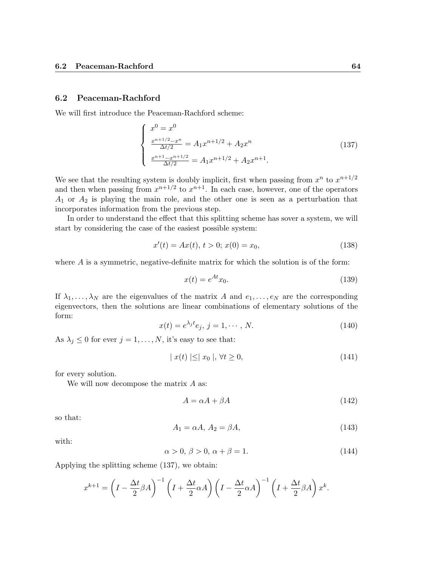## 6.2 Peaceman-Rachford

We will first introduce the Peaceman-Rachford scheme:

$$
\begin{cases}\nx^0 = x^0 \\
\frac{x^{n+1/2} - x^n}{\Delta t/2} = A_1 x^{n+1/2} + A_2 x^n \\
\frac{x^{n+1} - x^{n+1/2}}{\Delta t/2} = A_1 x^{n+1/2} + A_2 x^{n+1}.\n\end{cases}
$$
\n(137)

We see that the resulting system is doubly implicit, first when passing from  $x^n$  to  $x^{n+1/2}$ and then when passing from  $x^{n+1/2}$  to  $x^{n+1}$ . In each case, however, one of the operators  $A_1$  or  $A_2$  is playing the main role, and the other one is seen as a perturbation that incorporates information from the previous step.

In order to understand the effect that this splitting scheme has sover a system, we will start by considering the case of the easiest possible system:

$$
x'(t) = Ax(t), t > 0; x(0) = x_0,
$$
\n(138)

where  $A$  is a symmetric, negative-definite matrix for which the solution is of the form:

$$
x(t) = e^{At}x_0.
$$
\n<sup>(139)</sup>

If  $\lambda_1, \ldots, \lambda_N$  are the eigenvalues of the matrix A and  $e_1, \ldots, e_N$  are the corresponding eigenvectors, then the solutions are linear combinations of elementary solutions of the form:

$$
x(t) = e^{\lambda_j t} e_j, \, j = 1, \cdots, N. \tag{140}
$$

As  $\lambda_j \leq 0$  for ever  $j = 1, ..., N$ , it's easy to see that:

$$
|x(t)| \leq |x_0|, \forall t \geq 0,\tag{141}
$$

for every solution.

We will now decompose the matrix  $A$  as:

$$
A = \alpha A + \beta A \tag{142}
$$

so that:

$$
A_1 = \alpha A, A_2 = \beta A,\tag{143}
$$

with:

$$
\alpha > 0, \, \beta > 0, \, \alpha + \beta = 1. \tag{144}
$$

Applying the splitting scheme (137), we obtain:

$$
x^{k+1} = \left(I - \frac{\Delta t}{2}\beta A\right)^{-1} \left(I + \frac{\Delta t}{2}\alpha A\right) \left(I - \frac{\Delta t}{2}\alpha A\right)^{-1} \left(I + \frac{\Delta t}{2}\beta A\right) x^k.
$$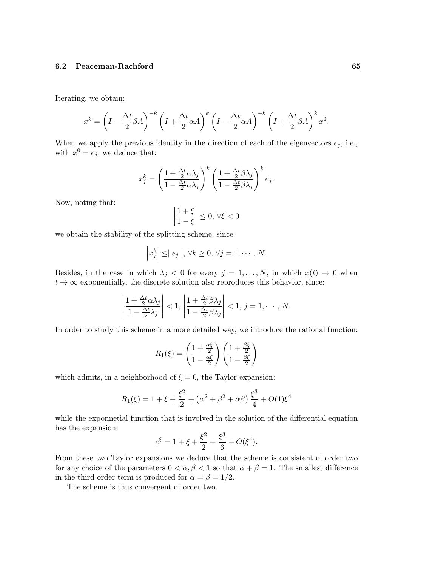Iterating, we obtain:

$$
x^{k} = \left(I - \frac{\Delta t}{2}\beta A\right)^{-k} \left(I + \frac{\Delta t}{2}\alpha A\right)^{k} \left(I - \frac{\Delta t}{2}\alpha A\right)^{-k} \left(I + \frac{\Delta t}{2}\beta A\right)^{k} x^{0}.
$$

When we apply the previous identity in the direction of each of the eigenvectors  $e_j$ , i.e., with  $x^0 = e_j$ , we deduce that:

$$
x_j^k = \left(\frac{1 + \frac{\Delta t}{2}\alpha\lambda_j}{1 - \frac{\Delta t}{2}\alpha\lambda_j}\right)^k \left(\frac{1 + \frac{\Delta t}{2}\beta\lambda_j}{1 - \frac{\Delta t}{2}\beta\lambda_j}\right)^k e_j.
$$

Now, noting that:

$$
\left|\frac{1+\xi}{1-\xi}\right| \le 0, \,\forall \xi < 0
$$

we obtain the stability of the splitting scheme, since:

$$
\left|x_j^k\right| \leq |e_j|, \forall k \geq 0, \forall j = 1, \cdots, N.
$$

Besides, in the case in which  $\lambda_j < 0$  for every  $j = 1, ..., N$ , in which  $x(t) \to 0$  when  $t \to \infty$  exponentially, the discrete solution also reproduces this behavior, since:

$$
\left|\frac{1+\frac{\Delta t}{2}\alpha\lambda_j}{1-\frac{\Delta t}{2}\lambda_j}\right| < 1, \left|\frac{1+\frac{\Delta t}{2}\beta\lambda_j}{1-\frac{\Delta t}{2}\beta\lambda_j}\right| < 1, j = 1, \cdots, N.
$$

In order to study this scheme in a more detailed way, we introduce the rational function:

$$
R_1(\xi) = \left(\frac{1 + \frac{\alpha\xi}{2}}{1 - \frac{\alpha\xi}{2}}\right) \left(\frac{1 + \frac{\beta\xi}{2}}{1 - \frac{\beta\xi}{2}}\right)
$$

which admits, in a neighborhood of  $\xi = 0$ , the Taylor expansion:

$$
R_1(\xi) = 1 + \xi + \frac{\xi^2}{2} + (\alpha^2 + \beta^2 + \alpha\beta) \frac{\xi^3}{4} + O(1)\xi^4
$$

while the exponnetial function that is involved in the solution of the differential equation has the expansion:

$$
e^{\xi} = 1 + \xi + \frac{\xi^2}{2} + \frac{\xi^3}{6} + O(\xi^4).
$$

From these two Taylor expansions we deduce that the scheme is consistent of order two for any choice of the parameters  $0 < \alpha, \beta < 1$  so that  $\alpha + \beta = 1$ . The smallest difference in the third order term is produced for  $\alpha = \beta = 1/2$ .

The scheme is thus convergent of order two.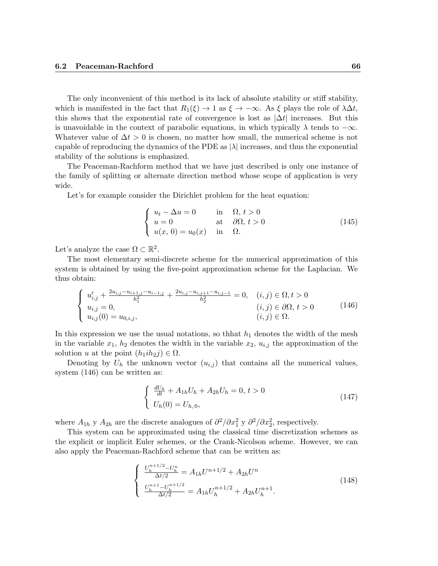The only inconvenient of this method is its lack of absolute stability or stiff stability, which is manifested in the fact that  $R_1(\xi) \to 1$  as  $\xi \to -\infty$ . As  $\xi$  plays the role of  $\lambda \Delta t$ , this shows that the exponential rate of convergence is lost as  $|\Delta t|$  increases. But this is unavoidable in the context of parabolic equations, in which typically  $\lambda$  tends to  $-\infty$ . Whatever value of  $\Delta t > 0$  is chosen, no matter how small, the numerical scheme is not capable of reproducing the dynamics of the PDE as  $|\lambda|$  increases, and thus the exponential stability of the solutions is emphasized.

The Peaceman-Rachform method that we have just described is only one instance of the family of splitting or alternate direction method whose scope of application is very wide.

Let's for example consider the Dirichlet problem for the heat equation:

$$
\begin{cases}\n u_t - \Delta u = 0 & \text{in } \Omega, \ t > 0 \\
 u = 0 & \text{at } \partial\Omega, \ t > 0 \\
 u(x, 0) = u_0(x) & \text{in } \Omega.\n\end{cases}
$$
\n(145)

Let's analyze the case  $\Omega \subset \mathbb{R}^2$ .

The most elementary semi-discrete scheme for the numerical approximation of this system is obtained by using the five-point approximation scheme for the Laplacian. We thus obtain:

$$
\begin{cases}\nu'_{i,j} + \frac{2u_{i,j} - u_{i+1,j} - u_{i-1,j}}{h_1^2} + \frac{2u_{i,j} - u_{i,j+1} - u_{i,j-1}}{h_2^2} = 0, & (i,j) \in \Omega, t > 0 \\
u_{i,j} = 0, & (i,j) \in \partial\Omega, t > 0 \\
u_{i,j}(0) = u_{0,i,j}, & (i,j) \in \Omega.\n\end{cases}
$$
\n(146)

In this expression we use the usual notations, so thhat  $h_1$  denotes the width of the mesh in the variable  $x_1$ ,  $h_2$  denotes the width in the variable  $x_2$ ,  $u_{i,j}$  the approximation of the solution u at the point  $(h_1ih_2j) \in \Omega$ .

Denoting by  $U_h$  the unknown vector  $(u_{i,j})$  that contains all the numerical values, system (146) can be written as:

$$
\begin{cases} \frac{dU_h}{dt} + A_{1h}U_h + A_{2h}U_h = 0, \ t > 0\\ U_h(0) = U_{h,0}, \end{cases}
$$
\n(147)

where  $A_{1h}$  y  $A_{2h}$  are the discrete analogues of  $\partial^2/\partial x_1^2$  y  $\partial^2/\partial x_2^2$ , respectively.

This system can be approximated using the classical time discretization schemes as the explicit or implicit Euler schemes, or the Crank-Nicolson scheme. However, we can also apply the Peaceman-Rachford scheme that can be written as:

$$
\begin{cases}\n\frac{U_h^{n+1/2} - U_h^n}{\Delta t/2} = A_{1h} U^{n+1/2} + A_{2h} U^n \\
\frac{U_h^{n+1} - U_h^{n+1/2}}{\Delta t/2} = A_{1h} U_h^{n+1/2} + A_{2h} U_h^{n+1}.\n\end{cases} (148)
$$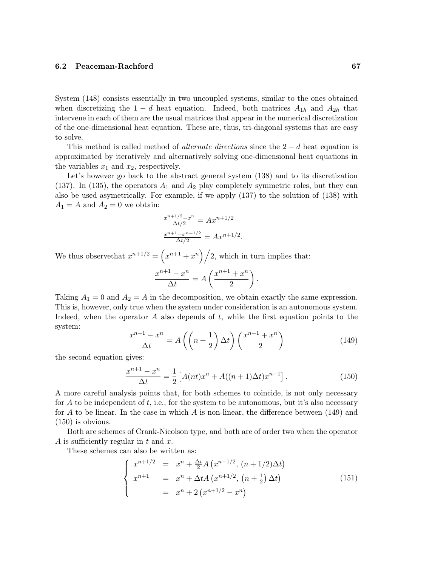System (148) consists essentially in two uncoupled systems, similar to the ones obtained when discretizing the  $1 - d$  heat equation. Indeed, both matrices  $A_{1h}$  and  $A_{2h}$  that intervene in each of them are the usual matrices that appear in the numerical discretization of the one-dimensional heat equation. These are, thus, tri-diagonal systems that are easy to solve.

This method is called method of *alternate directions* since the  $2 - d$  heat equation is approximated by iteratively and alternatively solving one-dimensional heat equations in the variables  $x_1$  and  $x_2$ , respectively.

Let's however go back to the abstract general system (138) and to its discretization (137). In (135), the operators  $A_1$  and  $A_2$  play completely symmetric roles, but they can also be used asymetrically. For example, if we apply (137) to the solution of (138) with  $A_1 = A$  and  $A_2 = 0$  we obtain:

$$
\frac{x^{n+1/2} - x^n}{\Delta t/2} = Ax^{n+1/2}
$$

$$
\frac{x^{n+1} - x^{n+1/2}}{\Delta t/2} = Ax^{n+1/2}.
$$

We thus observe that  $x^{n+1/2} = \left(x^{n+1} + x^n\right)/2$ , which in turn implies that:

$$
\frac{x^{n+1}-x^n}{\Delta t}=A\left(\frac{x^{n+1}+x^n}{2}\right).
$$

Taking  $A_1 = 0$  and  $A_2 = A$  in the decomposition, we obtain exactly the same expression. This is, however, only true when the system under consideration is an autonomous system. Indeed, when the operator  $A$  also depends of  $t$ , while the first equation points to the system:

$$
\frac{x^{n+1} - x^n}{\Delta t} = A\left(\left(n + \frac{1}{2}\right)\Delta t\right)\left(\frac{x^{n+1} + x^n}{2}\right) \tag{149}
$$

the second equation gives:

$$
\frac{x^{n+1} - x^n}{\Delta t} = \frac{1}{2} \left[ A(nt)x^n + A((n+1)\Delta t)x^{n+1} \right].
$$
 (150)

A more careful analysis points that, for both schemes to coincide, is not only necessary for A to be independent of  $t$ , i.e., for the system to be autonomous, but it's also necessary for A to be linear. In the case in which A is non-linear, the difference between  $(149)$  and (150) is obvious.

Both are schemes of Crank-Nicolson type, and both are of order two when the operator A is sufficiently regular in t and  $x$ .

These schemes can also be written as:

$$
\begin{cases}\n x^{n+1/2} = x^n + \frac{\Delta t}{2} A \left( x^{n+1/2}, (n+1/2) \Delta t \right) \\
 x^{n+1} = x^n + \Delta t A \left( x^{n+1/2}, (n+\frac{1}{2}) \Delta t \right) \\
 = x^n + 2 \left( x^{n+1/2} - x^n \right)\n\end{cases} (151)
$$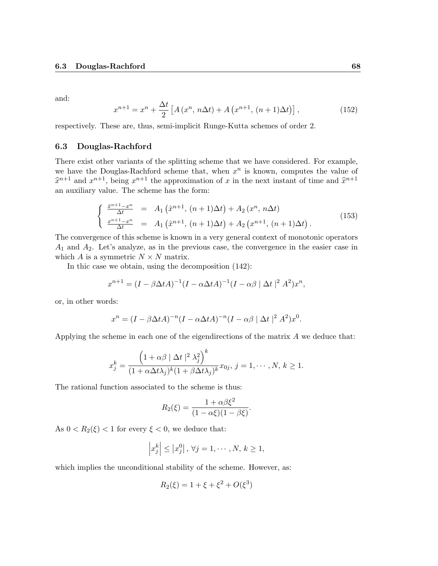and:

$$
x^{n+1} = x^n + \frac{\Delta t}{2} \left[ A \left( x^n, n \Delta t \right) + A \left( x^{n+1}, (n+1) \Delta t \right) \right],
$$
 (152)

respectively. These are, thus, semi-implicit Runge-Kutta schemes of order 2.

### 6.3 Douglas-Rachford

There exist other variants of the splitting scheme that we have considered. For example, we have the Douglas-Rachford scheme that, when  $x^n$  is known, computes the value of  $\hat{x}^{n+1}$  and  $x^{n+1}$ , being  $x^{n+1}$  the approximation of x in the next instant of time and  $\hat{x}^{n+1}$ an auxiliary value. The scheme has the form:

$$
\begin{cases}\n\frac{\hat{x}^{n+1} - x^n}{\Delta t} = A_1 \left( \hat{x}^{n+1}, (n+1)\Delta t \right) + A_2 \left( x^n, n\Delta t \right) \\
\frac{x^{n+1} - x^n}{\Delta t} = A_1 \left( \hat{x}^{n+1}, (n+1)\Delta t \right) + A_2 \left( x^{n+1}, (n+1)\Delta t \right).\n\end{cases} (153)
$$

The convergence of this scheme is known in a very general context of monotonic operators  $A_1$  and  $A_2$ . Let's analyze, as in the previous case, the convergence in the easier case in which A is a symmetric  $N \times N$  matrix.

In thic case we obtain, using the decomposition (142):

$$
x^{n+1} = (I - \beta \Delta t A)^{-1} (I - \alpha \Delta t A)^{-1} (I - \alpha \beta \mid \Delta t \mid^{2} A^{2}) x^{n},
$$

or, in other words:

$$
x^{n} = (I - \beta \Delta t A)^{-n} (I - \alpha \Delta t A)^{-n} (I - \alpha \beta \mid \Delta t \mid^{2} A^{2}) x^{0}.
$$

Applying the scheme in each one of the eigendirections of the matrix A we deduce that:

$$
x_j^k = \frac{\left(1 + \alpha \beta \mid \Delta t \mid^2 \lambda_j^2\right)^k}{(1 + \alpha \Delta t \lambda_j)^k (1 + \beta \Delta t \lambda_j)^k} x_{0j}, \ j = 1, \cdots, N, \ k \ge 1.
$$

The rational function associated to the scheme is thus:

$$
R_2(\xi) = \frac{1 + \alpha \beta \xi^2}{(1 - \alpha \xi)(1 - \beta \xi)}.
$$

As  $0 < R_2(\xi) < 1$  for every  $\xi < 0$ , we deduce that:

$$
\left|x_j^k\right| \leq \left|x_j^0\right|, \forall j = 1, \cdots, N, k \geq 1,
$$

which implies the unconditional stability of the scheme. However, as:

$$
R_2(\xi) = 1 + \xi + \xi^2 + O(\xi^3)
$$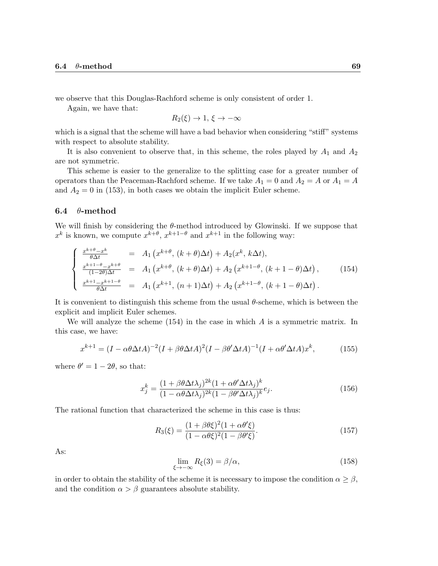we observe that this Douglas-Rachford scheme is only consistent of order 1.

Again, we have that:

$$
R_2(\xi) \to 1, \, \xi \to -\infty
$$

which is a signal that the scheme will have a bad behavior when considering "stiff" systems with respect to absolute stability.

It is also convenient to observe that, in this scheme, the roles played by  $A_1$  and  $A_2$ are not symmetric.

This scheme is easier to the generalize to the splitting case for a greater number of operators than the Peaceman-Rachford scheme. If we take  $A_1 = 0$  and  $A_2 = A$  or  $A_1 = A$ and  $A_2 = 0$  in (153), in both cases we obtain the implicit Euler scheme.

#### 6.4  $\theta$ -method

We will finish by considering the  $\theta$ -method introduced by Glowinski. If we suppose that  $x^k$  is known, we compute  $x^{k+\theta}$ ,  $x^{k+1-\theta}$  and  $x^{k+1}$  in the following way:

$$
\begin{cases}\n\frac{x^{k+\theta}-x^{k}}{\theta\Delta t} = A_{1}\left(x^{k+\theta}, (k+\theta)\Delta t\right) + A_{2}(x^{k}, k\Delta t), \\
\frac{x^{k+1-\theta}-x^{k+\theta}}{(1-2\theta)\Delta t} = A_{1}\left(x^{k+\theta}, (k+\theta)\Delta t\right) + A_{2}\left(x^{k+1-\theta}, (k+1-\theta)\Delta t\right), \\
\frac{x^{k+1}-x^{k+1-\theta}}{\theta\Delta t} = A_{1}\left(x^{k+1}, (n+1)\Delta t\right) + A_{2}\left(x^{k+1-\theta}, (k+1-\theta)\Delta t\right).\n\end{cases}
$$
\n(154)

It is convenient to distinguish this scheme from the usual θ-scheme, which is between the explicit and implicit Euler schemes.

We will analyze the scheme  $(154)$  in the case in which A is a symmetric matrix. In this case, we have:

$$
x^{k+1} = (I - \alpha \theta \Delta t A)^{-2} (I + \beta \theta \Delta t A)^{2} (I - \beta \theta^{\prime} \Delta t A)^{-1} (I + \alpha \theta^{\prime} \Delta t A) x^{k},
$$
(155)

where  $\theta' = 1 - 2\theta$ , so that:

$$
x_j^k = \frac{(1 + \beta \theta \Delta t \lambda_j)^{2k} (1 + \alpha \theta' \Delta t \lambda_j)^k}{(1 - \alpha \theta \Delta t \lambda_j)^{2k} (1 - \beta \theta' \Delta t \lambda_j)^k} e_j.
$$
\n(156)

The rational function that characterized the scheme in this case is thus:

$$
R_3(\xi) = \frac{(1 + \beta \theta \xi)^2 (1 + \alpha \theta' \xi)}{(1 - \alpha \theta \xi)^2 (1 - \beta \theta' \xi)}.
$$
\n(157)

As:

$$
\lim_{\xi \to -\infty} R_{\xi}(3) = \beta/\alpha, \tag{158}
$$

in order to obtain the stability of the scheme it is necessary to impose the condition  $\alpha \geq \beta$ , and the condition  $\alpha > \beta$  guarantees absolute stability.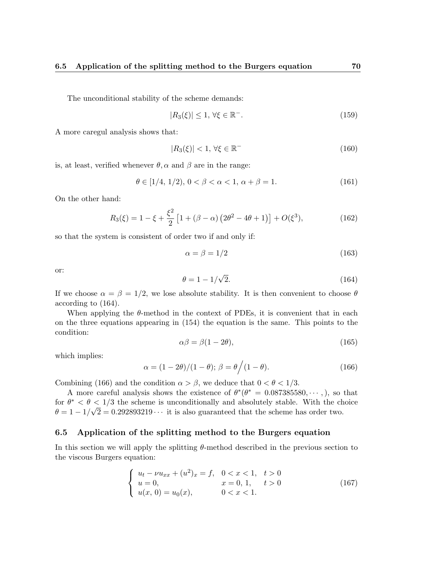The unconditional stability of the scheme demands:

$$
|R_3(\xi)| \le 1, \forall \xi \in \mathbb{R}^-.
$$
\n
$$
(159)
$$

A more caregul analysis shows that:

$$
|R_3(\xi)| < 1, \, \forall \xi \in \mathbb{R}^- \tag{160}
$$

is, at least, verified whenever  $\theta$ ,  $\alpha$  and  $\beta$  are in the range:

$$
\theta \in [1/4, 1/2), 0 < \beta < \alpha < 1, \alpha + \beta = 1.
$$
 (161)

On the other hand:

$$
R_3(\xi) = 1 - \xi + \frac{\xi^2}{2} \left[ 1 + (\beta - \alpha) \left( 2\theta^2 - 4\theta + 1 \right) \right] + O(\xi^3),\tag{162}
$$

so that the system is consistent of order two if and only if:

$$
\alpha = \beta = 1/2 \tag{163}
$$

or:

$$
\theta = 1 - 1/\sqrt{2}.\tag{164}
$$

If we choose  $\alpha = \beta = 1/2$ , we lose absolute stability. It is then convenient to choose  $\theta$ according to (164).

When applying the  $\theta$ -method in the context of PDEs, it is convenient that in each on the three equations appearing in (154) the equation is the same. This points to the condition:

$$
\alpha \beta = \beta (1 - 2\theta),\tag{165}
$$

which implies:

$$
\alpha = (1 - 2\theta)/(1 - \theta); \ \beta = \theta \Big/ (1 - \theta). \tag{166}
$$

Combining (166) and the condition  $\alpha > \beta$ , we deduce that  $0 < \theta < 1/3$ .

A more careful analysis shows the existence of  $\theta^*(\theta^* = 0.087385580, \dots, )$ , so that for  $\theta^* < \theta < 1/3$  the scheme is unconditionally and absolutely stable. With the choice  $\theta = 1 - 1/\sqrt{2} = 0.292893219 \cdots$  it is also guaranteed that the scheme has order two.

## 6.5 Application of the splitting method to the Burgers equation

In this section we will apply the splitting θ-method described in the previous section to the viscous Burgers equation:

$$
\begin{cases}\n u_t - \nu u_{xx} + (u^2)_x = f, & 0 < x < 1, \quad t > 0 \\
 u = 0, & x = 0, 1, \quad t > 0 \\
 u(x, 0) = u_0(x), & 0 < x < 1.\n\end{cases}\n\tag{167}
$$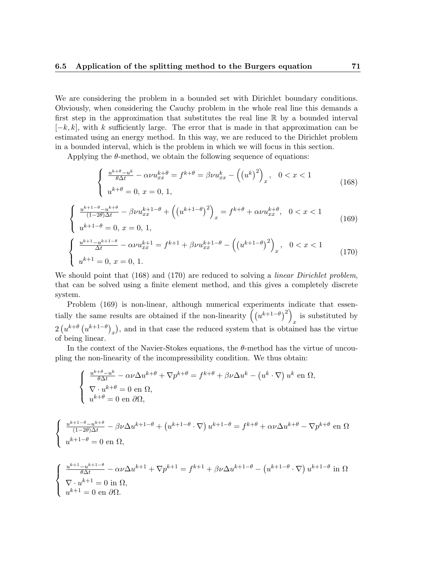We are considering the problem in a bounded set with Dirichlet boundary conditions. Obviously, when considering the Cauchy problem in the whole real line this demands a first step in the approximation that substitutes the real line R by a bounded interval  $[-k, k]$ , with k sufficiently large. The error that is made in that approximation can be estimated using an energy method. In this way, we are reduced to the Dirichlet problem in a bounded interval, which is the problem in which we will focus in this section.

Applying the  $\theta$ -method, we obtain the following sequence of equations:

$$
\begin{cases}\n\frac{u^{k+\theta}-u^k}{\theta \Delta t} - \alpha \nu u_{xx}^{k+\theta} = f^{k+\theta} = \beta \nu u_{xx}^k - \left( (u^k)^2 \right)_x, & 0 < x < 1 \\
u^{k+\theta} = 0, & x = 0, 1,\n\end{cases}
$$
\n(168)

$$
\begin{cases} \frac{u^{k+1-\theta}-u^{k+\theta}}{(1-2\theta)\Delta t} - \beta \nu u_{xx}^{k+1-\theta} + ((u^{k+1-\theta})^2)_x = f^{k+\theta} + \alpha \nu u_{xx}^{k+\theta}, & 0 < x < 1\\ u^{k+1-\theta} = 0, & x = 0, 1, \end{cases}
$$
(169)

$$
\begin{cases} \frac{u^{k+1} - u^{k+1-\theta}}{\Delta t} - \alpha \nu u_{xx}^{k+1} = f^{k+1} + \beta \nu u_{xx}^{k+1-\theta} - ((u^{k+1-\theta})^2)_x, & 0 < x < 1\\ u^{k+1} = 0, & x = 0, 1. \end{cases}
$$
(170)

We should point that (168) and (170) are reduced to solving a *linear Dirichlet problem*, that can be solved using a finite element method, and this gives a completely discrete system.

Problem (169) is non-linear, although numerical experiments indicate that essentially the same results are obtained if the non-linearity  $((u^{k+1-\theta})^2)$ is substituted by  $2(u^{k+\theta}(u^{k+1-\theta})_x)$ , and in that case the reduced system that is obtained has the virtue of being linear.

In the context of the Navier-Stokes equations, the  $\theta$ -method has the virtue of uncoupling the non-linearity of the incompressibility condition. We thus obtain:

$$
\begin{cases} \frac{u^{k+\theta}-u^k}{\theta\Delta t} - \alpha\nu\Delta u^{k+\theta} + \nabla p^{k+\theta} = f^{k+\theta} + \beta\nu\Delta u^k - (u^k \cdot \nabla) u^k \text{ en } \Omega, \\ \nabla \cdot u^{k+\theta} = 0 \text{ en } \Omega, \\ u^{k+\theta} = 0 \text{ en } \partial\Omega, \end{cases}
$$

$$
\begin{cases} \frac{u^{k+1-\theta}-u^{k+\theta}}{(1-2\theta)\Delta t} - \beta \nu \Delta u^{k+1-\theta} + \left(u^{k+1-\theta} \cdot \nabla\right) u^{k+1-\theta} = f^{k+\theta} + \alpha \nu \Delta u^{k+\theta} - \nabla p^{k+\theta} \text{ en } \Omega \\ u^{k+1-\theta} = 0 \text{ en } \Omega, \end{cases}
$$

$$
\begin{cases} \frac{u^{k+1} - u^{k+1-\theta}}{\theta \Delta t} - \alpha \nu \Delta u^{k+1} + \nabla p^{k+1} = f^{k+1} + \beta \nu \Delta u^{k+1-\theta} - \left(u^{k+1-\theta} \cdot \nabla\right) u^{k+1-\theta} \text{ in } \Omega\\ \nabla \cdot u^{k+1} = 0 \text{ in } \Omega, \\ u^{k+1} = 0 \text{ en } \partial \Omega. \end{cases}
$$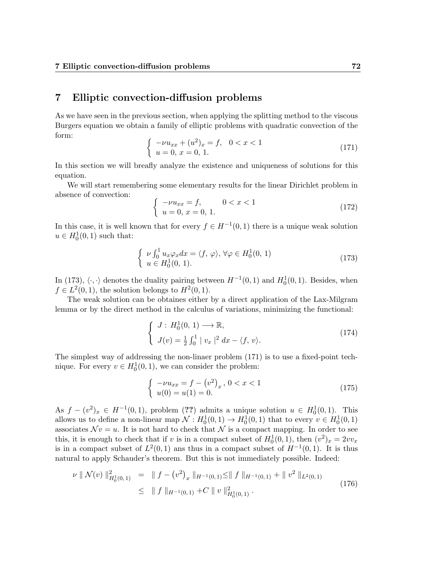# 7 Elliptic convection-diffusion problems

As we have seen in the previous section, when applying the splitting method to the viscous Burgers equation we obtain a family of elliptic problems with quadratic convection of the form:

$$
\begin{cases}\n-\nu u_{xx} + (u^2)_x = f, & 0 < x < 1 \\
u = 0, & x = 0, 1.\n\end{cases}
$$
\n(171)

In this section we will breafly analyze the existence and uniqueness of solutions for this equation.

We will start remembering some elementary results for the linear Dirichlet problem in absence of convection:

$$
\begin{cases}\n-\nu u_{xx} = f, & 0 < x < 1 \\
u = 0, x = 0, 1.\n\end{cases}
$$
\n(172)

In this case, it is well known that for every  $f \in H^{-1}(0,1)$  there is a unique weak solution  $u \in H_0^1(0,1)$  such that:

$$
\begin{cases}\n\nu \int_0^1 u_x \varphi_x dx = \langle f, \varphi \rangle, \forall \varphi \in H_0^1(0, 1) \\
u \in H_0^1(0, 1).\n\end{cases} \tag{173}
$$

In (173),  $\langle \cdot, \cdot \rangle$  denotes the duality pairing between  $H^{-1}(0, 1)$  and  $H_0^1(0, 1)$ . Besides, when  $f \in L^2(0,1)$ , the solution belongs to  $H^2(0,1)$ .

The weak solution can be obtaines either by a direct application of the Lax-Milgram lemma or by the direct method in the calculus of variations, minimizing the functional:

$$
\begin{cases}\nJ: H_0^1(0, 1) \longrightarrow \mathbb{R}, \\
J(v) = \frac{1}{2} \int_0^1 |v_x|^2 dx - \langle f, v \rangle.\n\end{cases}
$$
\n(174)

The simplest way of addressing the non-linaer problem (171) is to use a fixed-point technique. For every  $v \in H_0^1(0,1)$ , we can consider the problem:

$$
\begin{cases}\n-\nu u_{xx} = f - (v^2)_x, \ 0 < x < 1 \\
u(0) = u(1) = 0.\n\end{cases} \tag{175}
$$

As  $f - (v^2)_x \in H^{-1}(0, 1)$ , problem (??) admits a unique solution  $u \in H_0^1(0, 1)$ . This allows us to define a non-linear map  $\mathcal{N}: H_0^1(0,1) \to H_0^1(0,1)$  that to every  $v \in H_0^1(0,1)$ associates  $\mathcal{N}v = u$ . It is not hard to check that  $\mathcal N$  is a compact mapping. In order to see this, it is enough to check that if v is in a compact subset of  $H_0^1(0,1)$ , then  $(v^2)_x = 2vv_x$ is in a compact subset of  $L^2(0,1)$  ans thus in a compact subset of  $H^{-1}(0,1)$ . It is thus natural to apply Schauder's theorem. But this is not immediately possible. Indeed:

$$
\nu \parallel \mathcal{N}(v) \parallel_{H_0^1(0,1)}^2 = \parallel f - (v^2)_x \parallel_{H^{-1}(0,1)} \le \parallel f \parallel_{H^{-1}(0,1)} + \parallel v^2 \parallel_{L^2(0,1)} \le \parallel f \parallel_{H^{-1}(0,1)} + C \parallel v \parallel_{H_0^1(0,1)}^2.
$$
\n(176)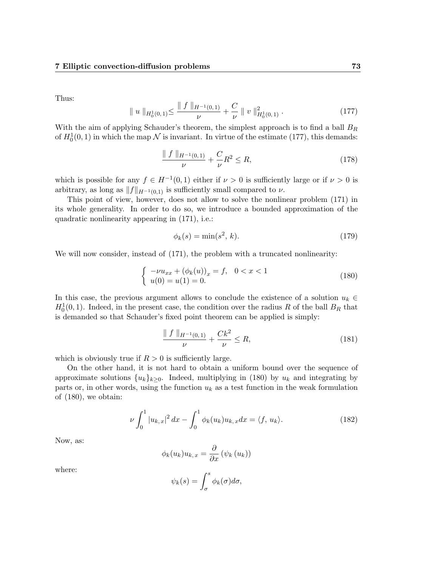Thus:

$$
\| u \|_{H_0^1(0,1)} \leq \frac{\| f \|_{H^{-1}(0,1)}}{\nu} + \frac{C}{\nu} \| v \|_{H_0^1(0,1)}^2.
$$
 (177)

With the aim of applying Schauder's theorem, the simplest approach is to find a ball  $B_R$ of  $H_0^1(0,1)$  in which the map  $\mathcal N$  is invariant. In virtue of the estimate (177), this demands:

$$
\frac{\| f \|_{H^{-1}(0,1)}}{\nu} + \frac{C}{\nu} R^2 \le R,\tag{178}
$$

which is possible for any  $f \in H^{-1}(0,1)$  either if  $\nu > 0$  is sufficiently large or if  $\nu > 0$  is arbitrary, as long as  $||f||_{H^{-1}(0,1)}$  is sufficiently small compared to  $\nu$ .

This point of view, however, does not allow to solve the nonlinear problem (171) in its whole generality. In order to do so, we introduce a bounded approximation of the quadratic nonlinearity appearing in (171), i.e.:

$$
\phi_k(s) = \min(s^2, k). \tag{179}
$$

We will now consider, instead of  $(171)$ , the problem with a truncated nonlinearity:

$$
\begin{cases}\n-\nu u_{xx} + (\phi_k(u))_x = f, & 0 < x < 1 \\
u(0) = u(1) = 0.\n\end{cases}
$$
\n(180)

In this case, the previous argument allows to conclude the existence of a solution  $u_k \in$  $H_0^1(0,1)$ . Indeed, in the present case, the condition over the radius R of the ball  $B_R$  that is demanded so that Schauder's fixed point theorem can be applied is simply:

$$
\frac{\| f \|_{H^{-1}(0,1)}}{\nu} + \frac{Ck^2}{\nu} \le R,\tag{181}
$$

which is obviously true if  $R > 0$  is sufficiently large.

On the other hand, it is not hard to obtain a uniform bound over the sequence of approximate solutions  $\{u_k\}_{k>0}$ . Indeed, multiplying in (180) by  $u_k$  and integrating by parts or, in other words, using the function  $u_k$  as a test function in the weak formulation of (180), we obtain:

$$
\nu \int_0^1 |u_{k,x}|^2 dx - \int_0^1 \phi_k(u_k) u_{k,x} dx = \langle f, u_k \rangle.
$$
 (182)

Now, as:

$$
\phi_k(u_k)u_{k,x} = \frac{\partial}{\partial x} (\psi_k(u_k))
$$

where:

$$
\psi_k(s) = \int_{\sigma}^s \phi_k(\sigma) d\sigma,
$$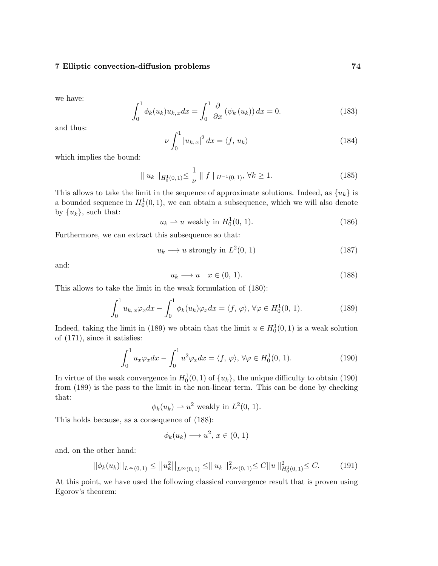we have:

$$
\int_0^1 \phi_k(u_k) u_{k,x} dx = \int_0^1 \frac{\partial}{\partial x} (\psi_k(u_k)) dx = 0.
$$
 (183)

and thus:

$$
\nu \int_0^1 |u_{k,x}|^2 dx = \langle f, u_k \rangle \tag{184}
$$

which implies the bound:

$$
\| u_k \|_{H_0^1(0,1)} \le \frac{1}{\nu} \| f \|_{H^{-1}(0,1)}, \forall k \ge 1.
$$
 (185)

This allows to take the limit in the sequence of approximate solutions. Indeed, as  $\{u_k\}$  is a bounded sequence in  $H_0^1(0,1)$ , we can obtain a subsequence, which we will also denote by  $\{u_k\}$ , such that:

$$
u_k \rightharpoonup u \text{ weakly in } H_0^1(0, 1). \tag{186}
$$

Furthermore, we can extract this subsequence so that:

$$
u_k \longrightarrow u \text{ strongly in } L^2(0, 1) \tag{187}
$$

and:

$$
u_k \longrightarrow u \quad x \in (0, 1). \tag{188}
$$

This allows to take the limit in the weak formulation of (180):

$$
\int_0^1 u_{k,x} \varphi_x dx - \int_0^1 \phi_k(u_k) \varphi_x dx = \langle f, \varphi \rangle, \forall \varphi \in H_0^1(0, 1). \tag{189}
$$

Indeed, taking the limit in (189) we obtain that the limit  $u \in H_0^1(0,1)$  is a weak solution of (171), since it satisfies:

$$
\int_0^1 u_x \varphi_x dx - \int_0^1 u^2 \varphi_x dx = \langle f, \varphi \rangle, \forall \varphi \in H_0^1(0, 1). \tag{190}
$$

In virtue of the weak convergence in  $H_0^1(0,1)$  of  $\{u_k\}$ , the unique difficulty to obtain (190) from (189) is the pass to the limit in the non-linear term. This can be done by checking that:

$$
\phi_k(u_k) \rightharpoonup u^2
$$
 weakly in  $L^2(0, 1)$ .

This holds because, as a consequence of (188):

$$
\phi_k(u_k) \longrightarrow u^2, \, x \in (0, 1)
$$

and, on the other hand:

$$
||\phi_k(u_k)||_{L^{\infty}(0,1)} \le ||u_k^2||_{L^{\infty}(0,1)} \le ||u_k||_{L^{\infty}(0,1)}^2 \le C||u||_{H_0^1(0,1)}^2 \le C. \tag{191}
$$

At this point, we have used the following classical convergence result that is proven using Egorov's theorem: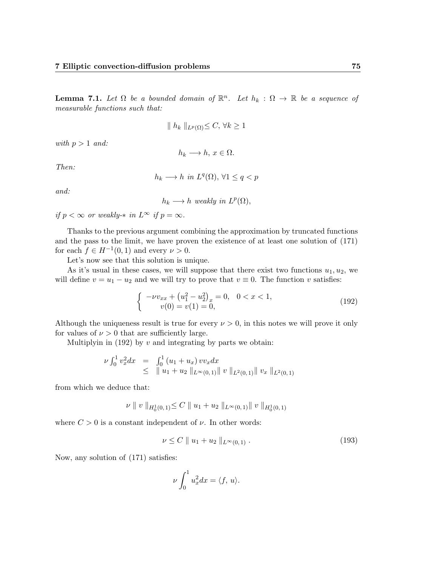**Lemma 7.1.** Let  $\Omega$  be a bounded domain of  $\mathbb{R}^n$ . Let  $h_k : \Omega \to \mathbb{R}$  be a sequence of measurable functions such that:

$$
\| h_k \|_{L^p(\Omega)} \le C, \forall k \ge 1
$$

with  $p > 1$  and:

$$
h_k \longrightarrow h, x \in \Omega.
$$

Then:

$$
h_k \longrightarrow h \text{ in } L^q(\Omega), \forall 1 \le q < p
$$

and:

$$
h_k \longrightarrow h \text{ weakly in } L^p(\Omega),
$$

if  $p < \infty$  or weakly- $*$  in  $L^{\infty}$  if  $p = \infty$ .

Thanks to the previous argument combining the approximation by truncated functions and the pass to the limit, we have proven the existence of at least one solution of (171) for each  $f \in H^{-1}(0,1)$  and every  $\nu > 0$ .

Let's now see that this solution is unique.

As it's usual in these cases, we will suppose that there exist two functions  $u_1, u_2$ , we will define  $v = u_1 - u_2$  and we will try to prove that  $v \equiv 0$ . The function v satisfies:

$$
\begin{cases}\n-\nu v_{xx} + \left(u_1^2 - u_2^2\right)_x = 0, & 0 < x < 1, \\
v(0) = v(1) = 0,\n\end{cases}
$$
\n(192)

Although the uniqueness result is true for every  $\nu > 0$ , in this notes we will prove it only for values of  $\nu > 0$  that are sufficiently large.

Multiplyin in  $(192)$  by v and integrating by parts we obtain:

$$
\nu \int_0^1 v_x^2 dx = \int_0^1 (u_1 + u_x) v v_x dx
$$
  
\n
$$
\leq \| u_1 + u_2 \|_{L^{\infty}(0, 1)} \| v \|_{L^2(0, 1)} \| v_x \|_{L^2(0, 1)}
$$

from which we deduce that:

$$
\nu \parallel v \parallel_{H_0^1(0,1)} \leq C \parallel u_1 + u_2 \parallel_{L^{\infty}(0,1)} \parallel v \parallel_{H_0^1(0,1)}
$$

where  $C > 0$  is a constant independent of  $\nu$ . In other words:

$$
\nu \le C \parallel u_1 + u_2 \parallel_{L^{\infty}(0,1)}.
$$
\n(193)

Now, any solution of (171) satisfies:

$$
\nu \int_0^1 u_x^2 dx = \langle f, u \rangle.
$$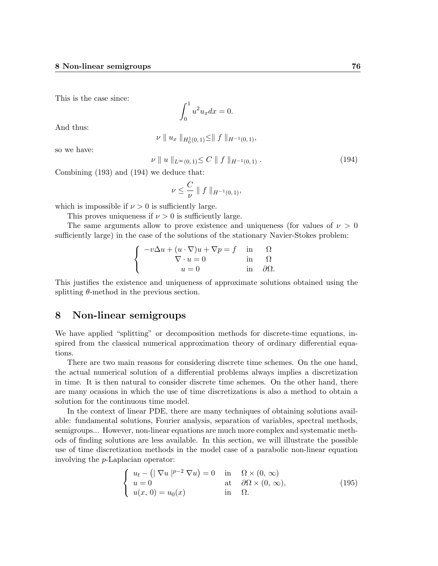This is the case since:

$$
\int_0^1 u^2 u_x dx = 0.
$$

And thus:

$$
\nu \parallel u_x \parallel_{H_0^1(0,1)} \leq \parallel f \parallel_{H^{-1}(0,1)},
$$

so we have:

$$
\nu \parallel u \parallel_{L^{\infty}(0,1)} \leq C \parallel f \parallel_{H^{-1}(0,1)}.
$$
\n(194)

Combining (193) and (194) we deduce that:

$$
\nu \leq \frac{C}{\nu} \parallel f \parallel_{H^{-1}(0,1)},
$$

which is impossible if  $\nu > 0$  is sufficiently large.

This proves uniqueness if  $\nu > 0$  is sufficiently large.

The same arguments allow to prove existence and uniqueness (for values of  $\nu > 0$ sufficiently large) in the case of the solutions of the stationary Navier-Stokes problem:

$$
\begin{cases}\n-v\Delta u + (u \cdot \nabla)u + \nabla p = f & \text{in} \quad \Omega \\
\nabla \cdot u = 0 & \text{in} \quad \Omega \\
u = 0 & \text{in} \quad \partial \Omega.\n\end{cases}
$$

This justifies the existence and uniqueness of approximate solutions obtained using the splitting  $\theta$ -method in the previous section.

# 8 Non-linear semigroups

We have applied "splitting" or decomposition methods for discrete-time equations, inspired from the classical numerical approximation theory of ordinary differential equations.

There are two main reasons for considering discrete time schemes. On the one hand, the actual numerical solution of a differential problems always implies a discretization in time. It is then natural to consider discrete time schemes. On the other hand, there are many ocasions in which the use of time discretizations is also a method to obtain a solution for the continuous time model.

In the context of linear PDE, there are many techniques of obtaining solutions available: fundamental solutions, Fourier analysis, separation of variables, spectral methods, semigroups... However, non-linear equations are much more complex and systematic methods of finding solutions are less available. In this section, we will illustrate the possible use of time discretization methods in the model case of a parabolic non-linear equation involving the p-Laplacian operator:

$$
\begin{cases}\n u_t - (|\nabla u|^{p-2} \nabla u) = 0 & \text{in } \Omega \times (0, \infty) \\
 u = 0 & \text{at } \partial \Omega \times (0, \infty), \\
 u(x, 0) = u_0(x) & \text{in } \Omega.\n\end{cases}
$$
\n(195)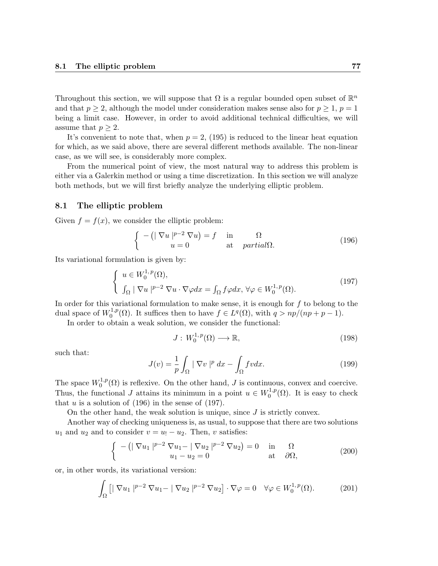Throughout this section, we will suppose that  $\Omega$  is a regular bounded open subset of  $\mathbb{R}^n$ and that  $p \geq 2$ , although the model under consideration makes sense also for  $p \geq 1$ ,  $p = 1$ being a limit case. However, in order to avoid additional technical difficulties, we will assume that  $p \geq 2$ .

It's convenient to note that, when  $p = 2$ , (195) is reduced to the linear heat equation for which, as we said above, there are several different methods available. The non-linear case, as we will see, is considerably more complex.

From the numerical point of view, the most natural way to address this problem is either via a Galerkin method or using a time discretization. In this section we will analyze both methods, but we will first briefly analyze the underlying elliptic problem.

#### 8.1 The elliptic problem

Given  $f = f(x)$ , we consider the elliptic problem:

$$
\begin{cases}\n-(|\nabla u|^{p-2}\nabla u) = f & \text{in} & \Omega\\
u = 0 & \text{at} & \text{partial}\Omega.\n\end{cases}
$$
\n(196)

Its variational formulation is given by:

$$
\begin{cases}\n u \in W_0^{1,p}(\Omega), \\
 \int_{\Omega} |\nabla u|^{p-2} \nabla u \cdot \nabla \varphi dx = \int_{\Omega} f \varphi dx, \,\forall \varphi \in W_0^{1,p}(\Omega).\n\end{cases}
$$
\n(197)

In order for this variational formulation to make sense, it is enough for  $f$  to belong to the dual space of  $W_0^{1,p}$  $j_0^{1,p}(\Omega)$ . It suffices then to have  $f \in L^q(\Omega)$ , with  $q > np/(np+p-1)$ .

In order to obtain a weak solution, we consider the functional:

$$
J: W_0^{1,p}(\Omega) \longrightarrow \mathbb{R},\tag{198}
$$

such that:

$$
J(v) = \frac{1}{p} \int_{\Omega} |\nabla v|^p dx - \int_{\Omega} fv dx.
$$
 (199)

The space  $W_0^{1,p}$  $0^{1,p}(\Omega)$  is reflexive. On the other hand, J is continuous, convex and coercive. Thus, the functional J attains its minimum in a point  $u \in W_0^{1,p}$  $\binom{1,p}{0}$  ( $\Omega$ ). It is easy to check that  $u$  is a solution of (196) in the sense of (197).

On the other hand, the weak solution is unique, since  $J$  is strictly convex.

Another way of checking uniqueness is, as usual, to suppose that there are two solutions  $u_1$  and  $u_2$  and to consider  $v = u_1 - u_2$ . Then, v satisfies:

$$
\begin{cases}\n-(|\nabla u_1|^{p-2}\nabla u_1 - |\nabla u_2|^{p-2}\nabla u_2) = 0 & \text{in} \quad \Omega \\
u_1 - u_2 = 0 & \text{at} \quad \partial\Omega,\n\end{cases}
$$
\n(200)

or, in other words, its variational version:

$$
\int_{\Omega} \left[ \left| \nabla u_1 \right|^{p-2} \nabla u_1 - \left| \nabla u_2 \right|^{p-2} \nabla u_2 \right] \cdot \nabla \varphi = 0 \quad \forall \varphi \in W_0^{1,p}(\Omega). \tag{201}
$$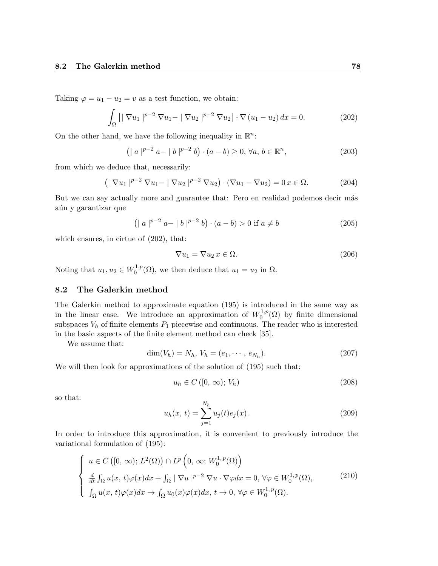Taking  $\varphi = u_1 - u_2 = v$  as a test function, we obtain:

$$
\int_{\Omega} \left[ |\nabla u_1|^{p-2} \nabla u_1 - |\nabla u_2|^{p-2} \nabla u_2 \right] \cdot \nabla (u_1 - u_2) \, dx = 0. \tag{202}
$$

On the other hand, we have the following inequality in  $\mathbb{R}^n$ :

$$
(|a|^{p-2} a - |b|^{p-2} b) \cdot (a - b) \ge 0, \forall a, b \in \mathbb{R}^n,
$$
\n(203)

from which we deduce that, necessarily:

$$
(|\nabla u_1|^{p-2} \nabla u_1 - |\nabla u_2|^{p-2} \nabla u_2) \cdot (\nabla u_1 - \nabla u_2) = 0 \, x \in \Omega. \tag{204}
$$

But we can say actually more and guarantee that: Pero en realidad podemos decir más aún y garantizar que

$$
(|a|^{p-2} a - |b|^{p-2} b) \cdot (a - b) > 0 \text{ if } a \neq b
$$
 (205)

which ensures, in cirtue of  $(202)$ , that:

$$
\nabla u_1 = \nabla u_2 \, x \in \Omega. \tag{206}
$$

Noting that  $u_1, u_2 \in W_0^{1,p}$  $u_0^{1,p}(\Omega)$ , we then deduce that  $u_1 = u_2$  in  $\Omega$ .

#### 8.2 The Galerkin method

The Galerkin method to approximate equation (195) is introduced in the same way as in the linear case. We introduce an approximation of  $W_0^{1,p}$  $\int_0^{1,p}(\Omega)$  by finite dimensional subspaces  $V<sub>h</sub>$  of finite elements  $P<sub>1</sub>$  piecewise and continuous. The reader who is interested in the basic aspects of the finite element method can check [35].

We assume that:

$$
\dim(V_h) = N_h, V_h = (e_1, \cdots, e_{N_h}). \tag{207}
$$

We will then look for approximations of the solution of  $(195)$  such that:

$$
u_h \in C([0, \infty); V_h)
$$
\n
$$
(208)
$$

so that:

$$
u_h(x, t) = \sum_{j=1}^{N_h} u_j(t)e_j(x).
$$
 (209)

In order to introduce this approximation, it is convenient to previously introduce the variational formulation of (195):

$$
\begin{cases}\n u \in C([0, \infty); L^{2}(\Omega)) \cap L^{p}\left(0, \infty; W_{0}^{1, p}(\Omega)\right) \\
 \frac{d}{dt} \int_{\Omega} u(x, t) \varphi(x) dx + \int_{\Omega} |\nabla u|^{p-2} \nabla u \cdot \nabla \varphi dx = 0, \forall \varphi \in W_{0}^{1, p}(\Omega), \\
 \int_{\Omega} u(x, t) \varphi(x) dx \to \int_{\Omega} u_{0}(x) \varphi(x) dx, t \to 0, \forall \varphi \in W_{0}^{1, p}(\Omega).\n\end{cases}
$$
\n(210)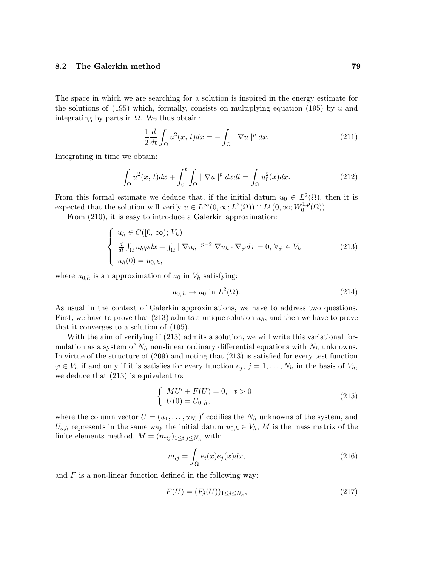The space in which we are searching for a solution is inspired in the energy estimate for the solutions of (195) which, formally, consists on multiplying equation (195) by u and integrating by parts in  $\Omega$ . We thus obtain:

$$
\frac{1}{2}\frac{d}{dt}\int_{\Omega}u^2(x,t)dx = -\int_{\Omega}|\nabla u|^p dx.
$$
\n(211)

Integrating in time we obtain:

$$
\int_{\Omega} u^2(x,t)dx + \int_0^t \int_{\Omega} |\nabla u|^p dxdt = \int_{\Omega} u_0^2(x)dx.
$$
 (212)

From this formal estimate we deduce that, if the initial datum  $u_0 \in L^2(\Omega)$ , then it is expected that the solution will verify  $u \in L^{\infty}(0,\infty; L^{2}(\Omega)) \cap L^{p}(0,\infty; W_{0}^{1,p})$  $\mathcal{O}^{1,p}(\Omega)$ ).

From (210), it is easy to introduce a Galerkin approximation:

$$
\begin{cases}\n u_h \in C([0, \infty); V_h) \\
 \frac{d}{dt} \int_{\Omega} u_h \varphi dx + \int_{\Omega} |\nabla u_h|^{p-2} \nabla u_h \cdot \nabla \varphi dx = 0, \forall \varphi \in V_h \\
 u_h(0) = u_{0, h},\n\end{cases}
$$
\n(213)

where  $u_{0,h}$  is an approximation of  $u_0$  in  $V_h$  satisfying:

$$
u_{0,h} \to u_0 \text{ in } L^2(\Omega). \tag{214}
$$

As usual in the context of Galerkin approximations, we have to address two questions. First, we have to prove that (213) admits a unique solution  $u<sub>h</sub>$ , and then we have to prove that it converges to a solution of (195).

With the aim of verifying if (213) admits a solution, we will write this variational formulation as a system of  $N_h$  non-linear ordinary differential equations with  $N_h$  unknowns. In virtue of the structure of (209) and noting that (213) is satisfied for every test function  $\varphi \in V_h$  if and only if it is satisfies for every function  $e_j$ ,  $j = 1, \ldots, N_h$  in the basis of  $V_h$ , we deduce that (213) is equivalent to:

$$
\begin{cases}\n M U' + F(U) = 0, \quad t > 0 \\
 U(0) = U_{0,h},\n\end{cases}
$$
\n(215)

where the column vector  $U = (u_1, \ldots, u_{N_h})'$  codifies the  $N_h$  unknowns of the system, and  $U_{o,h}$  represents in the same way the initial datum  $u_{0,h} \in V_h$ , M is the mass matrix of the finite elements method,  $M = (m_{ij})_{1 \leq i,j \leq N_h}$  with:

$$
m_{ij} = \int_{\Omega} e_i(x)e_j(x)dx,
$$
\n(216)

and  $F$  is a non-linear function defined in the following way:

$$
F(U) = (F_j(U))_{1 \le j \le N_h},\tag{217}
$$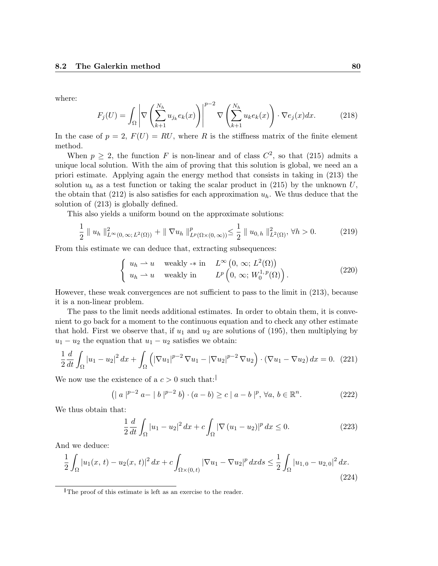where:

$$
F_j(U) = \int_{\Omega} \left| \nabla \left( \sum_{k=1}^{N_h} u_{j_k} e_k(x) \right) \right|^{p-2} \nabla \left( \sum_{k=1}^{N_h} u_k e_k(x) \right) \cdot \nabla e_j(x) dx. \tag{218}
$$

In the case of  $p = 2$ ,  $F(U) = RU$ , where R is the stiffness matrix of the finite element method.

When  $p \geq 2$ , the function F is non-linear and of class  $C^2$ , so that (215) admits a unique local solution. With the aim of proving that this solution is global, we need an a priori estimate. Applying again the energy method that consists in taking in (213) the solution  $u_h$  as a test function or taking the scalar product in (215) by the unknown U, the obtain that (212) is also satisfies for each approximation  $u_h$ . We thus deduce that the solution of (213) is globally defined.

This also yields a uniform bound on the approximate solutions:

$$
\frac{1}{2} \| u_h \|_{L^{\infty}(0,\infty; L^2(\Omega))}^2 + \| \nabla u_h \|_{L^p(\Omega \times (0,\infty))}^p \leq \frac{1}{2} \| u_{0,h} \|_{L^2(\Omega)}^2, \forall h > 0.
$$
 (219)

From this estimate we can deduce that, extracting subsequences:

$$
\begin{cases}\nu_h \rightharpoonup u \quad \text{weakly} \rightharpoonup \text{in} & L^{\infty} \left(0, \infty; L^2(\Omega)\right) \\
u_h \rightharpoonup u \quad \text{weakly in} & L^p\left(0, \infty; W_0^{1,p}(\Omega)\right). \end{cases} \tag{220}
$$

However, these weak convergences are not sufficient to pass to the limit in (213), because it is a non-linear problem.

The pass to the limit needs additional estimates. In order to obtain them, it is convenient to go back for a moment to the continuous equation and to check any other estimate that hold. First we observe that, if  $u_1$  and  $u_2$  are solutions of (195), then multiplying by  $u_1 - u_2$  the equation that  $u_1 - u_2$  satisfies we obtain:

$$
\frac{1}{2}\frac{d}{dt}\int_{\Omega}|u_1 - u_2|^2 dx + \int_{\Omega} \left( |\nabla u_1|^{p-2} \nabla u_1 - |\nabla u_2|^{p-2} \nabla u_2 \right) \cdot (\nabla u_1 - \nabla u_2) dx = 0. \tag{221}
$$

We now use the existence of a  $c > 0$  such that:

$$
(|a|^{p-2} a - |b|^{p-2} b) \cdot (a - b) \ge c |a - b|^{p}, \forall a, b \in \mathbb{R}^{n}.
$$
 (222)

We thus obtain that:

$$
\frac{1}{2}\frac{d}{dt}\int_{\Omega}|u_1 - u_2|^2 \, dx + c \int_{\Omega} |\nabla (u_1 - u_2)|^p \, dx \le 0. \tag{223}
$$

And we deduce:

$$
\frac{1}{2} \int_{\Omega} |u_1(x, t) - u_2(x, t)|^2 dx + c \int_{\Omega \times (0, t)} |\nabla u_1 - \nabla u_2|^p dx ds \le \frac{1}{2} \int_{\Omega} |u_{1,0} - u_{2,0}|^2 dx.
$$
\n(224)

The proof of this estimate is left as an exercise to the reader.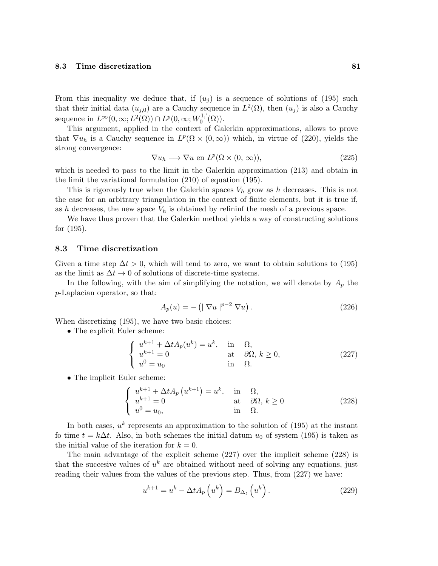From this inequality we deduce that, if  $(u_i)$  is a sequence of solutions of (195) such that their initial data  $(u_{j,0})$  are a Cauchy sequence in  $L^2(\Omega)$ , then  $(u_j)$  is also a Cauchy sequence in  $L^{\infty}(0,\infty; L^2(\Omega)) \cap L^p(0,\infty; W_0^{1,1})$  $_{0}^{1,1}(\Omega)).$ 

This argument, applied in the context of Galerkin approximations, allows to prove that  $\nabla u_h$  is a Cauchy sequence in  $L^p(\Omega \times (0,\infty))$  which, in virtue of (220), yields the strong convergence:

$$
\nabla u_h \longrightarrow \nabla u \text{ en } L^p(\Omega \times (0, \infty)), \tag{225}
$$

which is needed to pass to the limit in the Galerkin approximation (213) and obtain in the limit the variational formulation (210) of equation (195).

This is rigorously true when the Galerkin spaces  $V_h$  grow as h decreases. This is not the case for an arbitrary triangulation in the context of finite elements, but it is true if, as h decreases, the new space  $V_h$  is obtained by refininf the mesh of a previous space.

We have thus proven that the Galerkin method yields a way of constructing solutions for (195).

### 8.3 Time discretization

Given a time step  $\Delta t > 0$ , which will tend to zero, we want to obtain solutions to (195) as the limit as  $\Delta t \to 0$  of solutions of discrete-time systems.

In the following, with the aim of simplifying the notation, we will denote by  $A_p$  the p-Laplacian operator, so that:

$$
A_p(u) = -\left(|\nabla u|^{p-2}\nabla u\right).
$$
\n(226)

When discretizing (195), we have two basic choices:

• The explicit Euler scheme:

$$
\begin{cases}\nu^{k+1} + \Delta t A_p(u^k) = u^k, & \text{in } \Omega, \\
u^{k+1} = 0 & \text{at } \partial \Omega, \ k \ge 0, \\
u^0 = u_0 & \text{in } \Omega.\n\end{cases}
$$
\n(227)

• The implicit Euler scheme:

$$
\begin{cases}\nu^{k+1} + \Delta t A_p \left( u^{k+1} \right) = u^k, & \text{in } \Omega, \\
u^{k+1} = 0 & \text{at } \partial \Omega, \ k \ge 0 \\
u^0 = u_0, & \text{in } \Omega.\n\end{cases}
$$
\n(228)

In both cases,  $u^k$  represents an approximation to the solution of (195) at the instant fo time  $t = k\Delta t$ . Also, in both schemes the initial datum  $u_0$  of system (195) is taken as the initial value of the iteration for  $k = 0$ .

The main advantage of the explicit scheme (227) over the implicit scheme (228) is that the succesive values of  $u^k$  are obtained without need of solving any equations, just reading their values from the values of the previous step. Thus, from (227) we have:

$$
u^{k+1} = u^k - \Delta t A_p \left( u^k \right) = B_{\Delta_t} \left( u^k \right). \tag{229}
$$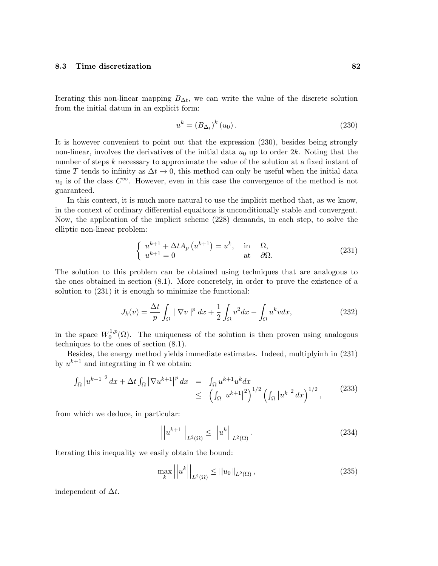Iterating this non-linear mapping  $B_{\Delta t}$ , we can write the value of the discrete solution from the initial datum in an explicit form:

$$
u^{k} = \left(B_{\Delta_{t}}\right)^{k} \left(u_{0}\right). \tag{230}
$$

It is however convenient to point out that the expression (230), besides being strongly non-linear, involves the derivatives of the initial data  $u_0$  up to order 2k. Noting that the number of steps k necessary to approximate the value of the solution at a fixed instant of time T tends to infinity as  $\Delta t \to 0$ , this method can only be useful when the initial data  $u_0$  is of the class  $C^{\infty}$ . However, even in this case the convergence of the method is not guaranteed.

In this context, it is much more natural to use the implicit method that, as we know, in the context of ordinary differential equaitons is unconditionally stable and convergent. Now, the application of the implicit scheme (228) demands, in each step, to solve the elliptic non-linear problem:

$$
\begin{cases}\n u^{k+1} + \Delta t A_p \left( u^{k+1} \right) = u^k, & \text{in } \Omega, \\
 u^{k+1} = 0 & \text{at } \partial \Omega.\n\end{cases}
$$
\n(231)

The solution to this problem can be obtained using techniques that are analogous to the ones obtained in section (8.1). More concretely, in order to prove the existence of a solution to (231) it is enough to minimize the functional:

$$
J_k(v) = \frac{\Delta t}{p} \int_{\Omega} |\nabla v|^p dx + \frac{1}{2} \int_{\Omega} v^2 dx - \int_{\Omega} u^k v dx,
$$
 (232)

in the space  $W_0^{1,p}$  $0^{1,p}(\Omega)$ . The uniqueness of the solution is then proven using analogous techniques to the ones of section (8.1).

Besides, the energy method yields immediate estimates. Indeed, multiplyinh in (231) by  $u^{k+1}$  and integrating in  $\Omega$  we obtain:

$$
\int_{\Omega} |u^{k+1}|^2 dx + \Delta t \int_{\Omega} |\nabla u^{k+1}|^p dx = \int_{\Omega} u^{k+1} u^k dx \leq \left( \int_{\Omega} |u^{k+1}|^2 \right)^{1/2} \left( \int_{\Omega} |u^k|^2 dx \right)^{1/2},
$$
\n(233)

from which we deduce, in particular:

$$
\left| \left| u^{k+1} \right| \right|_{L^2(\Omega)} \le \left| \left| u^k \right| \right|_{L^2(\Omega)}.
$$
\n(234)

Iterating this inequality we easily obtain the bound:

$$
\max_{k} ||u^{k}||_{L^{2}(\Omega)} \le ||u_{0}||_{L^{2}(\Omega)},
$$
\n(235)

independent of  $\Delta t$ .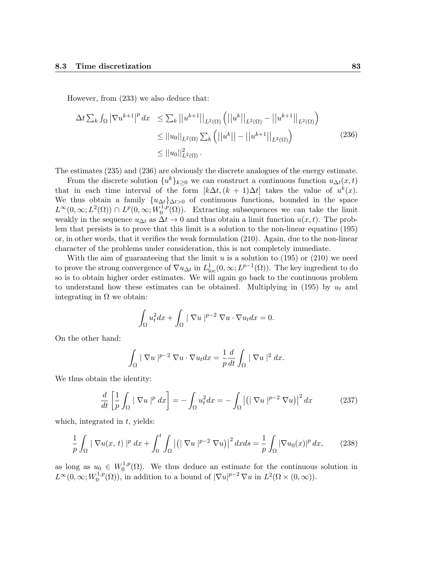However, from (233) we also deduce that:

$$
\Delta t \sum_{k} \int_{\Omega} |\nabla u^{k+1}|^{p} dx \leq \sum_{k} ||u^{k+1}||_{L^{2}(\Omega)} \left( ||u^{k}||_{L^{2}(\Omega)} - ||u^{k+1}||_{L^{2}(\Omega)} \right)
$$
  
\n
$$
\leq ||u_{0}||_{L^{2}(\Omega)} \sum_{k} (||u^{k}|| - ||u^{k+1}||_{L^{2}(\Omega)} \right)
$$
  
\n
$$
\leq ||u_{0}||_{L^{2}(\Omega)}^{2}.
$$
\n(236)

The estimates (235) and (236) are obviously the discrete analogues of the energy estimate.

From the discrete solution  $\{u^k\}_{k\geq 0}$  we can construct a continuous function  $u_{\Delta t}(x,t)$ that in each time interval of the form  $[k\Delta t, (k+1)\Delta t]$  takes the value of  $u^k(x)$ . We thus obtain a family  ${u_{\Delta t}}_{\Delta t>0}$  of continuous functions, bounded in the space  $L^{\infty}(0,\infty; L^2(\Omega)) \cap L^p(0,\infty; W_0^{1,p})$  $(0^{1,p}(\Omega))$ . Extracting subsequences we can take the limit weakly in the sequence  $u_{\Delta t}$  as  $\Delta t \to 0$  and thus obtain a limit function  $u(x, t)$ . The problem that persists is to prove that this limit is a solution to the non-linear equatino (195) or, in other words, that it verifies the weak formulation (210). Again, due to the non-linear character of the problems under consideration, this is not completely immediate.

With the aim of guaranteeing that the limit  $u$  is a solution to (195) or (210) we need to prove the strong convergence of  $\nabla u_{\Delta t}$  in  $L^1_{loc}(0,\infty;L^{p-1}(\Omega))$ . The key ingredient to do so is to obtain higher order estimates. We will again go back to the continuous problem to understand how these estimates can be obtained. Multiplying in (195) by  $u_t$  and integrating in  $\Omega$  we obtain:

$$
\int_{\Omega} u_t^2 dx + \int_{\Omega} |\nabla u|^{p-2} \nabla u \cdot \nabla u_t dx = 0.
$$

On the other hand:

$$
\int_{\Omega} |\nabla u|^{p-2} \nabla u \cdot \nabla u_t dx = \frac{1}{p} \frac{d}{dt} \int_{\Omega} |\nabla u|^2 dx.
$$

We thus obtain the identity:

$$
\frac{d}{dt}\left[\frac{1}{p}\int_{\Omega}|\nabla u|^p dx\right] = -\int_{\Omega}u_t^2 dx = -\int_{\Omega}\left|\left(|\nabla u|^{p-2}\nabla u\right)\right|^2 dx \tag{237}
$$

which, integrated in  $t$ , yields:

$$
\frac{1}{p}\int_{\Omega}|\nabla u(x,t)|^p\,dx + \int_0^t\int_{\Omega} \left|\left(|\nabla u|^{p-2}\nabla u\right)\right|^2 dxds = \frac{1}{p}\int_{\Omega}|\nabla u_0(x)|^p\,dx,\tag{238}
$$

as long as  $u_0 \in W_0^{1,p}$  $0^{1,p}(\Omega)$ . We thus deduce an estimate for the continuous solution in  $L^{\infty}(0,\infty;W_0^{1,p})$  $L^{1,p}(\Omega)$ , in addition to a bound of  $|\nabla u|^{p-2} \nabla u$  in  $L^2(\Omega \times (0,\infty))$ .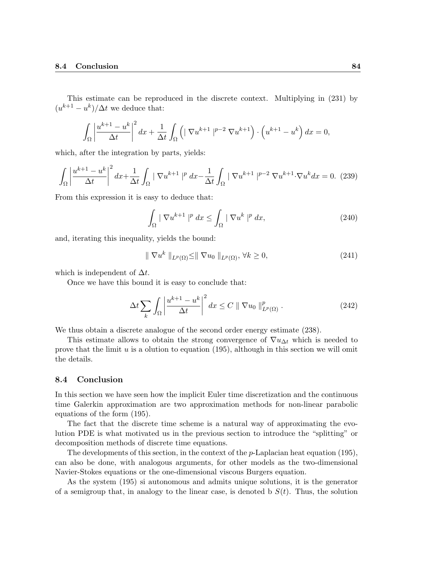This estimate can be reproduced in the discrete context. Multiplying in (231) by  $(u^{k+1} - u^k)/\Delta t$  we deduce that:

$$
\int_{\Omega} \left| \frac{u^{k+1} - u^k}{\Delta t} \right|^2 dx + \frac{1}{\Delta t} \int_{\Omega} \left( \left| \nabla u^{k+1} \right|^{p-2} \nabla u^{k+1} \right) \cdot \left( u^{k+1} - u^k \right) dx = 0,
$$

which, after the integration by parts, yields:

$$
\int_{\Omega} \left| \frac{u^{k+1} - u^k}{\Delta t} \right|^2 dx + \frac{1}{\Delta t} \int_{\Omega} \left| \nabla u^{k+1} \right|^p dx - \frac{1}{\Delta t} \int_{\Omega} \left| \nabla u^{k+1} \right|^{p-2} \nabla u^{k+1} \cdot \nabla u^k dx = 0. \tag{239}
$$

From this expression it is easy to deduce that:

$$
\int_{\Omega} |\nabla u^{k+1}|^p dx \le \int_{\Omega} |\nabla u^k|^p dx,
$$
\n(240)

and, iterating this inequality, yields the bound:

$$
\|\nabla u^k\|_{L^p(\Omega)} \le \|\nabla u_0\|_{L^p(\Omega)}, \forall k \ge 0,
$$
\n(241)

which is independent of  $\Delta t$ .

Once we have this bound it is easy to conclude that:

$$
\Delta t \sum_{k} \int_{\Omega} \left| \frac{u^{k+1} - u^k}{\Delta t} \right|^2 dx \le C \|\nabla u_0\|_{L^p(\Omega)}^p.
$$
\n(242)

We thus obtain a discrete analogue of the second order energy estimate (238).

This estimate allows to obtain the strong convergence of  $\nabla u_{\Delta t}$  which is needed to prove that the limit  $u$  is a olution to equation (195), although in this section we will omit the details.

#### 8.4 Conclusion

In this section we have seen how the implicit Euler time discretization and the continuous time Galerkin approximation are two approximation methods for non-linear parabolic equations of the form (195).

The fact that the discrete time scheme is a natural way of approximating the evolution PDE is what motivated us in the previous section to introduce the "splitting" or decomposition methods of discrete time equations.

The developments of this section, in the context of the  $p$ -Laplacian heat equation (195), can also be done, with analogous arguments, for other models as the two-dimensional Navier-Stokes equations or the one-dimensional viscous Burgers equation.

As the system (195) si autonomous and admits unique solutions, it is the generator of a semigroup that, in analogy to the linear case, is denoted b  $S(t)$ . Thus, the solution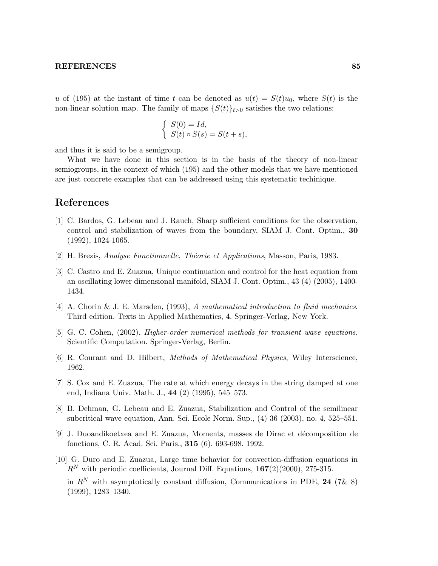u of (195) at the instant of time t can be denoted as  $u(t) = S(t)u_0$ , where  $S(t)$  is the non-linear solution map. The family of maps  $\{S(t)\}_{t>0}$  satisfies the two relations:

$$
\begin{cases}\nS(0) = Id, \\
S(t) \circ S(s) = S(t+s),\n\end{cases}
$$

and thus it is said to be a semigroup.

What we have done in this section is in the basis of the theory of non-linear semiogroups, in the context of which (195) and the other models that we have mentioned are just concrete examples that can be addressed using this systematic techinique.

## References

- [1] C. Bardos, G. Lebeau and J. Rauch, Sharp sufficient conditions for the observation, control and stabilization of waves from the boundary, SIAM J. Cont. Optim., 30 (1992), 1024-1065.
- [2] H. Brezis, Analyse Fonctionnelle, Théorie et Applications, Masson, Paris, 1983.
- [3] C. Castro and E. Zuazua, Unique continuation and control for the heat equation from an oscillating lower dimensional manifold, SIAM J. Cont. Optim., 43 (4) (2005), 1400- 1434.
- [4] A. Chorin & J. E. Marsden, (1993), A mathematical introduction to fluid mechanics. Third edition. Texts in Applied Mathematics, 4. Springer-Verlag, New York.
- [5] G. C. Cohen, (2002). Higher-order numerical methods for transient wave equations. Scientific Computation. Springer-Verlag, Berlin.
- [6] R. Courant and D. Hilbert, Methods of Mathematical Physics, Wiley Interscience, 1962.
- [7] S. Cox and E. Zuazua, The rate at which energy decays in the string damped at one end, Indiana Univ. Math. J., 44 (2) (1995), 545–573.
- [8] B. Dehman, G. Lebeau and E. Zuazua, Stabilization and Control of the semilinear subcritical wave equation, Ann. Sci. Ecole Norm. Sup., (4) 36 (2003), no. 4, 525–551.
- [9] J. Duoandikoetxea and E. Zuazua, Moments, masses de Dirac et d´ecomposition de fonctions, C. R. Acad. Sci. Paris., 315 (6). 693-698. 1992.
- [10] G. Duro and E. Zuazua, Large time behavior for convection-diffusion equations in  $R^N$  with periodic coefficients, Journal Diff. Equations, 167(2)(2000), 275-315. in  $R^N$  with asymptotically constant diffusion, Communications in PDE, 24 (7& 8) (1999), 1283–1340.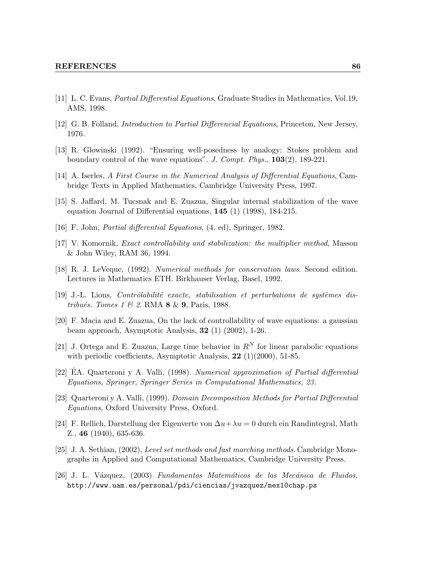- [11] L. C. Evans, Partial Differential Equations, Graduate Studies in Mathematics, Vol.19, AMS, 1998.
- [12] G. B. Folland, Introduction to Partial Differencial Equations, Princeton, New Jersey, 1976.
- [13] R. Glowinski (1992). "Ensuring well-posedness by analogy; Stokes problem and boundary control of the wave equations". J. Compt. Phys., 103(2), 189-221.
- [14] A. Iserles, A First Course in the Numerical Analysis of Differential Equations, Cambridge Texts in Applied Mathematics, Cambridge University Press, 1997.
- [15] S. Jaffard, M. Tucsnak and E. Zuazua, Singular internal stabilization of the wave equation Journal of Differential equations, 145 (1) (1998), 184-215.
- [16] F. John, Partial differential Equations, (4. ed), Springer, 1982.
- [17] V. Komornik, Exact controllability and stabilization: the multiplier method, Masson & John Wiley, RAM 36, 1994.
- [18] R. J. LeVeque, (1992). Numerical methods for conservation laws. Second edition. Lectures in Mathematics ETH. Birkhauser Verlag, Basel, 1992.
- $[19]$  J.-L. Lions, *Contrôlabilité exacte, stabilisation et perturbations de systèmes dis*tribués. Tomes 1 & 2. RMA  $8 \& 9$ , Paris, 1988.
- [20] F. Macia and E. Zuazua, On the lack of controllability of wave equations: a gaussian beam approach, Asymptotic Analysis, 32 (1) (2002), 1-26.
- [21] J. Ortega and E. Zuazua, Large time behavior in  $R^N$  for linear parabolic equations with periodic coefficients, Asymptotic Analysis,  $22$  (1)(2000), 51-85.
- [22] EA. Quarteroni y A. Valli, (1998). Numerical approximation of Partial differential Equations, Springer, Springer Series in Computational Mathematics, 23.
- [23] Quarteroni y A. Valli, (1999). Domain Decomposition Methods for Partial Differential Equations, Oxford University Press, Oxford.
- [24] F. Rellich, Darstellung der Eigenverte von  $\Delta u + \lambda u = 0$  durch ein Randintegral, Math Z., 46 (1940), 635-636.
- [25] J. A. Sethian, (2002), Level set methods and fast marching methods. Cambridge Monographs in Applied and Computational Mathematics, Cambridge University Press.
- [26] J. L. V´azquez, (2003) Fundamentos Matem´aticos de las Mec´anica de Fluidos. http://www.uam.es/personal/pdi/ciencias/jvazquez/mex10chap.ps